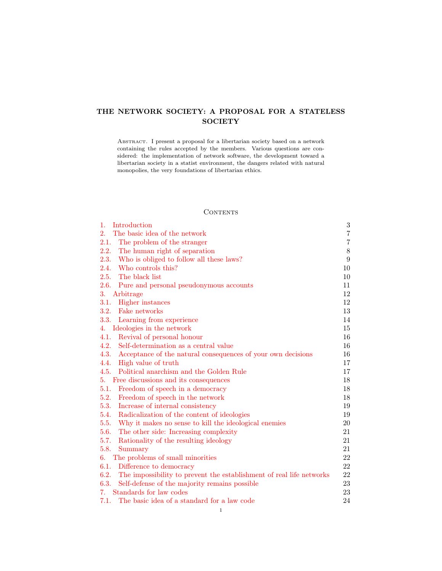# THE NETWORK SOCIETY: A PROPOSAL FOR A STATELESS **SOCIETY**

ABSTRACT. I present a proposal for a libertarian society based on a network containing the rules accepted by the members. Various questions are considered: the implementation of network software, the development toward a libertarian society in a statist environment, the dangers related with natural monopolies, the very foundations of libertarian ethics.

## **CONTENTS**

| 1.<br>Introduction                                                           | $\sqrt{3}$     |
|------------------------------------------------------------------------------|----------------|
| The basic idea of the network<br>2.                                          | $\,7$          |
| 2.1.<br>The problem of the stranger                                          | $\overline{7}$ |
| 2.2.<br>The human right of separation                                        | $8\,$          |
| 2.3.<br>Who is obliged to follow all these laws?                             | 9              |
| Who controls this?<br>2.4.                                                   | 10             |
| 2.5.<br>The black list                                                       | 10             |
| 2.6.<br>Pure and personal pseudonymous accounts                              | 11             |
| 3.<br>Arbitrage                                                              | 12             |
| Higher instances<br>3.1.                                                     | 12             |
| 3.2.<br>Fake networks                                                        | 13             |
| 3.3. Learning from experience                                                | 14             |
| Ideologies in the network<br>4.                                              | 15             |
| 4.1.<br>Revival of personal honour                                           | 16             |
| 4.2.<br>Self-determination as a central value                                | 16             |
| 4.3.<br>Acceptance of the natural consequences of your own decisions         | 16             |
| High value of truth<br>4.4.                                                  | 17             |
| Political anarchism and the Golden Rule<br>4.5.                              | 17             |
| Free discussions and its consequences<br>5.                                  | 18             |
| 5.1.<br>Freedom of speech in a democracy                                     | 18             |
| 5.2.<br>Freedom of speech in the network                                     | 18             |
| 5.3.<br>Increase of internal consistency                                     | 19             |
| Radicalization of the content of ideologies<br>5.4.                          | 19             |
| 5.5.<br>Why it makes no sense to kill the ideological enemies                | 20             |
| 5.6.<br>The other side: Increasing complexity                                | 21             |
| 5.7.<br>Rationality of the resulting ideology                                | 21             |
| 5.8.<br>Summary                                                              | 21             |
| The problems of small minorities<br>6.                                       | 22             |
| 6.1.<br>Difference to democracy                                              | 22             |
| 6.2.<br>The impossibility to prevent the establishment of real life networks | 22             |
| 6.3.<br>Self-defense of the majority remains possible                        | 23             |
| Standards for law codes<br>7.                                                | 23             |
| 7.1.<br>The basic idea of a standard for a law code                          | 24             |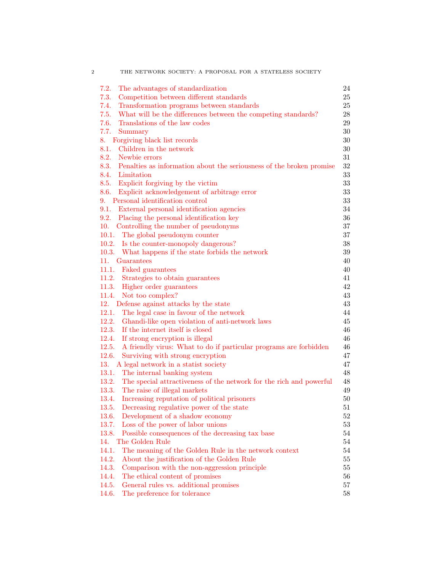| 7.2.<br>The advantages of standardization                                    | 24 |
|------------------------------------------------------------------------------|----|
| 7.3.<br>Competition between different standards                              | 25 |
| Transformation programs between standards<br>7.4.                            | 25 |
| What will be the differences between the competing standards?<br>7.5.        | 28 |
| 7.6.<br>Translations of the law codes                                        | 29 |
| 7.7.<br>Summary                                                              | 30 |
| Forgiving black list records<br>8. .                                         | 30 |
| 8.1. Children in the network                                                 | 30 |
| 8.2. Newbie errors                                                           | 31 |
| 8.3. Penalties as information about the seriousness of the broken promise    | 32 |
| 8.4. Limitation                                                              | 33 |
| 8.5. Explicit forgiving by the victim                                        | 33 |
| 8.6. Explicit acknowledgement of arbitrage error                             | 33 |
| 9. Personal identification control                                           | 33 |
| 9.1. External personal identification agencies                               | 34 |
| 9.2. Placing the personal identification key                                 | 36 |
| 10.<br>Controlling the number of pseudonyms                                  | 37 |
| 10.1. The global pseudonym counter                                           | 37 |
| 10.2. Is the counter-monopoly dangerous?                                     | 38 |
| 10.3. What happens if the state forbids the network                          | 39 |
| 11. Guarantees                                                               | 40 |
| 11.1. Faked guarantees                                                       | 40 |
| 11.2. Strategies to obtain guarantees                                        | 41 |
| 11.3. Higher order guarantees                                                | 42 |
| 11.4. Not too complex?                                                       | 43 |
| 12. Defense against attacks by the state                                     | 43 |
| 12.1. The legal case in favour of the network                                | 44 |
| 12.2. Ghandi-like open violation of anti-network laws                        | 45 |
| 12.3. If the internet itself is closed                                       | 46 |
| 12.4.<br>If strong encryption is illegal                                     | 46 |
| 12.5.<br>A friendly virus: What to do if particular programs are forbidden   | 46 |
| 12.6.<br>Surviving with strong encryption                                    | 47 |
| 13. A legal network in a statist society<br>13.1.                            | 47 |
| The internal banking system                                                  | 48 |
| 13.2.<br>The special attractiveness of the network for the rich and powerful | 48 |
| 13.3.<br>The raise of illegal markets                                        | 49 |
| Increasing reputation of political prisoners<br>13.4.                        | 50 |
| 13.5.<br>Decreasing regulative power of the state                            | 51 |
| <b>13.6.</b><br>Development of a shadow economy                              | 52 |
| 13.7.<br>Loss of the power of labor unions                                   | 53 |
| Possible consequences of the decreasing tax base<br>13.8.                    | 54 |
| The Golden Rule<br>14.                                                       | 54 |
| 14.1.<br>The meaning of the Golden Rule in the network context               | 54 |
| 14.2.<br>About the justification of the Golden Rule                          | 55 |
| 14.3.<br>Comparison with the non-aggression principle                        | 55 |
| 14.4.<br>The ethical content of promises                                     | 56 |
| 14.5.<br>General rules vs. additional promises                               | 57 |
| 14.6.<br>The preference for tolerance                                        | 58 |

2 THE NETWORK SOCIETY: A PROPOSAL FOR A STATELESS SOCIETY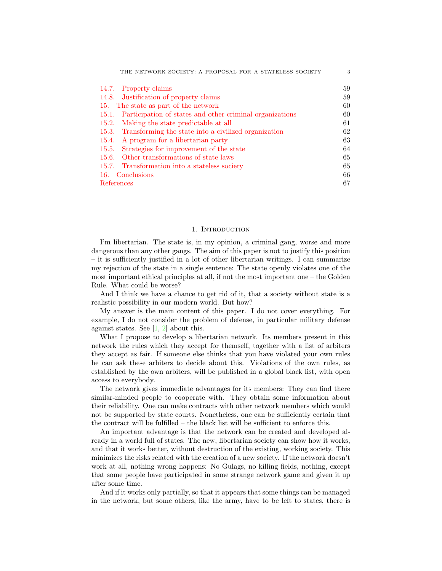| THE NETWORK SOCIETY: A PROPOSAL FOR A STATELESS SOCIETY           | 3  |
|-------------------------------------------------------------------|----|
| 14.7. Property claims                                             | 59 |
| 14.8. Justification of property claims                            | 59 |
| The state as part of the network<br>15.                           | 60 |
| Participation of states and other criminal organizations<br>15.1. | 60 |
| Making the state predictable at all<br>15.2.                      | 61 |
| Transforming the state into a civilized organization<br>15.3.     | 62 |
| A program for a libertarian party<br>15.4.                        | 63 |
| Strategies for improvement of the state<br>15.5.                  | 64 |
| 15.6. Other transformations of state laws                         | 65 |
| Transformation into a stateless society<br>15.7.                  | 65 |
| Conclusions<br>16.                                                | 66 |
| References                                                        | 67 |

#### 1. INTRODUCTION

<span id="page-2-0"></span>I'm libertarian. The state is, in my opinion, a criminal gang, worse and more dangerous than any other gangs. The aim of this paper is not to justify this position – it is sufficiently justified in a lot of other libertarian writings. I can summarize my rejection of the state in a single sentence: The state openly violates one of the most important ethical principles at all, if not the most important one – the Golden Rule. What could be worse?

And I think we have a chance to get rid of it, that a society without state is a realistic possibility in our modern world. But how?

My answer is the main content of this paper. I do not cover everything. For example, I do not consider the problem of defense, in particular military defense against states. See  $[1, 2]$  $[1, 2]$  $[1, 2]$  about this.

What I propose to develop a libertarian network. Its members present in this network the rules which they accept for themself, together with a list of arbiters they accept as fair. If someone else thinks that you have violated your own rules he can ask these arbiters to decide about this. Violations of the own rules, as established by the own arbiters, will be published in a global black list, with open access to everybody.

The network gives immediate advantages for its members: They can find there similar-minded people to cooperate with. They obtain some information about their reliability. One can make contracts with other network members which would not be supported by state courts. Nonetheless, one can be sufficiently certain that the contract will be fulfilled – the black list will be sufficient to enforce this.

An important advantage is that the network can be created and developed already in a world full of states. The new, libertarian society can show how it works, and that it works better, without destruction of the existing, working society. This minimizes the risks related with the creation of a new society. If the network doesn't work at all, nothing wrong happens: No Gulags, no killing fields, nothing, except that some people have participated in some strange network game and given it up after some time.

And if it works only partially, so that it appears that some things can be managed in the network, but some others, like the army, have to be left to states, there is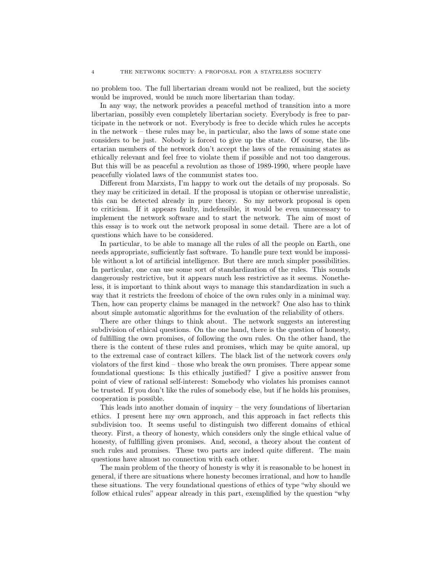no problem too. The full libertarian dream would not be realized, but the society would be improved, would be much more libertarian than today.

In any way, the network provides a peaceful method of transition into a more libertarian, possibly even completely libertarian society. Everybody is free to participate in the network or not. Everybody is free to decide which rules he accepts in the network – these rules may be, in particular, also the laws of some state one considers to be just. Nobody is forced to give up the state. Of course, the libertarian members of the network don't accept the laws of the remaining states as ethically relevant and feel free to violate them if possible and not too dangerous. But this will be as peaceful a revolution as those of 1989-1990, where people have peacefully violated laws of the communist states too.

Different from Marxists, I'm happy to work out the details of my proposals. So they may be criticized in detail. If the proposal is utopian or otherwise unrealistic, this can be detected already in pure theory. So my network proposal is open to criticism. If it appears faulty, indefensible, it would be even unnecessary to implement the network software and to start the network. The aim of most of this essay is to work out the network proposal in some detail. There are a lot of questions which have to be considered.

In particular, to be able to manage all the rules of all the people on Earth, one needs appropriate, sufficiently fast software. To handle pure text would be impossible without a lot of artificial intelligence. But there are much simpler possibilities. In particular, one can use some sort of standardization of the rules. This sounds dangerously restrictive, but it appears much less restrictive as it seems. Nonetheless, it is important to think about ways to manage this standardization in such a way that it restricts the freedom of choice of the own rules only in a minimal way. Then, how can property claims be managed in the network? One also has to think about simple automatic algorithms for the evaluation of the reliability of others.

There are other things to think about. The network suggests an interesting subdivision of ethical questions. On the one hand, there is the question of honesty, of fulfilling the own promises, of following the own rules. On the other hand, the there is the content of these rules and promises, which may be quite amoral, up to the extremal case of contract killers. The black list of the network covers only violators of the first kind – those who break the own promises. There appear some foundational questions: Is this ethically justified? I give a positive answer from point of view of rational self-interest: Somebody who violates his promises cannot be trusted. If you don't like the rules of somebody else, but if he holds his promises, cooperation is possible.

This leads into another domain of inquiry – the very foundations of libertarian ethics. I present here my own approach, and this approach in fact reflects this subdivision too. It seems useful to distinguish two different domains of ethical theory. First, a theory of honesty, which considers only the single ethical value of honesty, of fulfilling given promises. And, second, a theory about the content of such rules and promises. These two parts are indeed quite different. The main questions have almost no connection with each other.

The main problem of the theory of honesty is why it is reasonable to be honest in general, if there are situations where honesty becomes irrational, and how to handle these situations. The very foundational questions of ethics of type "why should we follow ethical rules" appear already in this part, exemplified by the question "why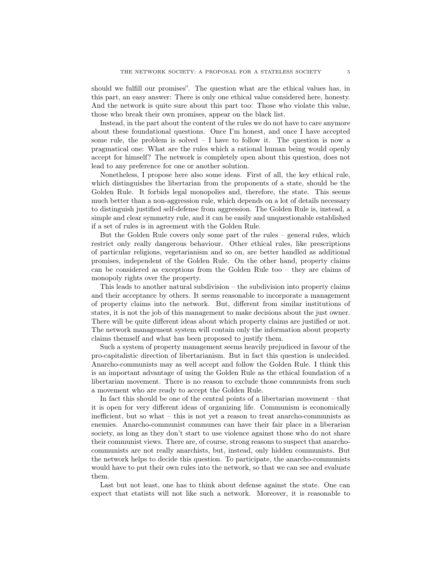should we fulfill our promises". The question what are the ethical values has, in this part, an easy answer: There is only one ethical value considered here, honesty. And the network is quite sure about this part too: Those who violate this value, those who break their own promises, appear on the black list.

Instead, in the part about the content of the rules we do not have to care anymore about these foundational questions. Once I'm honest, and once I have accepted some rule, the problem is solved  $-1$  have to follow it. The question is now a pragmatical one: What are the rules which a rational human being would openly accept for himself? The network is completely open about this question, does not lead to any preference for one or another solution.

Nonetheless, I propose here also some ideas. First of all, the key ethical rule, which distinguishes the libertarian from the proponents of a state, should be the Golden Rule. It forbids legal monopolies and, therefore, the state. This seems much better than a non-aggression rule, which depends on a lot of details necessary to distinguish justified self-defense from aggression. The Golden Rule is, instead, a simple and clear symmetry rule, and it can be easily and unquestionable established if a set of rules is in agreement with the Golden Rule.

But the Golden Rule covers only some part of the rules – general rules, which restrict only really dangerous behaviour. Other ethical rules, like prescriptions of particular religions, vegetarianism and so on, are better handled as additional promises, independent of the Golden Rule. On the other hand, property claims can be considered as exceptions from the Golden Rule too – they are claims of monopoly rights over the property.

This leads to another natural subdivision – the subdivision into property claims and their acceptance by others. It seems reasonable to incorporate a management of property claims into the network. But, different from similar institutions of states, it is not the job of this management to make decisions about the just owner. There will be quite different ideas about which property claims are justified or not. The network management system will contain only the information about property claims themself and what has been proposed to justify them.

Such a system of property management seems heavily prejudiced in favour of the pro-capitalistic direction of libertarianism. But in fact this question is undecided. Anarcho-communists may as well accept and follow the Golden Rule. I think this is an important advantage of using the Golden Rule as the ethical foundation of a libertarian movement. There is no reason to exclude those communists from such a movement who are ready to accept the Golden Rule.

In fact this should be one of the central points of a libertarian movement – that it is open for very different ideas of organizing life. Communism is economically inefficient, but so what – this is not yet a reason to treat anarcho-communists as enemies. Anarcho-communist communes can have their fair place in a liberarian society, as long as they don't start to use violence against those who do not share their communist views. There are, of course, strong reasons to suspect that anarchocommunists are not really anarchists, but, instead, only hidden communists. But the network helps to decide this question. To participate, the anarcho-communists would have to put their own rules into the network, so that we can see and evaluate them.

Last but not least, one has to think about defense against the state. One can expect that etatists will not like such a network. Moreover, it is reasonable to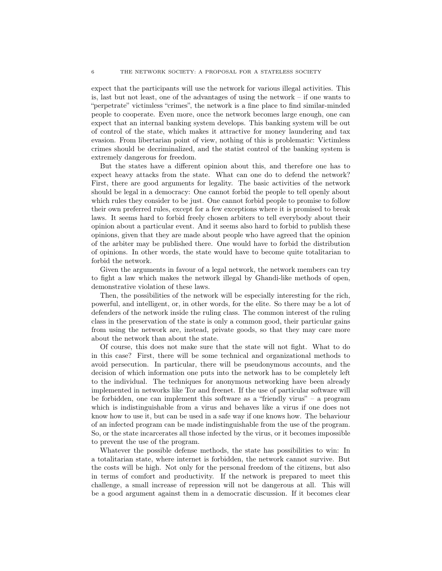expect that the participants will use the network for various illegal activities. This is, last but not least, one of the advantages of using the network – if one wants to "perpetrate" victimless "crimes", the network is a fine place to find similar-minded people to cooperate. Even more, once the network becomes large enough, one can expect that an internal banking system develops. This banking system will be out of control of the state, which makes it attractive for money laundering and tax evasion. From libertarian point of view, nothing of this is problematic: Victimless crimes should be decriminalized, and the statist control of the banking system is extremely dangerous for freedom.

But the states have a different opinion about this, and therefore one has to expect heavy attacks from the state. What can one do to defend the network? First, there are good arguments for legality. The basic activities of the network should be legal in a democracy: One cannot forbid the people to tell openly about which rules they consider to be just. One cannot forbid people to promise to follow their own preferred rules, except for a few exceptions where it is promised to break laws. It seems hard to forbid freely chosen arbiters to tell everybody about their opinion about a particular event. And it seems also hard to forbid to publish these opinions, given that they are made about people who have agreed that the opinion of the arbiter may be published there. One would have to forbid the distribution of opinions. In other words, the state would have to become quite totalitarian to forbid the network.

Given the arguments in favour of a legal network, the network members can try to fight a law which makes the network illegal by Ghandi-like methods of open, demonstrative violation of these laws.

Then, the possibilities of the network will be especially interesting for the rich, powerful, and intelligent, or, in other words, for the elite. So there may be a lot of defenders of the network inside the ruling class. The common interest of the ruling class in the preservation of the state is only a common good, their particular gains from using the network are, instead, private goods, so that they may care more about the network than about the state.

Of course, this does not make sure that the state will not fight. What to do in this case? First, there will be some technical and organizational methods to avoid persecution. In particular, there will be pseudonymous accounts, and the decision of which information one puts into the network has to be completely left to the individual. The techniques for anonymous networking have been already implemented in networks like Tor and freenet. If the use of particular software will be forbidden, one can implement this software as a "friendly virus" – a program which is indistinguishable from a virus and behaves like a virus if one does not know how to use it, but can be used in a safe way if one knows how. The behaviour of an infected program can be made indistinguishable from the use of the program. So, or the state incarcerates all those infected by the virus, or it becomes impossible to prevent the use of the program.

Whatever the possible defense methods, the state has possibilities to win: In a totalitarian state, where internet is forbidden, the network cannot survive. But the costs will be high. Not only for the personal freedom of the citizens, but also in terms of comfort and productivity. If the network is prepared to meet this challenge, a small increase of repression will not be dangerous at all. This will be a good argument against them in a democratic discussion. If it becomes clear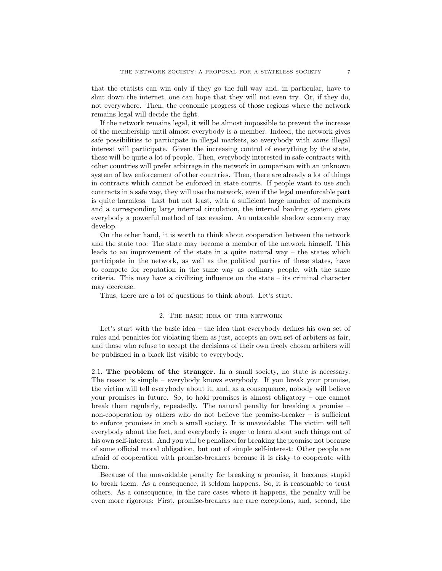that the etatists can win only if they go the full way and, in particular, have to shut down the internet, one can hope that they will not even try. Or, if they do, not everywhere. Then, the economic progress of those regions where the network remains legal will decide the fight.

If the network remains legal, it will be almost impossible to prevent the increase of the membership until almost everybody is a member. Indeed, the network gives safe possibilities to participate in illegal markets, so everybody with some illegal interest will participate. Given the increasing control of everything by the state, these will be quite a lot of people. Then, everybody interested in safe contracts with other countries will prefer arbitrage in the network in comparison with an unknown system of law enforcement of other countries. Then, there are already a lot of things in contracts which cannot be enforced in state courts. If people want to use such contracts in a safe way, they will use the network, even if the legal unenforcable part is quite harmless. Last but not least, with a sufficient large number of members and a corresponding large internal circulation, the internal banking system gives everybody a powerful method of tax evasion. An untaxable shadow economy may develop.

On the other hand, it is worth to think about cooperation between the network and the state too: The state may become a member of the network himself. This leads to an improvement of the state in a quite natural way – the states which participate in the network, as well as the political parties of these states, have to compete for reputation in the same way as ordinary people, with the same criteria. This may have a civilizing influence on the state – its criminal character may decrease.

Thus, there are a lot of questions to think about. Let's start.

#### 2. The basic idea of the network

<span id="page-6-0"></span>Let's start with the basic idea – the idea that everybody defines his own set of rules and penalties for violating them as just, accepts an own set of arbiters as fair, and those who refuse to accept the decisions of their own freely chosen arbiters will be published in a black list visible to everybody.

<span id="page-6-1"></span>2.1. The problem of the stranger. In a small society, no state is necessary. The reason is simple – everybody knows everybody. If you break your promise, the victim will tell everybody about it, and, as a consequence, nobody will believe your promises in future. So, to hold promises is almost obligatory – one cannot break them regularly, repeatedly. The natural penalty for breaking a promise – non-cooperation by others who do not believe the promise-breaker  $-$  is sufficient to enforce promises in such a small society. It is unavoidable: The victim will tell everybody about the fact, and everybody is eager to learn about such things out of his own self-interest. And you will be penalized for breaking the promise not because of some official moral obligation, but out of simple self-interest: Other people are afraid of cooperation with promise-breakers because it is risky to cooperate with them.

Because of the unavoidable penalty for breaking a promise, it becomes stupid to break them. As a consequence, it seldom happens. So, it is reasonable to trust others. As a consequence, in the rare cases where it happens, the penalty will be even more rigorous: First, promise-breakers are rare exceptions, and, second, the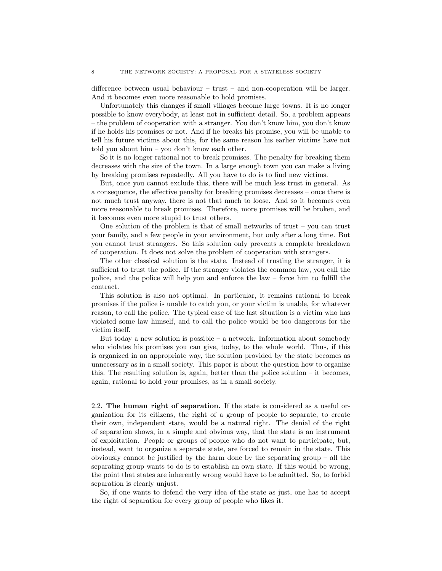difference between usual behaviour – trust – and non-cooperation will be larger. And it becomes even more reasonable to hold promises.

Unfortunately this changes if small villages become large towns. It is no longer possible to know everybody, at least not in sufficient detail. So, a problem appears – the problem of cooperation with a stranger. You don't know him, you don't know if he holds his promises or not. And if he breaks his promise, you will be unable to tell his future victims about this, for the same reason his earlier victims have not told you about him – you don't know each other.

So it is no longer rational not to break promises. The penalty for breaking them decreases with the size of the town. In a large enough town you can make a living by breaking promises repeatedly. All you have to do is to find new victims.

But, once you cannot exclude this, there will be much less trust in general. As a consequence, the effective penalty for breaking promises decreases – once there is not much trust anyway, there is not that much to loose. And so it becomes even more reasonable to break promises. Therefore, more promises will be broken, and it becomes even more stupid to trust others.

One solution of the problem is that of small networks of trust – you can trust your family, and a few people in your environment, but only after a long time. But you cannot trust strangers. So this solution only prevents a complete breakdown of cooperation. It does not solve the problem of cooperation with strangers.

The other classical solution is the state. Instead of trusting the stranger, it is sufficient to trust the police. If the stranger violates the common law, you call the police, and the police will help you and enforce the law – force him to fulfill the contract.

This solution is also not optimal. In particular, it remains rational to break promises if the police is unable to catch you, or your victim is unable, for whatever reason, to call the police. The typical case of the last situation is a victim who has violated some law himself, and to call the police would be too dangerous for the victim itself.

But today a new solution is possible  $-$  a network. Information about somebody who violates his promises you can give, today, to the whole world. Thus, if this is organized in an appropriate way, the solution provided by the state becomes as unnecessary as in a small society. This paper is about the question how to organize this. The resulting solution is, again, better than the police solution – it becomes, again, rational to hold your promises, as in a small society.

<span id="page-7-0"></span>2.2. The human right of separation. If the state is considered as a useful organization for its citizens, the right of a group of people to separate, to create their own, independent state, would be a natural right. The denial of the right of separation shows, in a simple and obvious way, that the state is an instrument of exploitation. People or groups of people who do not want to participate, but, instead, want to organize a separate state, are forced to remain in the state. This obviously cannot be justified by the harm done by the separating group – all the separating group wants to do is to establish an own state. If this would be wrong, the point that states are inherently wrong would have to be admitted. So, to forbid separation is clearly unjust.

So, if one wants to defend the very idea of the state as just, one has to accept the right of separation for every group of people who likes it.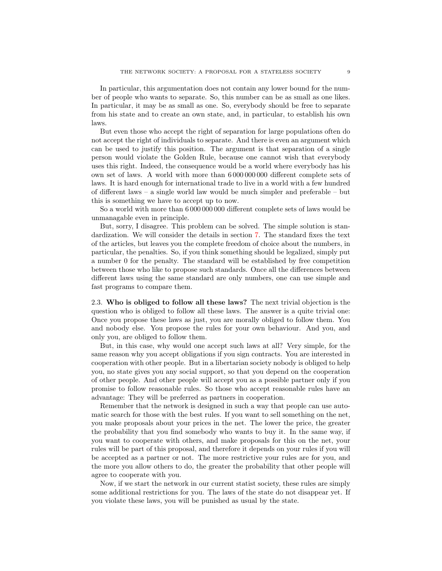In particular, this argumentation does not contain any lower bound for the number of people who wants to separate. So, this number can be as small as one likes. In particular, it may be as small as one. So, everybody should be free to separate from his state and to create an own state, and, in particular, to establish his own laws.

But even those who accept the right of separation for large populations often do not accept the right of individuals to separate. And there is even an argument which can be used to justify this position. The argument is that separation of a single person would violate the Golden Rule, because one cannot wish that everybody uses this right. Indeed, the consequence would be a world where everybody has his own set of laws. A world with more than 6 000 000 000 different complete sets of laws. It is hard enough for international trade to live in a world with a few hundred of different laws – a single world law would be much simpler and preferable – but this is something we have to accept up to now.

So a world with more than 6 000 000 000 different complete sets of laws would be unmanagable even in principle.

But, sorry, I disagree. This problem can be solved. The simple solution is standardization. We will consider the details in section [7.](#page-22-1) The standard fixes the text of the articles, but leaves you the complete freedom of choice about the numbers, in particular, the penalties. So, if you think something should be legalized, simply put a number 0 for the penalty. The standard will be established by free competition between those who like to propose such standards. Once all the differences between different laws using the same standard are only numbers, one can use simple and fast programs to compare them.

<span id="page-8-0"></span>2.3. Who is obliged to follow all these laws? The next trivial objection is the question who is obliged to follow all these laws. The answer is a quite trivial one: Once you propose these laws as just, you are morally obliged to follow them. You and nobody else. You propose the rules for your own behaviour. And you, and only you, are obliged to follow them.

But, in this case, why would one accept such laws at all? Very simple, for the same reason why you accept obligations if you sign contracts. You are interested in cooperation with other people. But in a libertarian society nobody is obliged to help you, no state gives you any social support, so that you depend on the cooperation of other people. And other people will accept you as a possible partner only if you promise to follow reasonable rules. So those who accept reasonable rules have an advantage: They will be preferred as partners in cooperation.

Remember that the network is designed in such a way that people can use automatic search for those with the best rules. If you want to sell something on the net, you make proposals about your prices in the net. The lower the price, the greater the probability that you find somebody who wants to buy it. In the same way, if you want to cooperate with others, and make proposals for this on the net, your rules will be part of this proposal, and therefore it depends on your rules if you will be accepted as a partner or not. The more restrictive your rules are for you, and the more you allow others to do, the greater the probability that other people will agree to cooperate with you.

Now, if we start the network in our current statist society, these rules are simply some additional restrictions for you. The laws of the state do not disappear yet. If you violate these laws, you will be punished as usual by the state.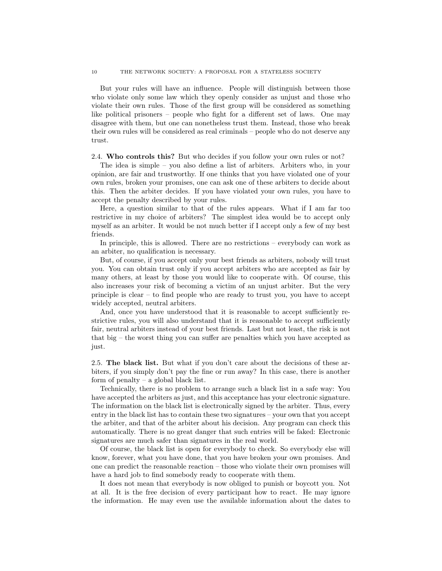But your rules will have an influence. People will distinguish between those who violate only some law which they openly consider as unjust and those who violate their own rules. Those of the first group will be considered as something like political prisoners – people who fight for a different set of laws. One may disagree with them, but one can nonetheless trust them. Instead, those who break their own rules will be considered as real criminals – people who do not deserve any trust.

<span id="page-9-0"></span>2.4. Who controls this? But who decides if you follow your own rules or not?

The idea is simple – you also define a list of arbiters. Arbiters who, in your opinion, are fair and trustworthy. If one thinks that you have violated one of your own rules, broken your promises, one can ask one of these arbiters to decide about this. Then the arbiter decides. If you have violated your own rules, you have to accept the penalty described by your rules.

Here, a question similar to that of the rules appears. What if I am far too restrictive in my choice of arbiters? The simplest idea would be to accept only myself as an arbiter. It would be not much better if I accept only a few of my best friends.

In principle, this is allowed. There are no restrictions – everybody can work as an arbiter, no qualification is necessary.

But, of course, if you accept only your best friends as arbiters, nobody will trust you. You can obtain trust only if you accept arbiters who are accepted as fair by many others, at least by those you would like to cooperate with. Of course, this also increases your risk of becoming a victim of an unjust arbiter. But the very principle is clear – to find people who are ready to trust you, you have to accept widely accepted, neutral arbiters.

And, once you have understood that it is reasonable to accept sufficiently restrictive rules, you will also understand that it is reasonable to accept sufficiently fair, neutral arbiters instead of your best friends. Last but not least, the risk is not that big – the worst thing you can suffer are penalties which you have accepted as just.

<span id="page-9-1"></span>2.5. The black list. But what if you don't care about the decisions of these arbiters, if you simply don't pay the fine or run away? In this case, there is another form of penalty – a global black list.

Technically, there is no problem to arrange such a black list in a safe way: You have accepted the arbiters as just, and this acceptance has your electronic signature. The information on the black list is electronically signed by the arbiter. Thus, every entry in the black list has to contain these two signatures – your own that you accept the arbiter, and that of the arbiter about his decision. Any program can check this automatically. There is no great danger that such entries will be faked: Electronic signatures are much safer than signatures in the real world.

Of course, the black list is open for everybody to check. So everybody else will know, forever, what you have done, that you have broken your own promises. And one can predict the reasonable reaction – those who violate their own promises will have a hard job to find somebody ready to cooperate with them.

It does not mean that everybody is now obliged to punish or boycott you. Not at all. It is the free decision of every participant how to react. He may ignore the information. He may even use the available information about the dates to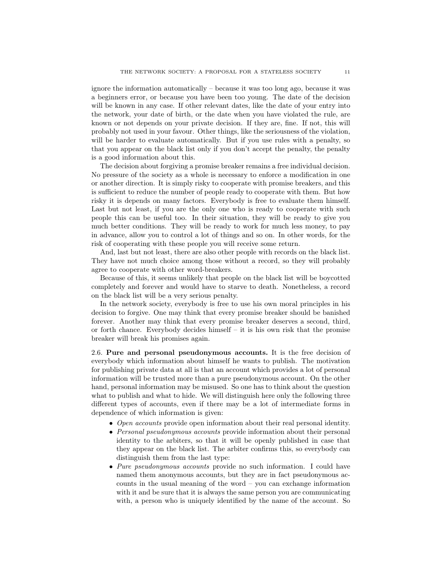ignore the information automatically – because it was too long ago, because it was a beginners error, or because you have been too young. The date of the decision will be known in any case. If other relevant dates, like the date of your entry into the network, your date of birth, or the date when you have violated the rule, are known or not depends on your private decision. If they are, fine. If not, this will probably not used in your favour. Other things, like the seriousness of the violation, will be harder to evaluate automatically. But if you use rules with a penalty, so that you appear on the black list only if you don't accept the penalty, the penalty is a good information about this.

The decision about forgiving a promise breaker remains a free individual decision. No pressure of the society as a whole is necessary to enforce a modification in one or another direction. It is simply risky to cooperate with promise breakers, and this is sufficient to reduce the number of people ready to cooperate with them. But how risky it is depends on many factors. Everybody is free to evaluate them himself. Last but not least, if you are the only one who is ready to cooperate with such people this can be useful too. In their situation, they will be ready to give you much better conditions. They will be ready to work for much less money, to pay in advance, allow you to control a lot of things and so on. In other words, for the risk of cooperating with these people you will receive some return.

And, last but not least, there are also other people with records on the black list. They have not much choice among those without a record, so they will probably agree to cooperate with other word-breakers.

Because of this, it seems unlikely that people on the black list will be boycotted completely and forever and would have to starve to death. Nonetheless, a record on the black list will be a very serious penalty.

In the network society, everybody is free to use his own moral principles in his decision to forgive. One may think that every promise breaker should be banished forever. Another may think that every promise breaker deserves a second, third, or forth chance. Everybody decides himself – it is his own risk that the promise breaker will break his promises again.

<span id="page-10-0"></span>2.6. Pure and personal pseudonymous accounts. It is the free decision of everybody which information about himself he wants to publish. The motivation for publishing private data at all is that an account which provides a lot of personal information will be trusted more than a pure pseudonymous account. On the other hand, personal information may be misused. So one has to think about the question what to publish and what to hide. We will distinguish here only the following three different types of accounts, even if there may be a lot of intermediate forms in dependence of which information is given:

- Open accounts provide open information about their real personal identity.
- Personal pseudonymous accounts provide information about their personal identity to the arbiters, so that it will be openly published in case that they appear on the black list. The arbiter confirms this, so everybody can distinguish them from the last type:
- Pure pseudonymous accounts provide no such information. I could have named them anonymous accounts, but they are in fact pseudonymous accounts in the usual meaning of the word – you can exchange information with it and be sure that it is always the same person you are communicating with, a person who is uniquely identified by the name of the account. So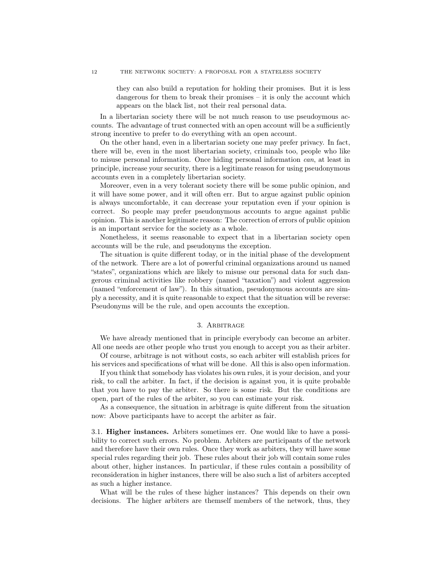they can also build a reputation for holding their promises. But it is less dangerous for them to break their promises – it is only the account which appears on the black list, not their real personal data.

In a libertarian society there will be not much reason to use pseudoymous accounts. The advantage of trust connected with an open account will be a sufficiently strong incentive to prefer to do everything with an open account.

On the other hand, even in a libertarian society one may prefer privacy. In fact, there will be, even in the most libertarian society, criminals too, people who like to misuse personal information. Once hiding personal information can, at least in principle, increase your security, there is a legitimate reason for using pseudonymous accounts even in a completely libertarian society.

Moreover, even in a very tolerant society there will be some public opinion, and it will have some power, and it will often err. But to argue against public opinion is always uncomfortable, it can decrease your reputation even if your opinion is correct. So people may prefer pseudonymous accounts to argue against public opinion. This is another legitimate reason: The correction of errors of public opinion is an important service for the society as a whole.

Nonetheless, it seems reasonable to expect that in a libertarian society open accounts will be the rule, and pseudonyms the exception.

The situation is quite different today, or in the initial phase of the development of the network. There are a lot of powerful criminal organizations around us named "states", organizations which are likely to misuse our personal data for such dangerous criminal activities like robbery (named "taxation") and violent aggression (named "enforcement of law"). In this situation, pseudonymous accounts are simply a necessity, and it is quite reasonable to expect that the situation will be reverse: Pseudonyms will be the rule, and open accounts the exception.

### 3. Arbitrage

<span id="page-11-0"></span>We have already mentioned that in principle everybody can become an arbiter. All one needs are other people who trust you enough to accept you as their arbiter.

Of course, arbitrage is not without costs, so each arbiter will establish prices for his services and specifications of what will be done. All this is also open information.

If you think that somebody has violates his own rules, it is your decision, and your risk, to call the arbiter. In fact, if the decision is against you, it is quite probable that you have to pay the arbiter. So there is some risk. But the conditions are open, part of the rules of the arbiter, so you can estimate your risk.

As a consequence, the situation in arbitrage is quite different from the situation now: Above participants have to accept the arbiter as fair.

<span id="page-11-1"></span>3.1. Higher instances. Arbiters sometimes err. One would like to have a possibility to correct such errors. No problem. Arbiters are participants of the network and therefore have their own rules. Once they work as arbiters, they will have some special rules regarding their job. These rules about their job will contain some rules about other, higher instances. In particular, if these rules contain a possibility of reconsideration in higher instances, there will be also such a list of arbiters accepted as such a higher instance.

What will be the rules of these higher instances? This depends on their own decisions. The higher arbiters are themself members of the network, thus, they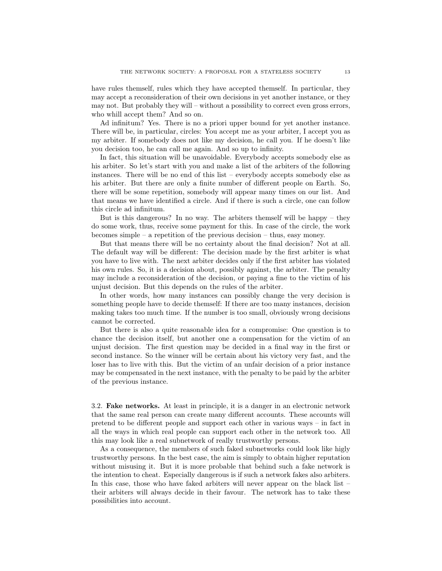have rules themself, rules which they have accepted themself. In particular, they may accept a reconsideration of their own decisions in yet another instance, or they may not. But probably they will – without a possibility to correct even gross errors, who whill accept them? And so on.

Ad infinitum? Yes. There is no a priori upper bound for yet another instance. There will be, in particular, circles: You accept me as your arbiter, I accept you as my arbiter. If somebody does not like my decision, he call you. If he doesn't like you decision too, he can call me again. And so up to infinity.

In fact, this situation will be unavoidable. Everybody accepts somebody else as his arbiter. So let's start with you and make a list of the arbiters of the following instances. There will be no end of this list – everybody accepts somebody else as his arbiter. But there are only a finite number of different people on Earth. So, there will be some repetition, somebody will appear many times on our list. And that means we have identified a circle. And if there is such a circle, one can follow this circle ad infinitum.

But is this dangerous? In no way. The arbiters themself will be happy – they do some work, thus, receive some payment for this. In case of the circle, the work becomes simple – a repetition of the previous decision – thus, easy money.

But that means there will be no certainty about the final decision? Not at all. The default way will be different: The decision made by the first arbiter is what you have to live with. The next arbiter decides only if the first arbiter has violated his own rules. So, it is a decision about, possibly against, the arbiter. The penalty may include a reconsideration of the decision, or paying a fine to the victim of his unjust decision. But this depends on the rules of the arbiter.

In other words, how many instances can possibly change the very decision is something people have to decide themself: If there are too many instances, decision making takes too much time. If the number is too small, obviously wrong decisions cannot be corrected.

But there is also a quite reasonable idea for a compromise: One question is to chance the decision itself, but another one a compensation for the victim of an unjust decision. The first question may be decided in a final way in the first or second instance. So the winner will be certain about his victory very fast, and the loser has to live with this. But the victim of an unfair decision of a prior instance may be compensated in the next instance, with the penalty to be paid by the arbiter of the previous instance.

<span id="page-12-0"></span>3.2. Fake networks. At least in principle, it is a danger in an electronic network that the same real person can create many different accounts. These accounts will pretend to be different people and support each other in various ways – in fact in all the ways in which real people can support each other in the network too. All this may look like a real subnetwork of really trustworthy persons.

As a consequence, the members of such faked subnetworks could look like higly trustworthy persons. In the best case, the aim is simply to obtain higher reputation without misusing it. But it is more probable that behind such a fake network is the intention to cheat. Especially dangerous is if such a network fakes also arbiters. In this case, those who have faked arbiters will never appear on the black list – their arbiters will always decide in their favour. The network has to take these possibilities into account.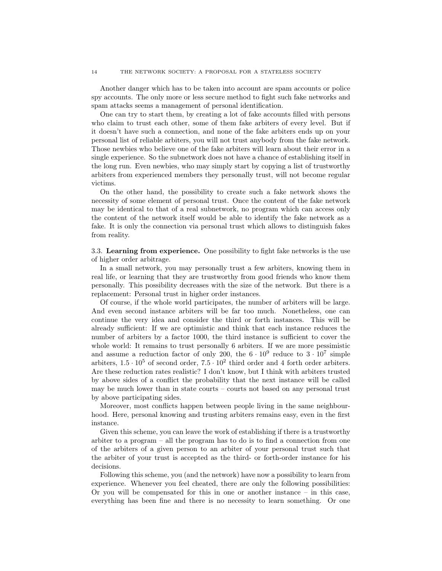Another danger which has to be taken into account are spam accounts or police spy accounts. The only more or less secure method to fight such fake networks and spam attacks seems a management of personal identification.

One can try to start them, by creating a lot of fake accounts filled with persons who claim to trust each other, some of them fake arbiters of every level. But if it doesn't have such a connection, and none of the fake arbiters ends up on your personal list of reliable arbiters, you will not trust anybody from the fake network. Those newbies who believe one of the fake arbiters will learn about their error in a single experience. So the subnetwork does not have a chance of establishing itself in the long run. Even newbies, who may simply start by copying a list of trustworthy arbiters from experienced members they personally trust, will not become regular victims.

On the other hand, the possibility to create such a fake network shows the necessity of some element of personal trust. Once the content of the fake network may be identical to that of a real subnetwork, no program which can access only the content of the network itself would be able to identify the fake network as a fake. It is only the connection via personal trust which allows to distinguish fakes from reality.

<span id="page-13-0"></span>3.3. Learning from experience. One possibility to fight fake networks is the use of higher order arbitrage.

In a small network, you may personally trust a few arbiters, knowing them in real life, or learning that they are trustworthy from good friends who know them personally. This possibility decreases with the size of the network. But there is a replacement: Personal trust in higher order instances.

Of course, if the whole world participates, the number of arbiters will be large. And even second instance arbiters will be far too much. Nonetheless, one can continue the very idea and consider the third or forth instances. This will be already sufficient: If we are optimistic and think that each instance reduces the number of arbiters by a factor 1000, the third instance is sufficient to cover the whole world: It remains to trust personally 6 arbiters. If we are more pessimistic and assume a reduction factor of only 200, the  $6 \cdot 10^9$  reduce to  $3 \cdot 10^7$  simple arbiters,  $1.5 \cdot 10^5$  of second order,  $7.5 \cdot 10^2$  third order and 4 forth order arbiters. Are these reduction rates realistic? I don't know, but I think with arbiters trusted by above sides of a conflict the probability that the next instance will be called may be much lower than in state courts – courts not based on any personal trust by above participating sides.

Moreover, most conflicts happen between people living in the same neighbourhood. Here, personal knowing and trusting arbiters remains easy, even in the first instance.

Given this scheme, you can leave the work of establishing if there is a trustworthy arbiter to a program – all the program has to do is to find a connection from one of the arbiters of a given person to an arbiter of your personal trust such that the arbiter of your trust is accepted as the third- or forth-order instance for his decisions.

Following this scheme, you (and the network) have now a possibility to learn from experience. Whenever you feel cheated, there are only the following possibilities: Or you will be compensated for this in one or another instance – in this case, everything has been fine and there is no necessity to learn something. Or one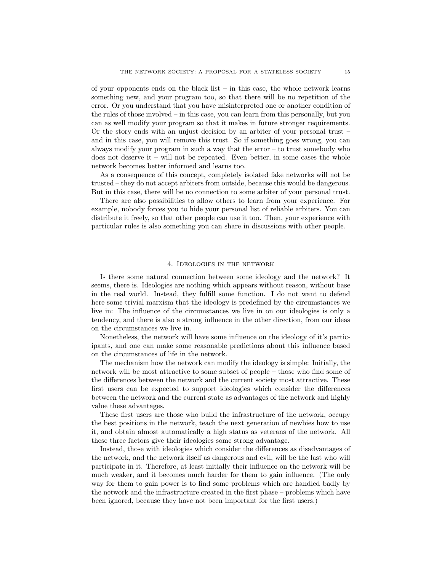of your opponents ends on the black list  $-$  in this case, the whole network learns something new, and your program too, so that there will be no repetition of the error. Or you understand that you have misinterpreted one or another condition of the rules of those involved – in this case, you can learn from this personally, but you can as well modify your program so that it makes in future stronger requirements. Or the story ends with an unjust decision by an arbiter of your personal trust – and in this case, you will remove this trust. So if something goes wrong, you can always modify your program in such a way that the error – to trust somebody who does not deserve it – will not be repeated. Even better, in some cases the whole network becomes better informed and learns too.

As a consequence of this concept, completely isolated fake networks will not be trusted – they do not accept arbiters from outside, because this would be dangerous. But in this case, there will be no connection to some arbiter of your personal trust.

There are also possibilities to allow others to learn from your experience. For example, nobody forces you to hide your personal list of reliable arbiters. You can distribute it freely, so that other people can use it too. Then, your experience with particular rules is also something you can share in discussions with other people.

#### 4. Ideologies in the network

<span id="page-14-0"></span>Is there some natural connection between some ideology and the network? It seems, there is. Ideologies are nothing which appears without reason, without base in the real world. Instead, they fulfill some function. I do not want to defend here some trivial marxism that the ideology is predefined by the circumstances we live in: The influence of the circumstances we live in on our ideologies is only a tendency, and there is also a strong influence in the other direction, from our ideas on the circumstances we live in.

Nonetheless, the network will have some influence on the ideology of it's participants, and one can make some reasonable predictions about this influence based on the circumstances of life in the network.

The mechanism how the network can modify the ideology is simple: Initially, the network will be most attractive to some subset of people – those who find some of the differences between the network and the current society most attractive. These first users can be expected to support ideologies which consider the differences between the network and the current state as advantages of the network and highly value these advantages.

These first users are those who build the infrastructure of the network, occupy the best positions in the network, teach the next generation of newbies how to use it, and obtain almost automatically a high status as veterans of the network. All these three factors give their ideologies some strong advantage.

Instead, those with ideologies which consider the differences as disadvantages of the network, and the network itself as dangerous and evil, will be the last who will participate in it. Therefore, at least initially their influence on the network will be much weaker, and it becomes much harder for them to gain influence. (The only way for them to gain power is to find some problems which are handled badly by the network and the infrastructure created in the first phase – problems which have been ignored, because they have not been important for the first users.)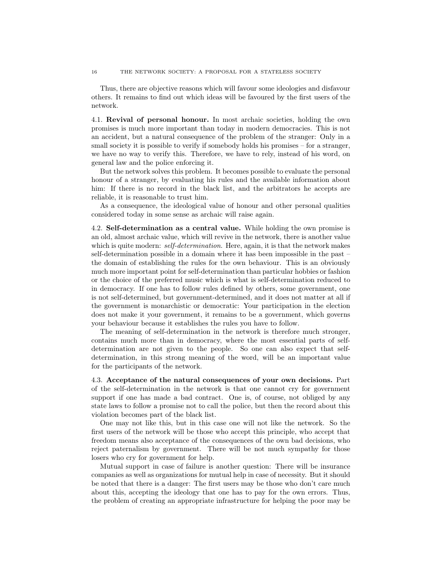Thus, there are objective reasons which will favour some ideologies and disfavour others. It remains to find out which ideas will be favoured by the first users of the network.

<span id="page-15-0"></span>4.1. Revival of personal honour. In most archaic societies, holding the own promises is much more important than today in modern democracies. This is not an accident, but a natural consequence of the problem of the stranger: Only in a small society it is possible to verify if somebody holds his promises – for a stranger, we have no way to verify this. Therefore, we have to rely, instead of his word, on general law and the police enforcing it.

But the network solves this problem. It becomes possible to evaluate the personal honour of a stranger, by evaluating his rules and the available information about him: If there is no record in the black list, and the arbitrators he accepts are reliable, it is reasonable to trust him.

As a consequence, the ideological value of honour and other personal qualities considered today in some sense as archaic will raise again.

<span id="page-15-1"></span>4.2. Self-determination as a central value. While holding the own promise is an old, almost archaic value, which will revive in the network, there is another value which is quite modern: *self-determination*. Here, again, it is that the network makes self-determination possible in a domain where it has been impossible in the past – the domain of establishing the rules for the own behaviour. This is an obviously much more important point for self-determination than particular hobbies or fashion or the choice of the preferred music which is what is self-determination reduced to in democracy. If one has to follow rules defined by others, some government, one is not self-determined, but government-determined, and it does not matter at all if the government is monarchistic or democratic: Your participation in the election does not make it your government, it remains to be a government, which governs your behaviour because it establishes the rules you have to follow.

The meaning of self-determination in the network is therefore much stronger, contains much more than in democracy, where the most essential parts of selfdetermination are not given to the people. So one can also expect that selfdetermination, in this strong meaning of the word, will be an important value for the participants of the network.

<span id="page-15-2"></span>4.3. Acceptance of the natural consequences of your own decisions. Part of the self-determination in the network is that one cannot cry for government support if one has made a bad contract. One is, of course, not obliged by any state laws to follow a promise not to call the police, but then the record about this violation becomes part of the black list.

One may not like this, but in this case one will not like the network. So the first users of the network will be those who accept this principle, who accept that freedom means also acceptance of the consequences of the own bad decisions, who reject paternalism by government. There will be not much sympathy for those losers who cry for government for help.

Mutual support in case of failure is another question: There will be insurance companies as well as organizations for mutual help in case of necessity. But it should be noted that there is a danger: The first users may be those who don't care much about this, accepting the ideology that one has to pay for the own errors. Thus, the problem of creating an appropriate infrastructure for helping the poor may be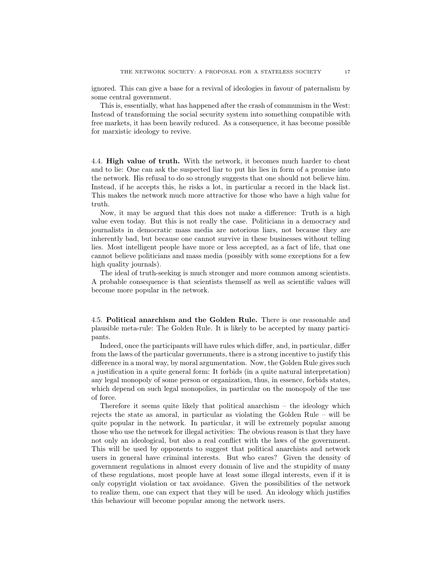ignored. This can give a base for a revival of ideologies in favour of paternalism by some central government.

This is, essentially, what has happened after the crash of communism in the West: Instead of transforming the social security system into something compatible with free markets, it has been heavily reduced. As a consequence, it has become possible for marxistic ideology to revive.

<span id="page-16-0"></span>4.4. High value of truth. With the network, it becomes much harder to cheat and to lie: One can ask the suspected liar to put his lies in form of a promise into the network. His refusal to do so strongly suggests that one should not believe him. Instead, if he accepts this, he risks a lot, in particular a record in the black list. This makes the network much more attractive for those who have a high value for truth.

Now, it may be argued that this does not make a difference: Truth is a high value even today. But this is not really the case. Politicians in a democracy and journalists in democratic mass media are notorious liars, not because they are inherently bad, but because one cannot survive in these businesses without telling lies. Most intelligent people have more or less accepted, as a fact of life, that one cannot believe politicians and mass media (possibly with some exceptions for a few high quality journals).

The ideal of truth-seeking is much stronger and more common among scientists. A probable consequence is that scientists themself as well as scientific values will become more popular in the network.

<span id="page-16-1"></span>4.5. Political anarchism and the Golden Rule. There is one reasonable and plausible meta-rule: The Golden Rule. It is likely to be accepted by many participants.

Indeed, once the participants will have rules which differ, and, in particular, differ from the laws of the particular governments, there is a strong incentive to justify this difference in a moral way, by moral argumentation. Now, the Golden Rule gives such a justification in a quite general form: It forbids (in a quite natural interpretation) any legal monopoly of some person or organization, thus, in essence, forbids states, which depend on such legal monopolies, in particular on the monopoly of the use of force.

Therefore it seems quite likely that political anarchism – the ideology which rejects the state as amoral, in particular as violating the Golden Rule – will be quite popular in the network. In particular, it will be extremely popular among those who use the network for illegal activities: The obvious reason is that they have not only an ideological, but also a real conflict with the laws of the government. This will be used by opponents to suggest that political anarchists and network users in general have criminal interests. But who cares? Given the density of government regulations in almost every domain of live and the stupidity of many of these regulations, most people have at least some illegal interests, even if it is only copyright violation or tax avoidance. Given the possibilities of the network to realize them, one can expect that they will be used. An ideology which justifies this behaviour will become popular among the network users.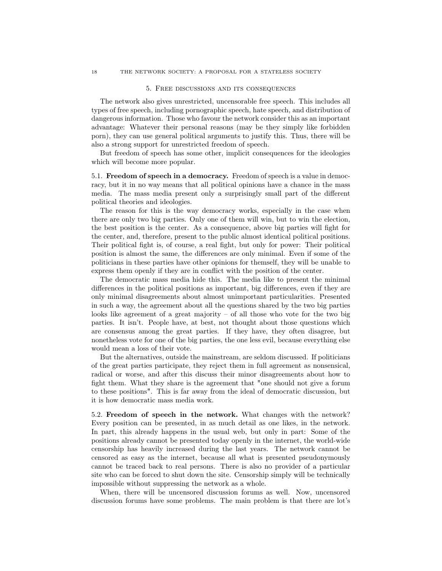#### <span id="page-17-0"></span>18 THE NETWORK SOCIETY: A PROPOSAL FOR A STATELESS SOCIETY

## 5. Free discussions and its consequences

The network also gives unrestricted, uncensorable free speech. This includes all types of free speech, including pornographic speech, hate speech, and distribution of dangerous information. Those who favour the network consider this as an important advantage: Whatever their personal reasons (may be they simply like forbidden porn), they can use general political arguments to justify this. Thus, there will be also a strong support for unrestricted freedom of speech.

But freedom of speech has some other, implicit consequences for the ideologies which will become more popular.

<span id="page-17-1"></span>5.1. Freedom of speech in a democracy. Freedom of speech is a value in democracy, but it in no way means that all political opinions have a chance in the mass media. The mass media present only a surprisingly small part of the different political theories and ideologies.

The reason for this is the way democracy works, especially in the case when there are only two big parties. Only one of them will win, but to win the election, the best position is the center. As a consequence, above big parties will fight for the center, and, therefore, present to the public almost identical political positions. Their political fight is, of course, a real fight, but only for power: Their political position is almost the same, the differences are only minimal. Even if some of the politicians in these parties have other opinions for themself, they will be unable to express them openly if they are in conflict with the position of the center.

The democratic mass media hide this. The media like to present the minimal differences in the political positions as important, big differences, even if they are only minimal disagreements about almost unimportant particularities. Presented in such a way, the agreement about all the questions shared by the two big parties looks like agreement of a great majority – of all those who vote for the two big parties. It isn't. People have, at best, not thought about those questions which are consensus among the great parties. If they have, they often disagree, but nonetheless vote for one of the big parties, the one less evil, because everything else would mean a loss of their vote.

But the alternatives, outside the mainstream, are seldom discussed. If politicians of the great parties participate, they reject them in full agreement as nonsensical, radical or worse, and after this discuss their minor disagreements about how to fight them. What they share is the agreement that "one should not give a forum to these positions". This is far away from the ideal of democratic discussion, but it is how democratic mass media work.

<span id="page-17-2"></span>5.2. Freedom of speech in the network. What changes with the network? Every position can be presented, in as much detail as one likes, in the network. In part, this already happens in the usual web, but only in part: Some of the positions already cannot be presented today openly in the internet, the world-wide censorship has heavily increased during the last years. The network cannot be censored as easy as the internet, because all what is presented pseudonymously cannot be traced back to real persons. There is also no provider of a particular site who can be forced to shut down the site. Censorship simply will be technically impossible without suppressing the network as a whole.

When, there will be uncensored discussion forums as well. Now, uncensored discussion forums have some problems. The main problem is that there are lot's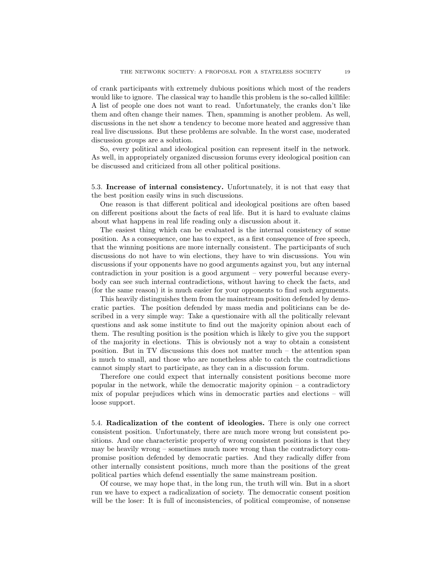of crank participants with extremely dubious positions which most of the readers would like to ignore. The classical way to handle this problem is the so-called killfile: A list of people one does not want to read. Unfortunately, the cranks don't like them and often change their names. Then, spamming is another problem. As well, discussions in the net show a tendency to become more heated and aggressive than real live discussions. But these problems are solvable. In the worst case, moderated discussion groups are a solution.

So, every political and ideological position can represent itself in the network. As well, in appropriately organized discussion forums every ideological position can be discussed and criticized from all other political positions.

<span id="page-18-0"></span>5.3. Increase of internal consistency. Unfortunately, it is not that easy that the best position easily wins in such discussions.

One reason is that different political and ideological positions are often based on different positions about the facts of real life. But it is hard to evaluate claims about what happens in real life reading only a discussion about it.

The easiest thing which can be evaluated is the internal consistency of some position. As a consequence, one has to expect, as a first consequence of free speech, that the winning positions are more internally consistent. The participants of such discussions do not have to win elections, they have to win discussions. You win discussions if your opponents have no good arguments against you, but any internal contradiction in your position is a good argument – very powerful because everybody can see such internal contradictions, without having to check the facts, and (for the same reason) it is much easier for your opponents to find such arguments.

This heavily distinguishes them from the mainstream position defended by democratic parties. The position defended by mass media and politicians can be described in a very simple way: Take a questionaire with all the politically relevant questions and ask some institute to find out the majority opinion about each of them. The resulting position is the position which is likely to give you the support of the majority in elections. This is obviously not a way to obtain a consistent position. But in TV discussions this does not matter much – the attention span is much to small, and those who are nonetheless able to catch the contradictions cannot simply start to participate, as they can in a discussion forum.

Therefore one could expect that internally consistent positions become more popular in the network, while the democratic majority opinion  $-$  a contradictory mix of popular prejudices which wins in democratic parties and elections – will loose support.

<span id="page-18-1"></span>5.4. Radicalization of the content of ideologies. There is only one correct consistent position. Unfortunately, there are much more wrong but consistent positions. And one characteristic property of wrong consistent positions is that they may be heavily wrong – sometimes much more wrong than the contradictory compromise position defended by democratic parties. And they radically differ from other internally consistent positions, much more than the positions of the great political parties which defend essentially the same mainstream position.

Of course, we may hope that, in the long run, the truth will win. But in a short run we have to expect a radicalization of society. The democratic consent position will be the loser: It is full of inconsistencies, of political compromise, of nonsense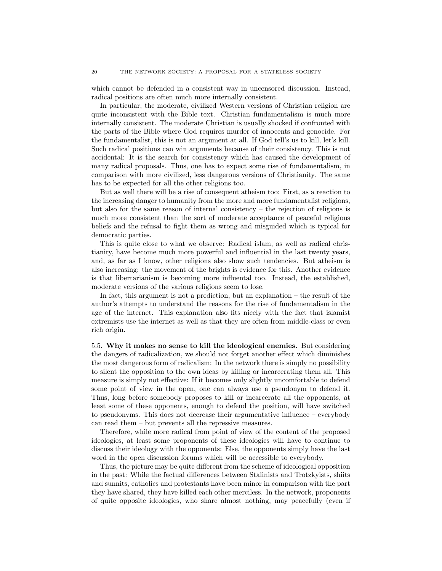which cannot be defended in a consistent way in uncensored discussion. Instead, radical positions are often much more internally consistent.

In particular, the moderate, civilized Western versions of Christian religion are quite inconsistent with the Bible text. Christian fundamentalism is much more internally consistent. The moderate Christian is usually shocked if confronted with the parts of the Bible where God requires murder of innocents and genocide. For the fundamentalist, this is not an argument at all. If God tell's us to kill, let's kill. Such radical positions can win arguments because of their consistency. This is not accidental: It is the search for consistency which has caused the development of many radical proposals. Thus, one has to expect some rise of fundamentalism, in comparison with more civilized, less dangerous versions of Christianity. The same has to be expected for all the other religions too.

But as well there will be a rise of consequent atheism too: First, as a reaction to the increasing danger to humanity from the more and more fundamentalist religions, but also for the same reason of internal consistency – the rejection of religions is much more consistent than the sort of moderate acceptance of peaceful religious beliefs and the refusal to fight them as wrong and misguided which is typical for democratic parties.

This is quite close to what we observe: Radical islam, as well as radical christianity, have become much more powerful and influential in the last twenty years, and, as far as I know, other religions also show such tendencies. But atheism is also increasing: the movement of the brights is evidence for this. Another evidence is that libertarianism is becoming more influental too. Instead, the established, moderate versions of the various religions seem to lose.

In fact, this argument is not a prediction, but an explanation – the result of the author's attempts to understand the reasons for the rise of fundamentalism in the age of the internet. This explanation also fits nicely with the fact that islamist extremists use the internet as well as that they are often from middle-class or even rich origin.

<span id="page-19-0"></span>5.5. Why it makes no sense to kill the ideological enemies. But considering the dangers of radicalization, we should not forget another effect which diminishes the most dangerous form of radicalism: In the network there is simply no possibility to silent the opposition to the own ideas by killing or incarcerating them all. This measure is simply not effective: If it becomes only slightly uncomfortable to defend some point of view in the open, one can always use a pseudonym to defend it. Thus, long before somebody proposes to kill or incarcerate all the opponents, at least some of these opponents, enough to defend the position, will have switched to pseudonyms. This does not decrease their argumentative influence – everybody can read them – but prevents all the repressive measures.

Therefore, while more radical from point of view of the content of the proposed ideologies, at least some proponents of these ideologies will have to continue to discuss their ideology with the opponents: Else, the opponents simply have the last word in the open discussion forums which will be accessible to everybody.

Thus, the picture may be quite different from the scheme of ideological opposition in the past: While the factual differences between Stalinists and Trotzkyists, shiits and sunnits, catholics and protestants have been minor in comparison with the part they have shared, they have killed each other merciless. In the network, proponents of quite opposite ideologies, who share almost nothing, may peacefully (even if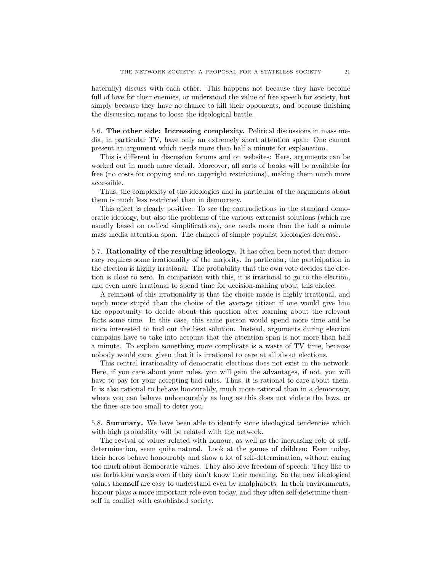hatefully) discuss with each other. This happens not because they have become full of love for their enemies, or understood the value of free speech for society, but simply because they have no chance to kill their opponents, and because finishing the discussion means to loose the ideological battle.

<span id="page-20-0"></span>5.6. The other side: Increasing complexity. Political discussions in mass media, in particular TV, have only an extremely short attention span: One cannot present an argument which needs more than half a minute for explanation.

This is different in discussion forums and on websites: Here, arguments can be worked out in much more detail. Moreover, all sorts of books will be available for free (no costs for copying and no copyright restrictions), making them much more accessible.

Thus, the complexity of the ideologies and in particular of the arguments about them is much less restricted than in democracy.

This effect is clearly positive: To see the contradictions in the standard democratic ideology, but also the problems of the various extremist solutions (which are usually based on radical simplifications), one needs more than the half a minute mass media attention span. The chances of simple populist ideologies decrease.

<span id="page-20-1"></span>5.7. Rationality of the resulting ideology. It has often been noted that democracy requires some irrationality of the majority. In particular, the participation in the election is highly irrational: The probability that the own vote decides the election is close to zero. In comparison with this, it is irrational to go to the election, and even more irrational to spend time for decision-making about this choice.

A remnant of this irrationality is that the choice made is highly irrational, and much more stupid than the choice of the average citizen if one would give him the opportunity to decide about this question after learning about the relevant facts some time. In this case, this same person would spend more time and be more interested to find out the best solution. Instead, arguments during election campains have to take into account that the attention span is not more than half a minute. To explain something more complicate is a waste of TV time, because nobody would care, given that it is irrational to care at all about elections.

This central irrationality of democratic elections does not exist in the network. Here, if you care about your rules, you will gain the advantages, if not, you will have to pay for your accepting bad rules. Thus, it is rational to care about them. It is also rational to behave honourably, much more rational than in a democracy, where you can behave unhonourably as long as this does not violate the laws, or the fines are too small to deter you.

<span id="page-20-2"></span>5.8. Summary. We have been able to identify some ideological tendencies which with high probability will be related with the network.

The revival of values related with honour, as well as the increasing role of selfdetermination, seem quite natural. Look at the games of children: Even today, their heros behave honourably and show a lot of self-determination, without caring too much about democratic values. They also love freedom of speech: They like to use forbidden words even if they don't know their meaning. So the new ideological values themself are easy to understand even by analphabets. In their environments, honour plays a more important role even today, and they often self-determine themself in conflict with established society.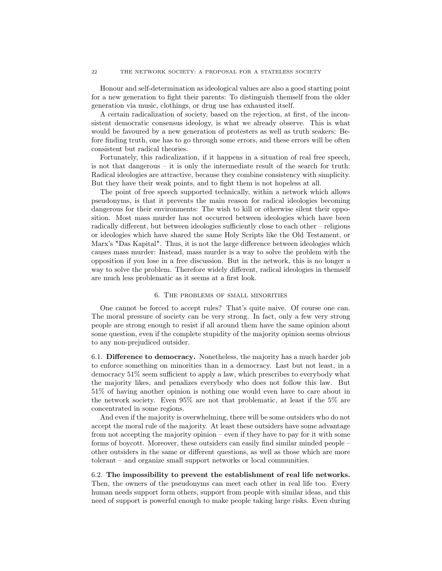Honour and self-determination as ideological values are also a good starting point for a new generation to fight their parents: To distinguish themself from the older generation via music, clothings, or drug use has exhausted itself.

A certain radicalization of society, based on the rejection, at first, of the inconsistent democratic consensus ideology, is what we already observe. This is what would be favoured by a new generation of protesters as well as truth seakers: Before finding truth, one has to go through some errors, and these errors will be often consistent but radical theories.

Fortunately, this radicalization, if it happens in a situation of real free speech, is not that dangerous – it is only the intermediate result of the search for truth: Radical ideologies are attractive, because they combine consistency with simplicity. But they have their weak points, and to fight them is not hopeless at all.

The point of free speech supported technically, within a network which allows pseudonyms, is that it prevents the main reason for radical ideologies becoming dangerous for their environments: The wish to kill or otherwise silent their opposition. Most mass murder has not occurred between ideologies which have been radically different, but between ideologies sufficiently close to each other – religions or ideologies which have shared the same Holy Scripts like the Old Testament, or Marx's "Das Kapital". Thus, it is not the large difference between ideologies which causes mass murder: Instead, mass murder is a way to solve the problem with the opposition if you lose in a free discussion. But in the network, this is no longer a way to solve the problem. Therefore widely different, radical ideologies in themself are much less problematic as it seems at a first look.

## 6. The problems of small minorities

<span id="page-21-0"></span>One cannot be forced to accept rules? That's quite naive. Of course one can. The moral pressure of society can be very strong. In fact, only a few very strong people are strong enough to resist if all around them have the same opinion about some question, even if the complete stupidity of the majority opinion seems obvious to any non-prejudiced outsider.

<span id="page-21-1"></span>6.1. Difference to democracy. Nonetheless, the majority has a much harder job to enforce something on minorities than in a democracy. Last but not least, in a democracy 51% seem sufficient to apply a law, which prescribes to everybody what the majority likes, and penalizes everybody who does not follow this law. But 51% of having another opinion is nothing one would even have to care about in the network society. Even 95% are not that problematic, at least if the 5% are concentrated in some regions.

And even if the majority is overwhelming, there will be some outsiders who do not accept the moral rule of the majority. At least these outsiders have some advantage from not accepting the majority opinion – even if they have to pay for it with some forms of boycott. Moreover, these outsiders can easily find similar minded people – other outsiders in the same or different questions, as well as those which are more tolerant – and organize small support networks or local communities.

<span id="page-21-2"></span>6.2. The impossibility to prevent the establishment of real life networks. Then, the owners of the pseudonyms can meet each other in real life too. Every human needs support form others, support from people with similar ideas, and this need of support is powerful enough to make people taking large risks. Even during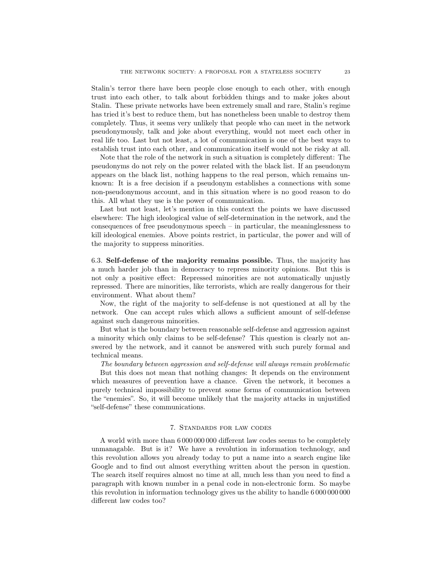Stalin's terror there have been people close enough to each other, with enough trust into each other, to talk about forbidden things and to make jokes about Stalin. These private networks have been extremely small and rare, Stalin's regime has tried it's best to reduce them, but has nonetheless been unable to destroy them completely. Thus, it seems very unlikely that people who can meet in the network pseudonymously, talk and joke about everything, would not meet each other in real life too. Last but not least, a lot of communication is one of the best ways to establish trust into each other, and communication itself would not be risky at all.

Note that the role of the network in such a situation is completely different: The pseudonyms do not rely on the power related with the black list. If an pseudonym appears on the black list, nothing happens to the real person, which remains unknown: It is a free decision if a pseudonym establishes a connections with some non-pseudonymous account, and in this situation where is no good reason to do this. All what they use is the power of communication.

Last but not least, let's mention in this context the points we have discussed elsewhere: The high ideological value of self-determination in the network, and the consequences of free pseudonymous speech – in particular, the meaninglessness to kill ideological enemies. Above points restrict, in particular, the power and will of the majority to suppress minorities.

<span id="page-22-0"></span>6.3. Self-defense of the majority remains possible. Thus, the majority has a much harder job than in democracy to repress minority opinions. But this is not only a positive effect: Repressed minorities are not automatically unjustly repressed. There are minorities, like terrorists, which are really dangerous for their environment. What about them?

Now, the right of the majority to self-defense is not questioned at all by the network. One can accept rules which allows a sufficient amount of self-defense against such dangerous minorities.

But what is the boundary between reasonable self-defense and aggression against a minority which only claims to be self-defense? This question is clearly not answered by the network, and it cannot be answered with such purely formal and technical means.

The boundary between aggression and self-defense will always remain problematic

But this does not mean that nothing changes: It depends on the environment which measures of prevention have a chance. Given the network, it becomes a purely technical impossibility to prevent some forms of communication between the "enemies". So, it will become unlikely that the majority attacks in unjustified "self-defense" these communications.

#### 7. Standards for law codes

<span id="page-22-1"></span>A world with more than 6 000 000 000 different law codes seems to be completely unmanagable. But is it? We have a revolution in information technology, and this revolution allows you already today to put a name into a search engine like Google and to find out almost everything written about the person in question. The search itself requires almost no time at all, much less than you need to find a paragraph with known number in a penal code in non-electronic form. So maybe this revolution in information technology gives us the ability to handle 6 000 000 000 different law codes too?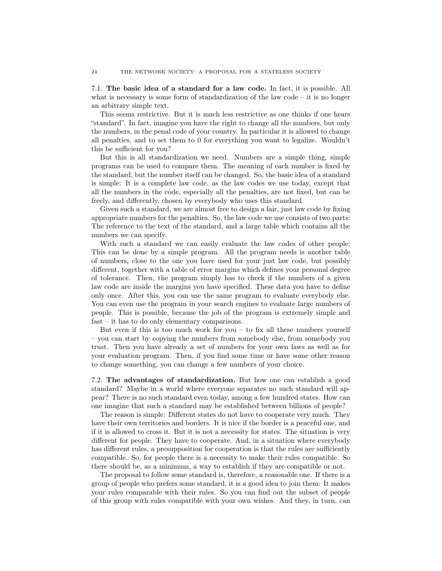<span id="page-23-0"></span>7.1. The basic idea of a standard for a law code. In fact, it is possible. All what is necessary is some form of standardization of the law code – it is no longer an arbitrary simple text.

This seems restrictive. But it is much less restrictive as one thinks if one hears "standard". In fact, imagine you have the right to change all the numbers, but only the numbers, in the penal code of your country. In particular it is allowed to change all penalties, and to set them to 0 for everything you want to legalize. Wouldn't this be sufficient for you?

But this is all standardization we need. Numbers are a simple thing, simple programs can be used to compare them. The meaning of each number is fixed by the standard, but the number itself can be changed. So, the basic idea of a standard is simple: It is a complete law code, as the law codes we use today, except that all the numbers in the code, especially all the penalties, are not fixed, but can be freely, and differently, chosen by everybody who uses this standard.

Given such a standard, we are almost free to design a fair, just law code by fixing appropriate numbers for the penalties. So, the law code we use consists of two parts: The reference to the text of the standard, and a large table which contains all the numbers we can specify.

With such a standard we can easily evaluate the law codes of other people: This can be done by a simple program. All the program needs is another table of numbers, close to the one you have used for your just law code, but possibly different, together with a table of error margins which defines your personal degree of tolerance. Then, the program simply has to check if the numbers of a given law code are inside the margins you have specified. These data you have to define only once. After this, you can use the same program to evaluate everybody else. You can even use the program in your search engines to evaluate large numbers of people. This is possible, because the job of the program is extremely simple and fast – it has to do only elementary comparisons.

But even if this is too much work for you – to fix all these numbers yourself – you can start by copying the numbers from somebody else, from somebody you trust. Then you have already a set of numbers for your own laws as well as for your evaluation program. Then, if you find some time or have some other reason to change something, you can change a few numbers of your choice.

<span id="page-23-1"></span>7.2. The advantages of standardization. But how one can establish a good standard? Maybe in a world where everyone separates no such standard will appear? There is no such standard even today, among a few hundred states. How can one imagine that such a standard may be established between billions of people?

The reason is simple: Different states do not have to cooperate very much. They have their own territories and borders. It is nice if the border is a peaceful one, and if it is allowed to cross it. But it is not a necessity for states. The situation is very different for people. They have to cooperate. And, in a situation where everybody has different rules, a presupposition for cooperation is that the rules are sufficiently compatible. So, for people there is a necessity to make their rules compatible. So there should be, as a minimum, a way to establish if they are compatible or not.

The proposal to follow some standard is, therefore, a reasonable one. If there is a group of people who prefers some standard, it is a good idea to join them: It makes your rules comparable with their rules. So you can find out the subset of people of this group with rules compatible with your own wishes. And they, in turn, can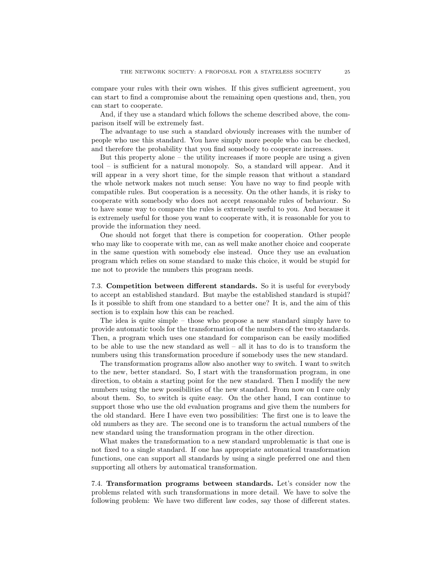compare your rules with their own wishes. If this gives sufficient agreement, you can start to find a compromise about the remaining open questions and, then, you can start to cooperate.

And, if they use a standard which follows the scheme described above, the comparison itself will be extremely fast.

The advantage to use such a standard obviously increases with the number of people who use this standard. You have simply more people who can be checked, and therefore the probability that you find somebody to cooperate increases.

But this property alone – the utility increases if more people are using a given tool – is sufficient for a natural monopoly. So, a standard will appear. And it will appear in a very short time, for the simple reason that without a standard the whole network makes not much sense: You have no way to find people with compatible rules. But cooperation is a necessity. On the other hands, it is risky to cooperate with somebody who does not accept reasonable rules of behaviour. So to have some way to compare the rules is extremely useful to you. And because it is extremely useful for those you want to cooperate with, it is reasonable for you to provide the information they need.

One should not forget that there is competion for cooperation. Other people who may like to cooperate with me, can as well make another choice and cooperate in the same question with somebody else instead. Once they use an evaluation program which relies on some standard to make this choice, it would be stupid for me not to provide the numbers this program needs.

<span id="page-24-0"></span>7.3. Competition between different standards. So it is useful for everybody to accept an established standard. But maybe the established standard is stupid? Is it possible to shift from one standard to a better one? It is, and the aim of this section is to explain how this can be reached.

The idea is quite simple – those who propose a new standard simply have to provide automatic tools for the transformation of the numbers of the two standards. Then, a program which uses one standard for comparison can be easily modified to be able to use the new standard as well – all it has to do is to transform the numbers using this transformation procedure if somebody uses the new standard.

The transformation programs allow also another way to switch. I want to switch to the new, better standard. So, I start with the transformation program, in one direction, to obtain a starting point for the new standard. Then I modify the new numbers using the new possibilities of the new standard. From now on I care only about them. So, to switch is quite easy. On the other hand, I can continue to support those who use the old evaluation programs and give them the numbers for the old standard. Here I have even two possibilities: The first one is to leave the old numbers as they are. The second one is to transform the actual numbers of the new standard using the transformation program in the other direction.

What makes the transformation to a new standard unproblematic is that one is not fixed to a single standard. If one has appropriate automatical transformation functions, one can support all standards by using a single preferred one and then supporting all others by automatical transformation.

<span id="page-24-1"></span>7.4. Transformation programs between standards. Let's consider now the problems related with such transformations in more detail. We have to solve the following problem: We have two different law codes, say those of different states.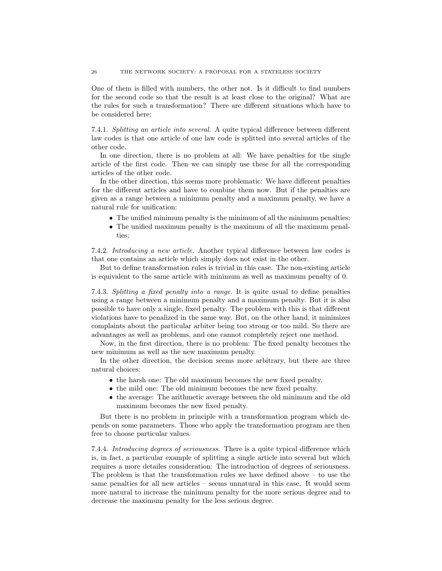One of them is filled with numbers, the other not. Is it difficult to find numbers for the second code so that the result is at least close to the original? What are the rules for such a transformation? There are different situations which have to be considered here:

7.4.1. Splitting an article into several. A quite typical difference between different law codes is that one article of one law code is splitted into several articles of the other code.

In one direction, there is no problem at all: We have penalties for the single article of the first code. Then we can simply use these for all the corresponding articles of the other code.

In the other direction, this seems more problematic: We have different penalties for the different articles and have to combine them now. But if the penalties are given as a range between a minimum penalty and a maximum penalty, we have a natural rule for unification:

- The unified minimum penalty is the minimum of all the minimum penalties;
- The unified maximum penalty is the maximum of all the maximum penalties;

7.4.2. Introducing a new article. Another typical difference between law codes is that one contains an article which simply does not exist in the other.

But to define transformation rules is trivial in this case. The non-existing article is equivalent to the same article with minimum as well as maximum penalty of 0.

7.4.3. Splitting a fixed penalty into a range. It is quite usual to define penalties using a range between a minimum penalty and a maximum penalty. But it is also possible to have only a single, fixed penalty. The problem with this is that different violations have to penalized in the same way. But, on the other hand, it minimizes complaints about the particular arbiter being too strong or too mild. So there are advantages as well as problems, and one cannot completely reject one method.

Now, in the first direction, there is no problem: The fixed penalty becomes the new minimum as well as the new maximum penalty.

In the other direction, the decision seems more arbitrary, but there are three natural choices:

- the harsh one: The old maximum becomes the new fixed penalty.
- the mild one: The old minimum becomes the new fixed penalty.
- the average: The arithmetic average between the old minimum and the old maximum becomes the new fixed penalty.

But there is no problem in principle with a transformation program which depends on some parameters. Those who apply the transformation program are then free to choose particular values.

7.4.4. Introducing degrees of seriousness. There is a quite typical difference which is, in fact, a particular example of splitting a single article into several but which requires a more detailes consideration: The introduction of degrees of seriousness. The problem is that the transformation rules we have defined above – to use the same penalties for all new articles – seems unnatural in this case. It would seem more natural to increase the minimum penalty for the more serious degree and to decrease the maximum penalty for the less serious degree.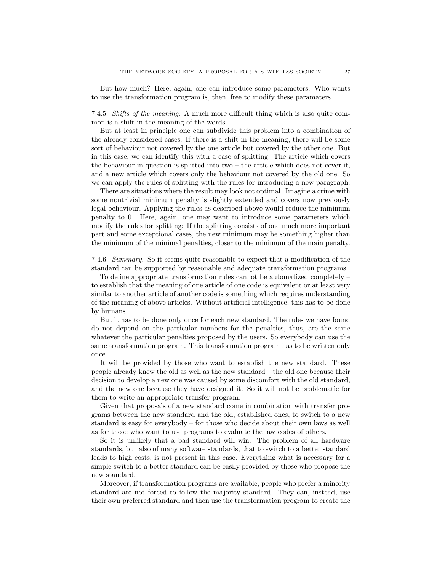But how much? Here, again, one can introduce some parameters. Who wants to use the transformation program is, then, free to modify these paramaters.

7.4.5. Shifts of the meaning. A much more difficult thing which is also quite common is a shift in the meaning of the words.

But at least in principle one can subdivide this problem into a combination of the already considered cases. If there is a shift in the meaning, there will be some sort of behaviour not covered by the one article but covered by the other one. But in this case, we can identify this with a case of splitting. The article which covers the behaviour in question is splitted into two  $-$  the article which does not cover it, and a new article which covers only the behaviour not covered by the old one. So we can apply the rules of splitting with the rules for introducing a new paragraph.

There are situations where the result may look not optimal. Imagine a crime with some nontrivial minimum penalty is slightly extended and covers now previously legal behaviour. Applying the rules as described above would reduce the minimum penalty to 0. Here, again, one may want to introduce some parameters which modify the rules for splitting: If the splitting consists of one much more important part and some exceptional cases, the new minimum may be something higher than the minimum of the minimal penalties, closer to the minimum of the main penalty.

7.4.6. Summary. So it seems quite reasonable to expect that a modification of the standard can be supported by reasonable and adequate transformation programs.

To define appropriate transformation rules cannot be automatized completely – to establish that the meaning of one article of one code is equivalent or at least very similar to another article of another code is something which requires understanding of the meaning of above articles. Without artificial intelligence, this has to be done by humans.

But it has to be done only once for each new standard. The rules we have found do not depend on the particular numbers for the penalties, thus, are the same whatever the particular penalties proposed by the users. So everybody can use the same transformation program. This transformation program has to be written only once.

It will be provided by those who want to establish the new standard. These people already knew the old as well as the new standard – the old one because their decision to develop a new one was caused by some discomfort with the old standard, and the new one because they have designed it. So it will not be problematic for them to write an appropriate transfer program.

Given that proposals of a new standard come in combination with transfer programs between the new standard and the old, established ones, to switch to a new standard is easy for everybody – for those who decide about their own laws as well as for those who want to use programs to evaluate the law codes of others.

So it is unlikely that a bad standard will win. The problem of all hardware standards, but also of many software standards, that to switch to a better standard leads to high costs, is not present in this case. Everything what is necessary for a simple switch to a better standard can be easily provided by those who propose the new standard.

Moreover, if transformation programs are available, people who prefer a minority standard are not forced to follow the majority standard. They can, instead, use their own preferred standard and then use the transformation program to create the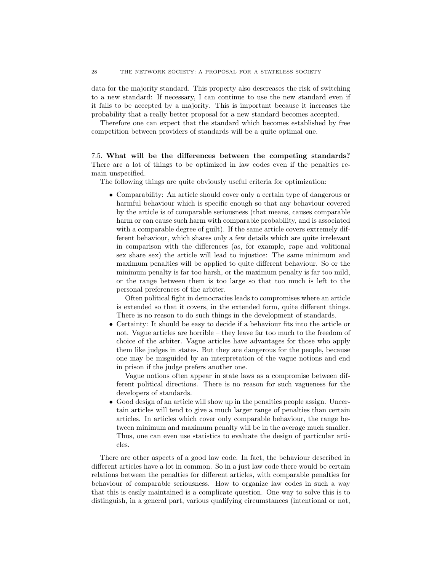data for the majority standard. This property also descreases the risk of switching to a new standard: If necessary, I can continue to use the new standard even if it fails to be accepted by a majority. This is important because it increases the probability that a really better proposal for a new standard becomes accepted.

Therefore one can expect that the standard which becomes established by free competition between providers of standards will be a quite optimal one.

<span id="page-27-0"></span>7.5. What will be the differences between the competing standards? There are a lot of things to be optimized in law codes even if the penalties remain unspecified.

The following things are quite obviously useful criteria for optimization:

• Comparability: An article should cover only a certain type of dangerous or harmful behaviour which is specific enough so that any behaviour covered by the article is of comparable seriousness (that means, causes comparable harm or can cause such harm with comparable probability, and is associated with a comparable degree of guilt). If the same article covers extremely different behaviour, which shares only a few details which are quite irrelevant in comparison with the differences (as, for example, rape and volitional sex share sex) the article will lead to injustice: The same minimum and maximum penalties will be applied to quite different behaviour. So or the minimum penalty is far too harsh, or the maximum penalty is far too mild, or the range between them is too large so that too much is left to the personal preferences of the arbiter.

Often political fight in democracies leads to compromises where an article is extended so that it covers, in the extended form, quite different things. There is no reason to do such things in the development of standards.

• Certainty: It should be easy to decide if a behaviour fits into the article or not. Vague articles are horrible – they leave far too much to the freedom of choice of the arbiter. Vague articles have advantages for those who apply them like judges in states. But they are dangerous for the people, because one may be misguided by an interpretation of the vague notions and end in prison if the judge prefers another one.

Vague notions often appear in state laws as a compromise between different political directions. There is no reason for such vagueness for the developers of standards.

• Good design of an article will show up in the penalties people assign. Uncertain articles will tend to give a much larger range of penalties than certain articles. In articles which cover only comparable behaviour, the range between minimum and maximum penalty will be in the average much smaller. Thus, one can even use statistics to evaluate the design of particular articles.

There are other aspects of a good law code. In fact, the behaviour described in different articles have a lot in common. So in a just law code there would be certain relations between the penalties for different articles, with comparable penalties for behaviour of comparable seriousness. How to organize law codes in such a way that this is easily maintained is a complicate question. One way to solve this is to distinguish, in a general part, various qualifying circumstances (intentional or not,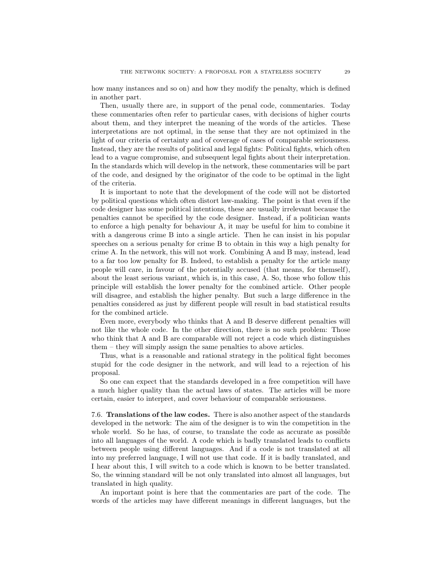how many instances and so on) and how they modify the penalty, which is defined in another part.

Then, usually there are, in support of the penal code, commentaries. Today these commentaries often refer to particular cases, with decisions of higher courts about them, and they interpret the meaning of the words of the articles. These interpretations are not optimal, in the sense that they are not optimized in the light of our criteria of certainty and of coverage of cases of comparable seriousness. Instead, they are the results of political and legal fights: Political fights, which often lead to a vague compromise, and subsequent legal fights about their interpretation. In the standards which will develop in the network, these commentaries will be part of the code, and designed by the originator of the code to be optimal in the light of the criteria.

It is important to note that the development of the code will not be distorted by political questions which often distort law-making. The point is that even if the code designer has some political intentions, these are usually irrelevant because the penalties cannot be specified by the code designer. Instead, if a politician wants to enforce a high penalty for behaviour A, it may be useful for him to combine it with a dangerous crime B into a single article. Then he can insist in his popular speeches on a serious penalty for crime B to obtain in this way a high penalty for crime A. In the network, this will not work. Combining A and B may, instead, lead to a far too low penalty for B. Indeed, to establish a penalty for the article many people will care, in favour of the potentially accused (that means, for themself), about the least serious variant, which is, in this case, A. So, those who follow this principle will establish the lower penalty for the combined article. Other people will disagree, and establish the higher penalty. But such a large difference in the penalties considered as just by different people will result in bad statistical results for the combined article.

Even more, everybody who thinks that A and B deserve different penalties will not like the whole code. In the other direction, there is no such problem: Those who think that A and B are comparable will not reject a code which distinguishes them – they will simply assign the same penalties to above articles.

Thus, what is a reasonable and rational strategy in the political fight becomes stupid for the code designer in the network, and will lead to a rejection of his proposal.

So one can expect that the standards developed in a free competition will have a much higher quality than the actual laws of states. The articles will be more certain, easier to interpret, and cover behaviour of comparable seriousness.

<span id="page-28-0"></span>7.6. Translations of the law codes. There is also another aspect of the standards developed in the network: The aim of the designer is to win the competition in the whole world. So he has, of course, to translate the code as accurate as possible into all languages of the world. A code which is badly translated leads to conflicts between people using different languages. And if a code is not translated at all into my preferred language, I will not use that code. If it is badly translated, and I hear about this, I will switch to a code which is known to be better translated. So, the winning standard will be not only translated into almost all languages, but translated in high quality.

An important point is here that the commentaries are part of the code. The words of the articles may have different meanings in different languages, but the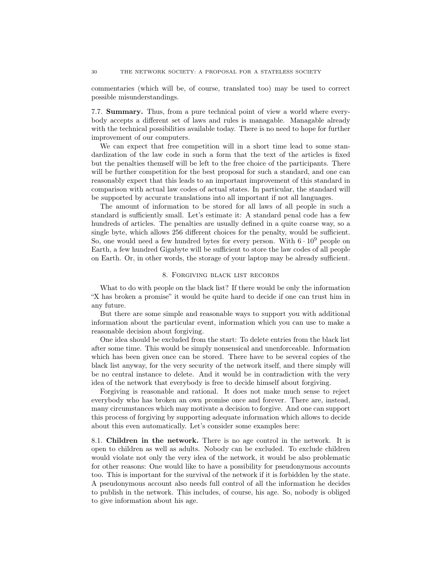commentaries (which will be, of course, translated too) may be used to correct possible misunderstandings.

<span id="page-29-0"></span>7.7. Summary. Thus, from a pure technical point of view a world where everybody accepts a different set of laws and rules is managable. Managable already with the technical possibilities available today. There is no need to hope for further improvement of our computers.

We can expect that free competition will in a short time lead to some standardization of the law code in such a form that the text of the articles is fixed but the penalties themself will be left to the free choice of the participants. There will be further competition for the best proposal for such a standard, and one can reasonably expect that this leads to an important improvement of this standard in comparison with actual law codes of actual states. In particular, the standard will be supported by accurate translations into all important if not all languages.

The amount of information to be stored for all laws of all people in such a standard is sufficiently small. Let's estimate it: A standard penal code has a few hundreds of articles. The penalties are usually defined in a quite coarse way, so a single byte, which allows 256 different choices for the penalty, would be sufficient. So, one would need a few hundred bytes for every person. With  $6 \cdot 10^9$  people on Earth, a few hundred Gigabyte will be sufficient to store the law codes of all people on Earth. Or, in other words, the storage of your laptop may be already sufficient.

#### 8. Forgiving black list records

<span id="page-29-1"></span>What to do with people on the black list? If there would be only the information "X has broken a promise" it would be quite hard to decide if one can trust him in any future.

But there are some simple and reasonable ways to support you with additional information about the particular event, information which you can use to make a reasonable decision about forgiving.

One idea should be excluded from the start: To delete entries from the black list after some time. This would be simply nonsensical and unenforceable. Information which has been given once can be stored. There have to be several copies of the black list anyway, for the very security of the network itself, and there simply will be no central instance to delete. And it would be in contradiction with the very idea of the network that everybody is free to decide himself about forgiving.

Forgiving is reasonable and rational. It does not make much sense to reject everybody who has broken an own promise once and forever. There are, instead, many circumstances which may motivate a decision to forgive. And one can support this process of forgiving by supporting adequate information which allows to decide about this even automatically. Let's consider some examples here:

<span id="page-29-2"></span>8.1. Children in the network. There is no age control in the network. It is open to children as well as adults. Nobody can be excluded. To exclude children would violate not only the very idea of the network, it would be also problematic for other reasons: One would like to have a possibility for pseudonymous accounts too. This is important for the survival of the network if it is forbidden by the state. A pseudonymous account also needs full control of all the information he decides to publish in the network. This includes, of course, his age. So, nobody is obliged to give information about his age.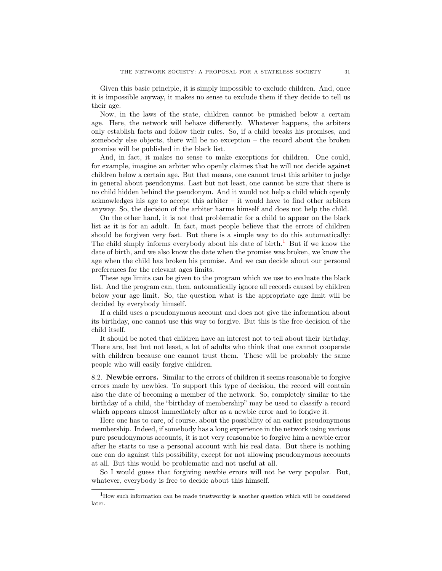Given this basic principle, it is simply impossible to exclude children. And, once it is impossible anyway, it makes no sense to exclude them if they decide to tell us their age.

Now, in the laws of the state, children cannot be punished below a certain age. Here, the network will behave differently. Whatever happens, the arbiters only establish facts and follow their rules. So, if a child breaks his promises, and somebody else objects, there will be no exception – the record about the broken promise will be published in the black list.

And, in fact, it makes no sense to make exceptions for children. One could, for example, imagine an arbiter who openly claimes that he will not decide against children below a certain age. But that means, one cannot trust this arbiter to judge in general about pseudonyms. Last but not least, one cannot be sure that there is no child hidden behind the pseudonym. And it would not help a child which openly acknowledges his age to accept this arbiter  $-$  it would have to find other arbiters anyway. So, the decision of the arbiter harms himself and does not help the child.

On the other hand, it is not that problematic for a child to appear on the black list as it is for an adult. In fact, most people believe that the errors of children should be forgiven very fast. But there is a simple way to do this automatically: The child simply informs everybody about his date of birth.<sup>[1](#page-30-1)</sup> But if we know the date of birth, and we also know the date when the promise was broken, we know the age when the child has broken his promise. And we can decide about our personal preferences for the relevant ages limits.

These age limits can be given to the program which we use to evaluate the black list. And the program can, then, automatically ignore all records caused by children below your age limit. So, the question what is the appropriate age limit will be decided by everybody himself.

If a child uses a pseudonymous account and does not give the information about its birthday, one cannot use this way to forgive. But this is the free decision of the child itself.

It should be noted that children have an interest not to tell about their birthday. There are, last but not least, a lot of adults who think that one cannot cooperate with children because one cannot trust them. These will be probably the same people who will easily forgive children.

<span id="page-30-0"></span>8.2. Newbie errors. Similar to the errors of children it seems reasonable to forgive errors made by newbies. To support this type of decision, the record will contain also the date of becoming a member of the network. So, completely similar to the birthday of a child, the "birthday of membership" may be used to classify a record which appears almost immediately after as a newbie error and to forgive it.

Here one has to care, of course, about the possibility of an earlier pseudonymous membership. Indeed, if somebody has a long experience in the network using various pure pseudonymous accounts, it is not very reasonable to forgive him a newbie error after he starts to use a personal account with his real data. But there is nothing one can do against this possibility, except for not allowing pseudonymous accounts at all. But this would be problematic and not useful at all.

So I would guess that forgiving newbie errors will not be very popular. But, whatever, everybody is free to decide about this himself.

<span id="page-30-1"></span> $^{1}\mathrm{How}$  such information can be made trustworthy is another question which will be considered later.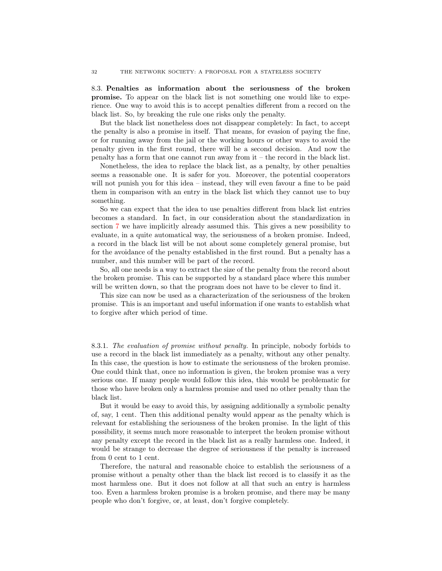<span id="page-31-0"></span>8.3. Penalties as information about the seriousness of the broken promise. To appear on the black list is not something one would like to experience. One way to avoid this is to accept penalties different from a record on the black list. So, by breaking the rule one risks only the penalty.

But the black list nonetheless does not disappear completely: In fact, to accept the penalty is also a promise in itself. That means, for evasion of paying the fine, or for running away from the jail or the working hours or other ways to avoid the penalty given in the first round, there will be a second decision. And now the penalty has a form that one cannot run away from it – the record in the black list.

Nonetheless, the idea to replace the black list, as a penalty, by other penalties seems a reasonable one. It is safer for you. Moreover, the potential cooperators will not punish you for this idea – instead, they will even favour a fine to be paid them in comparison with an entry in the black list which they cannot use to buy something.

So we can expect that the idea to use penalties different from black list entries becomes a standard. In fact, in our consideration about the standardization in section [7](#page-22-1) we have implicitly already assumed this. This gives a new possibility to evaluate, in a quite automatical way, the seriousness of a broken promise. Indeed, a record in the black list will be not about some completely general promise, but for the avoidance of the penalty established in the first round. But a penalty has a number, and this number will be part of the record.

So, all one needs is a way to extract the size of the penalty from the record about the broken promise. This can be supported by a standard place where this number will be written down, so that the program does not have to be clever to find it.

This size can now be used as a characterization of the seriousness of the broken promise. This is an important and useful information if one wants to establish what to forgive after which period of time.

8.3.1. The evaluation of promise without penalty. In principle, nobody forbids to use a record in the black list immediately as a penalty, without any other penalty. In this case, the question is how to estimate the seriousness of the broken promise. One could think that, once no information is given, the broken promise was a very serious one. If many people would follow this idea, this would be problematic for those who have broken only a harmless promise and used no other penalty than the black list.

But it would be easy to avoid this, by assigning additionally a symbolic penalty of, say, 1 cent. Then this additional penalty would appear as the penalty which is relevant for establishing the seriousness of the broken promise. In the light of this possibility, it seems much more reasonable to interpret the broken promise without any penalty except the record in the black list as a really harmless one. Indeed, it would be strange to decrease the degree of seriousness if the penalty is increased from 0 cent to 1 cent.

Therefore, the natural and reasonable choice to establish the seriousness of a promise without a penalty other than the black list record is to classify it as the most harmless one. But it does not follow at all that such an entry is harmless too. Even a harmless broken promise is a broken promise, and there may be many people who don't forgive, or, at least, don't forgive completely.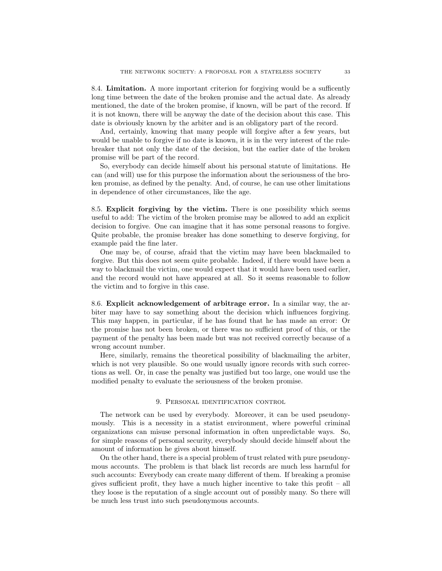<span id="page-32-0"></span>8.4. Limitation. A more important criterion for forgiving would be a sufficently long time between the date of the broken promise and the actual date. As already mentioned, the date of the broken promise, if known, will be part of the record. If it is not known, there will be anyway the date of the decision about this case. This date is obviously known by the arbiter and is an obligatory part of the record.

And, certainly, knowing that many people will forgive after a few years, but would be unable to forgive if no date is known, it is in the very interest of the rulebreaker that not only the date of the decision, but the earlier date of the broken promise will be part of the record.

So, everybody can decide himself about his personal statute of limitations. He can (and will) use for this purpose the information about the seriousness of the broken promise, as defined by the penalty. And, of course, he can use other limitations in dependence of other circumstances, like the age.

<span id="page-32-1"></span>8.5. Explicit forgiving by the victim. There is one possibility which seems useful to add: The victim of the broken promise may be allowed to add an explicit decision to forgive. One can imagine that it has some personal reasons to forgive. Quite probable, the promise breaker has done something to deserve forgiving, for example paid the fine later.

One may be, of course, afraid that the victim may have been blackmailed to forgive. But this does not seem quite probable. Indeed, if there would have been a way to blackmail the victim, one would expect that it would have been used earlier, and the record would not have appeared at all. So it seems reasonable to follow the victim and to forgive in this case.

<span id="page-32-2"></span>8.6. Explicit acknowledgement of arbitrage error. In a similar way, the arbiter may have to say something about the decision which influences forgiving. This may happen, in particular, if he has found that he has made an error: Or the promise has not been broken, or there was no sufficient proof of this, or the payment of the penalty has been made but was not received correctly because of a wrong account number.

Here, similarly, remains the theoretical possibility of blackmailing the arbiter, which is not very plausible. So one would usually ignore records with such corrections as well. Or, in case the penalty was justified but too large, one would use the modified penalty to evaluate the seriousness of the broken promise.

## 9. Personal identification control

<span id="page-32-3"></span>The network can be used by everybody. Moreover, it can be used pseudonymously. This is a necessity in a statist environment, where powerful criminal organizations can misuse personal information in often unpredictable ways. So, for simple reasons of personal security, everybody should decide himself about the amount of information he gives about himself.

On the other hand, there is a special problem of trust related with pure pseudonymous accounts. The problem is that black list records are much less harmful for such accounts: Everybody can create many different of them. If breaking a promise gives sufficient profit, they have a much higher incentive to take this profit – all they loose is the reputation of a single account out of possibly many. So there will be much less trust into such pseudonymous accounts.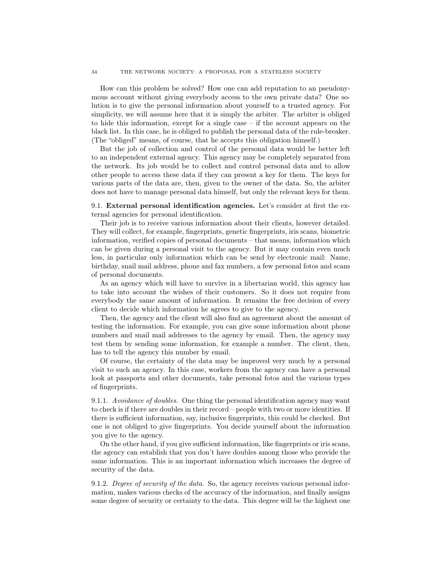How can this problem be solved? How one can add reputation to an pseudonymous account without giving everybody access to the own private data? One solution is to give the personal information about yourself to a trusted agency. For simplicity, we will assume here that it is simply the arbiter. The arbiter is obliged to hide this information, except for a single case – if the account appears on the black list. In this case, he is obliged to publish the personal data of the rule-breaker. (The "obliged" means, of course, that he accepts this obligation himself.)

But the job of collection and control of the personal data would be better left to an independent external agency. This agency may be completely separated from the network. Its job would be to collect and control personal data and to allow other people to access these data if they can present a key for them. The keys for various parts of the data are, then, given to the owner of the data. So, the arbiter does not have to manage personal data himself, but only the relevant keys for them.

<span id="page-33-0"></span>9.1. External personal identification agencies. Let's consider at first the external agencies for personal identification.

Their job is to receive various information about their clients, however detailed. They will collect, for example, fingerprints, genetic fingerprints, iris scans, biometric information, verified copies of personal documents – that means, information which can be given during a personal visit to the agency. But it may contain even much less, in particular only information which can be send by electronic mail: Name, birthday, snail mail address, phone and fax numbers, a few personal fotos and scans of personal documents.

As an agency which will have to survive in a libertarian world, this agency has to take into account the wishes of their customers. So it does not require from everybody the same amount of information. It remains the free decision of every client to decide which information he agrees to give to the agency.

Then, the agency and the client will also find an agreement about the amount of testing the information. For example, you can give some information about phone numbers and snail mail addresses to the agency by email. Then, the agency may test them by sending some information, for example a number. The client, then, has to tell the agency this number by email.

Of course, the certainty of the data may be improved very much by a personal visit to such an agency. In this case, workers from the agency can have a personal look at passports and other documents, take personal fotos and the various types of fingerprints.

9.1.1. Avoidance of doubles. One thing the personal identification agency may want to check is if there are doubles in their record – people with two or more identities. If there is sufficient information, say, inclusive fingerprints, this could be checked. But one is not obliged to give fingerprints. You decide yourself about the information you give to the agency.

On the other hand, if you give sufficient information, like fingerprints or iris scans, the agency can establish that you don't have doubles among those who provide the same information. This is an important information which increases the degree of security of the data.

9.1.2. Degree of security of the data. So, the agency receives various personal information, makes various checks of the accuracy of the information, and finally assigns some degree of security or certainty to the data. This degree will be the highest one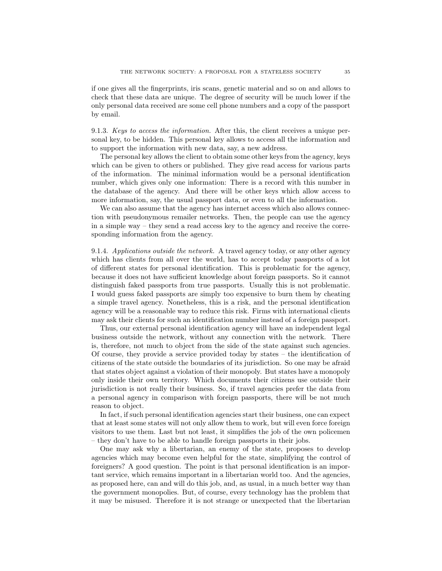if one gives all the fingerprints, iris scans, genetic material and so on and allows to check that these data are unique. The degree of security will be much lower if the only personal data received are some cell phone numbers and a copy of the passport by email.

9.1.3. Keys to access the information. After this, the client receives a unique personal key, to be hidden. This personal key allows to access all the information and to support the information with new data, say, a new address.

The personal key allows the client to obtain some other keys from the agency, keys which can be given to others or published. They give read access for various parts of the information. The minimal information would be a personal identification number, which gives only one information: There is a record with this number in the database of the agency. And there will be other keys which allow access to more information, say, the usual passport data, or even to all the information.

We can also assume that the agency has internet access which also allows connection with pseudonymous remailer networks. Then, the people can use the agency in a simple way – they send a read access key to the agency and receive the corresponding information from the agency.

9.1.4. Applications outside the network. A travel agency today, or any other agency which has clients from all over the world, has to accept today passports of a lot of different states for personal identification. This is problematic for the agency, because it does not have sufficient knowledge about foreign passports. So it cannot distinguish faked passports from true passports. Usually this is not problematic. I would guess faked passports are simply too expensive to burn them by cheating a simple travel agency. Nonetheless, this is a risk, and the personal identification agency will be a reasonable way to reduce this risk. Firms with international clients may ask their clients for such an identification number instead of a foreign passport.

Thus, our external personal identification agency will have an independent legal business outside the network, without any connection with the network. There is, therefore, not much to object from the side of the state against such agencies. Of course, they provide a service provided today by states – the identification of citizens of the state outside the boundaries of its jurisdiction. So one may be afraid that states object against a violation of their monopoly. But states have a monopoly only inside their own territory. Which documents their citizens use outside their jurisdiction is not really their business. So, if travel agencies prefer the data from a personal agency in comparison with foreign passports, there will be not much reason to object.

In fact, if such personal identification agencies start their business, one can expect that at least some states will not only allow them to work, but will even force foreign visitors to use them. Last but not least, it simplifies the job of the own policemen – they don't have to be able to handle foreign passports in their jobs.

One may ask why a libertarian, an enemy of the state, proposes to develop agencies which may become even helpful for the state, simplifying the control of foreigners? A good question. The point is that personal identification is an important service, which remains important in a libertarian world too. And the agencies, as proposed here, can and will do this job, and, as usual, in a much better way than the government monopolies. But, of course, every technology has the problem that it may be misused. Therefore it is not strange or unexpected that the libertarian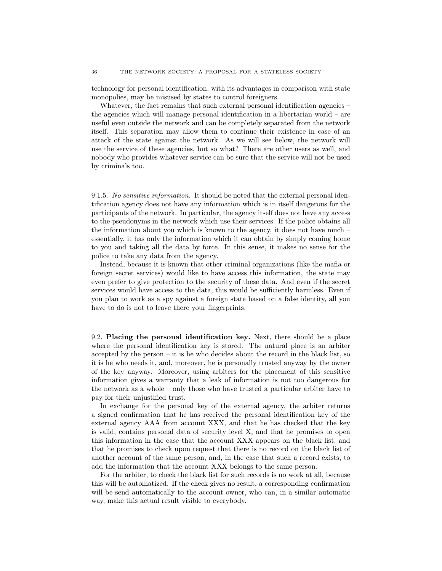technology for personal identification, with its advantages in comparison with state monopolies, may be misused by states to control foreigners.

Whatever, the fact remains that such external personal identification agencies – the agencies which will manage personal identification in a libertarian world – are useful even outside the network and can be completely separated from the network itself. This separation may allow them to continue their existence in case of an attack of the state against the network. As we will see below, the network will use the service of these agencies, but so what? There are other users as well, and nobody who provides whatever service can be sure that the service will not be used by criminals too.

9.1.5. No sensitive information. It should be noted that the external personal identification agency does not have any information which is in itself dangerous for the participants of the network. In particular, the agency itself does not have any access to the pseudonyms in the network which use their services. If the police obtains all the information about you which is known to the agency, it does not have much – essentially, it has only the information which it can obtain by simply coming home to you and taking all the data by force. In this sense, it makes no sense for the police to take any data from the agency.

Instead, because it is known that other criminal organizations (like the mafia or foreign secret services) would like to have access this information, the state may even prefer to give protection to the security of these data. And even if the secret services would have access to the data, this would be sufficiently harmless. Even if you plan to work as a spy against a foreign state based on a false identity, all you have to do is not to leave there your fingerprints.

<span id="page-35-0"></span>9.2. Placing the personal identification key. Next, there should be a place where the personal identification key is stored. The natural place is an arbiter accepted by the person  $-$  it is he who decides about the record in the black list, so it is he who needs it, and, moreover, he is personally trusted anyway by the owner of the key anyway. Moreover, using arbiters for the placement of this sensitive information gives a warranty that a leak of information is not too dangerous for the network as a whole – only those who have trusted a particular arbiter have to pay for their unjustified trust.

In exchange for the personal key of the external agency, the arbiter returns a signed confirmation that he has received the personal identification key of the external agency AAA from account XXX, and that he has checked that the key is valid, contains personal data of security level X, and that he promises to open this information in the case that the account XXX appears on the black list, and that he promises to check upon request that there is no record on the black list of another account of the same person, and, in the case that such a record exists, to add the information that the account XXX belongs to the same person.

For the arbiter, to check the black list for such records is no work at all, because this will be automatized. If the check gives no result, a corresponding confirmation will be send automatically to the account owner, who can, in a similar automatic way, make this actual result visible to everybody.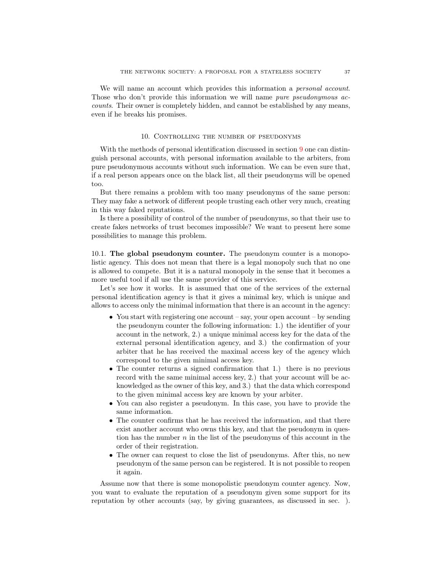We will name an account which provides this information a *personal account*. Those who don't provide this information we will name pure pseudonymous accounts. Their owner is completely hidden, and cannot be established by any means, even if he breaks his promises.

#### 10. Controlling the number of pseudonyms

<span id="page-36-0"></span>With the methods of personal identification discussed in section [9](#page-32-3) one can distinguish personal accounts, with personal information available to the arbiters, from pure pseudonymous accounts without such information. We can be even sure that, if a real person appears once on the black list, all their pseudonyms will be opened too.

But there remains a problem with too many pseudonyms of the same person: They may fake a network of different people trusting each other very much, creating in this way faked reputations.

Is there a possibility of control of the number of pseudonyms, so that their use to create fakes networks of trust becomes impossible? We want to present here some possibilities to manage this problem.

<span id="page-36-1"></span>10.1. The global pseudonym counter. The pseudonym counter is a monopolistic agency. This does not mean that there is a legal monopoly such that no one is allowed to compete. But it is a natural monopoly in the sense that it becomes a more useful tool if all use the same provider of this service.

Let's see how it works. It is assumed that one of the services of the external personal identification agency is that it gives a minimal key, which is unique and allows to access only the minimal information that there is an account in the agency:

- You start with registering one account say, your open account by sending the pseudonym counter the following information: 1.) the identifier of your account in the network, 2.) a unique minimal access key for the data of the external personal identification agency, and 3.) the confirmation of your arbiter that he has received the maximal access key of the agency which correspond to the given minimal access key.
- The counter returns a signed confirmation that 1.) there is no previous record with the same minimal access key, 2.) that your account will be acknowledged as the owner of this key, and 3.) that the data which correspond to the given minimal access key are known by your arbiter.
- You can also register a pseudonym. In this case, you have to provide the same information.
- The counter confirms that he has received the information, and that there exist another account who owns this key, and that the pseudonym in question has the number  $n$  in the list of the pseudonyms of this account in the order of their registration.
- The owner can request to close the list of pseudonyms. After this, no new pseudonym of the same person can be registered. It is not possible to reopen it again.

Assume now that there is some monopolistic pseudonym counter agency. Now, you want to evaluate the reputation of a pseudonym given some support for its reputation by other accounts (say, by giving guarantees, as discussed in sec. ).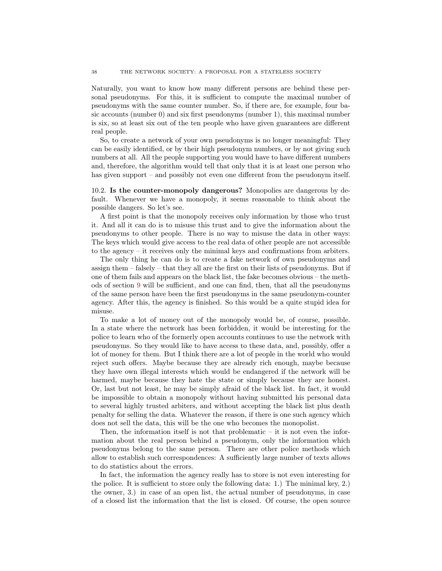Naturally, you want to know how many different persons are behind these personal pseudonyms. For this, it is sufficient to compute the maximal number of pseudonyms with the same counter number. So, if there are, for example, four basic accounts (number 0) and six first pseudonyms (number 1), this maximal number is six, so at least six out of the ten people who have given guarantees are different real people.

So, to create a network of your own pseudonyms is no longer meaningful: They can be easily identified, or by their high pseudonym numbers, or by not giving such numbers at all. All the people supporting you would have to have different numbers and, therefore, the algorithm would tell that only that it is at least one person who has given support – and possibly not even one different from the pseudonym itself.

<span id="page-37-0"></span>10.2. Is the counter-monopoly dangerous? Monopolies are dangerous by default. Whenever we have a monopoly, it seems reasonable to think about the possible dangers. So let's see.

A first point is that the monopoly receives only information by those who trust it. And all it can do is to misuse this trust and to give the information about the pseudonyms to other people. There is no way to misuse the data in other ways: The keys which would give access to the real data of other people are not accessible to the agency – it receives only the minimal keys and confirmations from arbiters.

The only thing he can do is to create a fake network of own pseudonyms and assign them – falsely – that they all are the first on their lists of pseudonyms. But if one of them fails and appears on the black list, the fake becomes obvious – the methods of section [9](#page-32-3) will be sufficient, and one can find, then, that all the pseudonyms of the same person have been the first pseudonyms in the same pseudonym-counter agency. After this, the agency is finished. So this would be a quite stupid idea for misuse.

To make a lot of money out of the monopoly would be, of course, possible. In a state where the network has been forbidden, it would be interesting for the police to learn who of the formerly open accounts continues to use the network with pseudonyms. So they would like to have access to these data, and, possibly, offer a lot of money for them. But I think there are a lot of people in the world who would reject such offers. Maybe because they are already rich enough, maybe because they have own illegal interests which would be endangered if the network will be harmed, maybe because they hate the state or simply because they are honest. Or, last but not least, he may be simply afraid of the black list. In fact, it would be impossible to obtain a monopoly without having submitted his personal data to several highly trusted arbiters, and without accepting the black list plus death penalty for selling the data. Whatever the reason, if there is one such agency which does not sell the data, this will be the one who becomes the monopolist.

Then, the information itself is not that problematic – it is not even the information about the real person behind a pseudonym, only the information which pseudonyms belong to the same person. There are other police methods which allow to establish such correspondences: A sufficiently large number of texts allows to do statistics about the errors.

In fact, the information the agency really has to store is not even interesting for the police. It is sufficient to store only the following data: 1.) The minimal key, 2.) the owner, 3.) in case of an open list, the actual number of pseudonyms, in case of a closed list the information that the list is closed. Of course, the open source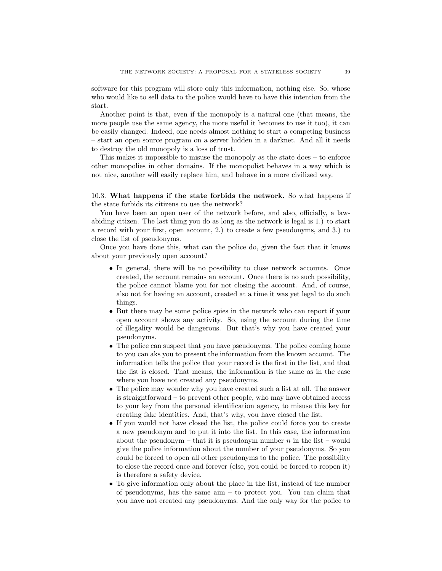software for this program will store only this information, nothing else. So, whose who would like to sell data to the police would have to have this intention from the start.

Another point is that, even if the monopoly is a natural one (that means, the more people use the same agency, the more useful it becomes to use it too), it can be easily changed. Indeed, one needs almost nothing to start a competing business – start an open source program on a server hidden in a darknet. And all it needs to destroy the old monopoly is a loss of trust.

This makes it impossible to misuse the monopoly as the state does – to enforce other monopolies in other domains. If the monopolist behaves in a way which is not nice, another will easily replace him, and behave in a more civilized way.

<span id="page-38-0"></span>10.3. What happens if the state forbids the network. So what happens if the state forbids its citizens to use the network?

You have been an open user of the network before, and also, officially, a lawabiding citizen. The last thing you do as long as the network is legal is 1.) to start a record with your first, open account, 2.) to create a few pseudonyms, and 3.) to close the list of pseudonyms.

Once you have done this, what can the police do, given the fact that it knows about your previously open account?

- In general, there will be no possibility to close network accounts. Once created, the account remains an account. Once there is no such possibility, the police cannot blame you for not closing the account. And, of course, also not for having an account, created at a time it was yet legal to do such things.
- But there may be some police spies in the network who can report if your open account shows any activity. So, using the account during the time of illegality would be dangerous. But that's why you have created your pseudonyms.
- The police can suspect that you have pseudonyms. The police coming home to you can aks you to present the information from the known account. The information tells the police that your record is the first in the list, and that the list is closed. That means, the information is the same as in the case where you have not created any pseudonyms.
- The police may wonder why you have created such a list at all. The answer is straightforward – to prevent other people, who may have obtained access to your key from the personal identification agency, to misuse this key for creating fake identities. And, that's why, you have closed the list.
- If you would not have closed the list, the police could force you to create a new pseudonym and to put it into the list. In this case, the information about the pseudonym – that it is pseudonym number  $n$  in the list – would give the police information about the number of your pseudonyms. So you could be forced to open all other pseudonyms to the police. The possibility to close the record once and forever (else, you could be forced to reopen it) is therefore a safety device.
- To give information only about the place in the list, instead of the number of pseudonyms, has the same aim – to protect you. You can claim that you have not created any pseudonyms. And the only way for the police to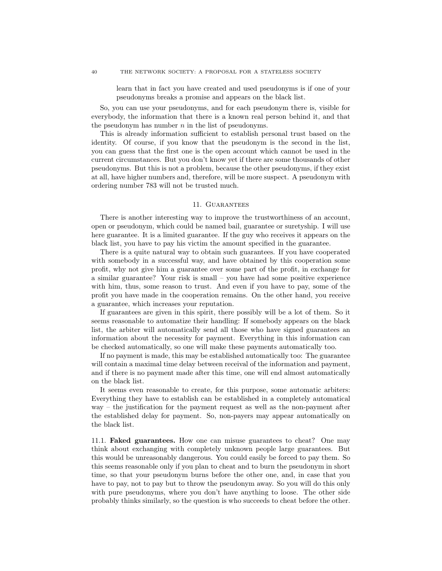learn that in fact you have created and used pseudonyms is if one of your pseudonyms breaks a promise and appears on the black list.

So, you can use your pseudonyms, and for each pseudonym there is, visible for everybody, the information that there is a known real person behind it, and that the pseudonym has number  $n$  in the list of pseudonyms.

This is already information sufficient to establish personal trust based on the identity. Of course, if you know that the pseudonym is the second in the list, you can guess that the first one is the open account which cannot be used in the current circumstances. But you don't know yet if there are some thousands of other pseudonyms. But this is not a problem, because the other pseudonyms, if they exist at all, have higher numbers and, therefore, will be more suspect. A pseudonym with ordering number 783 will not be trusted much.

## 11. GUARANTEES

<span id="page-39-0"></span>There is another interesting way to improve the trustworthiness of an account, open or pseudonym, which could be named bail, guarantee or suretyship. I will use here guarantee. It is a limited guarantee. If the guy who receives it appears on the black list, you have to pay his victim the amount specified in the guarantee.

There is a quite natural way to obtain such guarantees. If you have cooperated with somebody in a successful way, and have obtained by this cooperation some profit, why not give him a guarantee over some part of the profit, in exchange for a similar guarantee? Your risk is small – you have had some positive experience with him, thus, some reason to trust. And even if you have to pay, some of the profit you have made in the cooperation remains. On the other hand, you receive a guarantee, which increases your reputation.

If guarantees are given in this spirit, there possibly will be a lot of them. So it seems reasonable to automatize their handling: If somebody appears on the black list, the arbiter will automatically send all those who have signed guarantees an information about the necessity for payment. Everything in this information can be checked automatically, so one will make these payments automatically too.

If no payment is made, this may be established automatically too: The guarantee will contain a maximal time delay between receival of the information and payment, and if there is no payment made after this time, one will end almost automatically on the black list.

It seems even reasonable to create, for this purpose, some automatic arbiters: Everything they have to establish can be established in a completely automatical way – the justification for the payment request as well as the non-payment after the established delay for payment. So, non-payers may appear automatically on the black list.

<span id="page-39-1"></span>11.1. Faked guarantees. How one can misuse guarantees to cheat? One may think about exchanging with completely unknown people large guarantees. But this would be unreasonably dangerous. You could easily be forced to pay them. So this seems reasonable only if you plan to cheat and to burn the pseudonym in short time, so that your pseudonym burns before the other one, and, in case that you have to pay, not to pay but to throw the pseudonym away. So you will do this only with pure pseudonyms, where you don't have anything to loose. The other side probably thinks similarly, so the question is who succeeds to cheat before the other.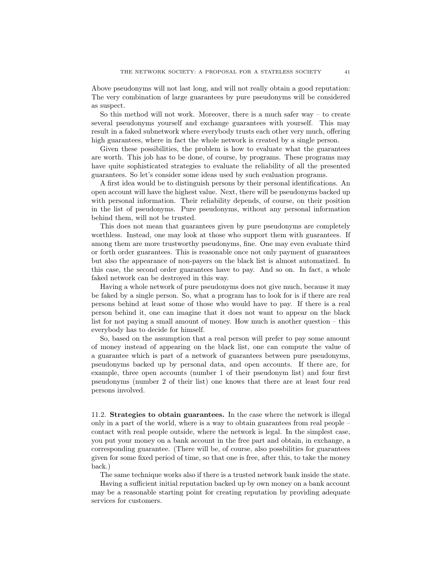Above pseudonyms will not last long, and will not really obtain a good reputation: The very combination of large guarantees by pure pseudonyms will be considered as suspect.

So this method will not work. Moreover, there is a much safer way – to create several pseudonyms yourself and exchange guarantees with yourself. This may result in a faked subnetwork where everybody trusts each other very much, offering high guarantees, where in fact the whole network is created by a single person.

Given these possibilities, the problem is how to evaluate what the guarantees are worth. This job has to be done, of course, by programs. These programs may have quite sophisticated strategies to evaluate the reliability of all the presented guarantees. So let's consider some ideas used by such evaluation programs.

A first idea would be to distinguish persons by their personal identifications. An open account will have the highest value. Next, there will be pseudonyms backed up with personal information. Their reliability depends, of course, on their position in the list of pseudonyms. Pure pseudonyms, without any personal information behind them, will not be trusted.

This does not mean that guarantees given by pure pseudonyms are completely worthless. Instead, one may look at those who support them with guarantees. If among them are more trustworthy pseudonyms, fine. One may even evaluate third or forth order guarantees. This is reasonable once not only payment of guarantees but also the appearance of non-payers on the black list is almost automatized. In this case, the second order guarantees have to pay. And so on. In fact, a whole faked network can be destroyed in this way.

Having a whole network of pure pseudonyms does not give much, because it may be faked by a single person. So, what a program has to look for is if there are real persons behind at least some of those who would have to pay. If there is a real person behind it, one can imagine that it does not want to appear on the black list for not paying a small amount of money. How much is another question – this everybody has to decide for himself.

So, based on the assumption that a real person will prefer to pay some amount of money instead of appearing on the black list, one can compute the value of a guarantee which is part of a network of guarantees between pure pseudonyms, pseudonyms backed up by personal data, and open accounts. If there are, for example, three open accounts (number 1 of their pseudonym list) and four first pseudonyms (number 2 of their list) one knows that there are at least four real persons involved.

<span id="page-40-0"></span>11.2. Strategies to obtain guarantees. In the case where the network is illegal only in a part of the world, where is a way to obtain guarantees from real people – contact with real people outside, where the network is legal. In the simplest case, you put your money on a bank account in the free part and obtain, in exchange, a corresponding guarantee. (There will be, of course, also possbilities for guarantees given for some fixed period of time, so that one is free, after this, to take the money back.)

The same technique works also if there is a trusted network bank inside the state.

Having a sufficient initial reputation backed up by own money on a bank account may be a reasonable starting point for creating reputation by providing adequate services for customers.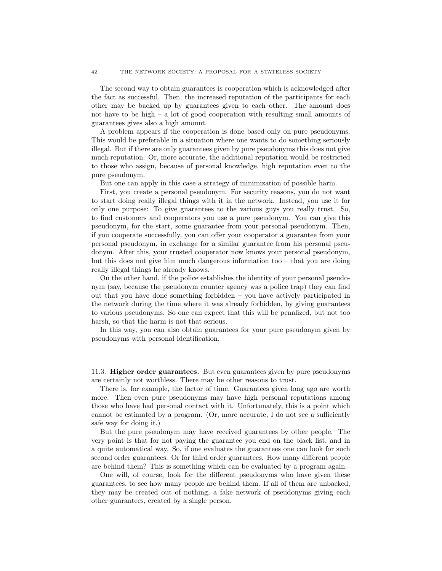The second way to obtain guarantees is cooperation which is acknowledged after the fact as successful. Then, the increased reputation of the participants for each other may be backed up by guarantees given to each other. The amount does not have to be high  $-$  a lot of good cooperation with resulting small amounts of guarantees gives also a high amount.

A problem appears if the cooperation is done based only on pure pseudonyms. This would be preferable in a situation where one wants to do something seriously illegal. But if there are only guarantees given by pure pseudonyms this does not give much reputation. Or, more accurate, the additional reputation would be restricted to those who assign, because of personal knowledge, high reputation even to the pure pseudonym.

But one can apply in this case a strategy of minimization of possible harm.

First, you create a personal pseudonym. For security reasons, you do not want to start doing really illegal things with it in the network. Instead, you use it for only one purpose: To give guarantees to the various guys you really trust. So, to find customers and cooperators you use a pure pseudonym. You can give this pseudonym, for the start, some guarantee from your personal pseudonym. Then, if you cooperate successfully, you can offer your cooperator a guarantee from your personal pseudonym, in exchange for a similar guarantee from his personal pseudonym. After this, your trusted cooperator now knows your personal pseudonym, but this does not give him much dangerous information too – that you are doing really illegal things he already knows.

On the other hand, if the police establishes the identity of your personal pseudonym (say, because the pseudonym counter agency was a police trap) they can find out that you have done something forbidden – you have actively participated in the network during the time where it was already forbidden, by giving guarantees to various pseudonyms. So one can expect that this will be penalized, but not too harsh, so that the harm is not that serious.

In this way, you can also obtain guarantees for your pure pseudonym given by pseudonyms with personal identification.

<span id="page-41-0"></span>11.3. Higher order guarantees. But even guarantees given by pure pseudonyms are certainly not worthless. There may be other reasons to trust.

There is, for example, the factor of time. Guarantees given long ago are worth more. Then even pure pseudonyms may have high personal reputations among those who have had personal contact with it. Unfortunately, this is a point which cannot be estimated by a program. (Or, more accurate, I do not see a sufficiently safe way for doing it.)

But the pure pseudonym may have received guarantees by other people. The very point is that for not paying the guarantee you end on the black list, and in a quite automatical way. So, if one evaluates the guarantees one can look for such second order guarantees. Or for third order guarantees. How many different people are behind them? This is something which can be evaluated by a program again.

One will, of course, look for the different pseudonyms who have given these guarantees, to see how many people are behind them. If all of them are unbacked, they may be created out of nothing, a fake network of pseudonyms giving each other guarantees, created by a single person.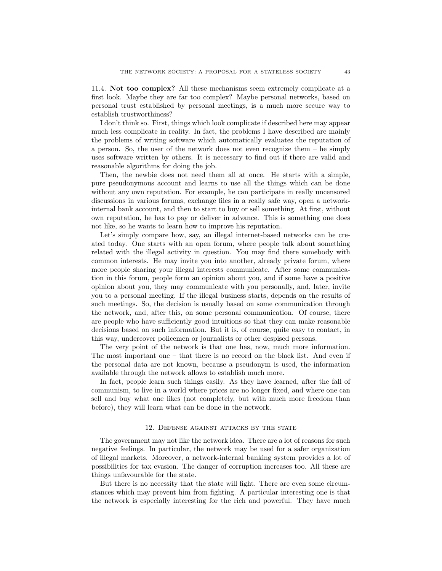<span id="page-42-0"></span>11.4. Not too complex? All these mechanisms seem extremely complicate at a first look. Maybe they are far too complex? Maybe personal networks, based on personal trust established by personal meetings, is a much more secure way to establish trustworthiness?

I don't think so. First, things which look complicate if described here may appear much less complicate in reality. In fact, the problems I have described are mainly the problems of writing software which automatically evaluates the reputation of a person. So, the user of the network does not even recognize them – he simply uses software written by others. It is necessary to find out if there are valid and reasonable algorithms for doing the job.

Then, the newbie does not need them all at once. He starts with a simple, pure pseudonymous account and learns to use all the things which can be done without any own reputation. For example, he can participate in really uncensored discussions in various forums, exchange files in a really safe way, open a networkinternal bank account, and then to start to buy or sell something. At first, without own reputation, he has to pay or deliver in advance. This is something one does not like, so he wants to learn how to improve his reputation.

Let's simply compare how, say, an illegal internet-based networks can be created today. One starts with an open forum, where people talk about something related with the illegal activity in question. You may find there somebody with common interests. He may invite you into another, already private forum, where more people sharing your illegal interests communicate. After some communication in this forum, people form an opinion about you, and if some have a positive opinion about you, they may communicate with you personally, and, later, invite you to a personal meeting. If the illegal business starts, depends on the results of such meetings. So, the decision is usually based on some communication through the network, and, after this, on some personal communication. Of course, there are people who have sufficiently good intuitions so that they can make reasonable decisions based on such information. But it is, of course, quite easy to contact, in this way, undercover policemen or journalists or other despised persons.

The very point of the network is that one has, now, much more information. The most important one – that there is no record on the black list. And even if the personal data are not known, because a pseudonym is used, the information available through the network allows to establish much more.

In fact, people learn such things easily. As they have learned, after the fall of communism, to live in a world where prices are no longer fixed, and where one can sell and buy what one likes (not completely, but with much more freedom than before), they will learn what can be done in the network.

#### 12. Defense against attacks by the state

<span id="page-42-1"></span>The government may not like the network idea. There are a lot of reasons for such negative feelings. In particular, the network may be used for a safer organization of illegal markets. Moreover, a network-internal banking system provides a lot of possibilities for tax evasion. The danger of corruption increases too. All these are things unfavourable for the state.

But there is no necessity that the state will fight. There are even some circumstances which may prevent him from fighting. A particular interesting one is that the network is especially interesting for the rich and powerful. They have much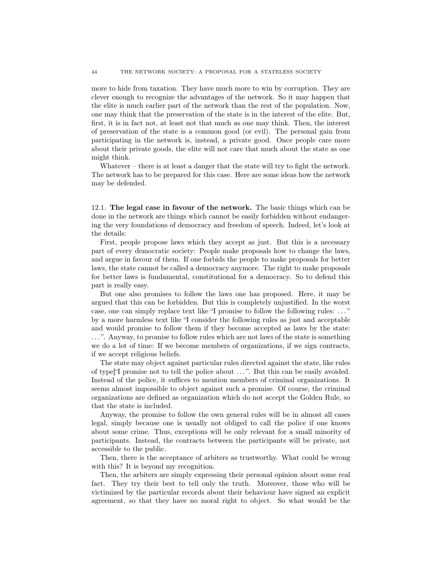more to hide from taxation. They have much more to win by corruption. They are clever enough to recognize the advantages of the network. So it may happen that the elite is much earlier part of the network than the rest of the population. Now, one may think that the preservation of the state is in the interest of the elite. But, first, it is in fact not, at least not that much as one may think. Then, the interest of preservation of the state is a common good (or evil). The personal gain from participating in the network is, instead, a private good. Once people care more about their private goods, the elite will not care that much about the state as one might think.

Whatever – there is at least a danger that the state will try to fight the network. The network has to be prepared for this case. Here are some ideas how the network may be defended.

<span id="page-43-0"></span>12.1. The legal case in favour of the network. The basic things which can be done in the network are things which cannot be easily forbidden without endangering the very foundations of democracy and freedom of speech. Indeed, let's look at the details:

First, people propose laws which they accept as just. But this is a necessary part of every democratic society: People make proposals how to change the laws, and argue in favour of them. If one forbids the people to make proposals for better laws, the state cannot be called a democracy anymore. The right to make proposals for better laws is fundamental, constitutional for a democracy. So to defend this part is really easy.

But one also promises to follow the laws one has proposed. Here, it may be argued that this can be forbidden. But this is completely unjustified. In the worst case, one can simply replace text like "I promise to follow the following rules: . . . " by a more harmless text like "I consider the following rules as just and acceptable and would promise to follow them if they become accepted as laws by the state: . . . ". Anyway, to promise to follow rules which are not laws of the state is something we do a lot of time: If we become members of organizations, if we sign contracts, if we accept religious beliefs.

The state may object against particular rules directed against the state, like rules of type]"I promise not to tell the police about . . . ". But this can be easily avoided. Instead of the police, it suffices to mention members of criminal organizations. It seems almost impossible to object against such a promise. Of course, the criminal organizations are defined as organization which do not accept the Golden Rule, so that the state is included.

Anyway, the promise to follow the own general rules will be in almost all cases legal, simply because one is usually not obliged to call the police if one knows about some crime. Thus, exceptions will be only relevant for a small minority of participants. Instead, the contracts between the participants will be private, not accessible to the public.

Then, there is the acceptance of arbiters as trustworthy. What could be wrong with this? It is beyond my recognition.

Then, the arbiters are simply expressing their personal opinion about some real fact. They try their best to tell only the truth. Moreover, those who will be victimized by the particular records about their behaviour have signed an explicit agreement, so that they have no moral right to object. So what would be the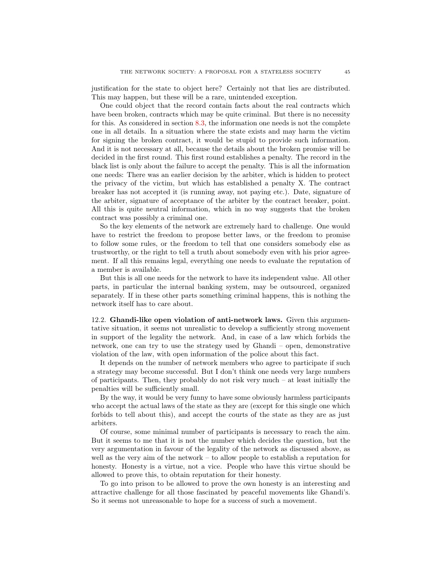justification for the state to object here? Certainly not that lies are distributed. This may happen, but these will be a rare, unintended exception.

One could object that the record contain facts about the real contracts which have been broken, contracts which may be quite criminal. But there is no necessity for this. As considered in section [8.3,](#page-31-0) the information one needs is not the complete one in all details. In a situation where the state exists and may harm the victim for signing the broken contract, it would be stupid to provide such information. And it is not necessary at all, because the details about the broken promise will be decided in the first round. This first round establishes a penalty. The record in the black list is only about the failure to accept the penalty. This is all the information one needs: There was an earlier decision by the arbiter, which is hidden to protect the privacy of the victim, but which has established a penalty X. The contract breaker has not accepted it (is running away, not paying etc.). Date, signature of the arbiter, signature of acceptance of the arbiter by the contract breaker, point. All this is quite neutral information, which in no way suggests that the broken contract was possibly a criminal one.

So the key elements of the network are extremely hard to challenge. One would have to restrict the freedom to propose better laws, or the freedom to promise to follow some rules, or the freedom to tell that one considers somebody else as trustworthy, or the right to tell a truth about somebody even with his prior agreement. If all this remains legal, everything one needs to evaluate the reputation of a member is available.

But this is all one needs for the network to have its independent value. All other parts, in particular the internal banking system, may be outsourced, organized separately. If in these other parts something criminal happens, this is nothing the network itself has to care about.

<span id="page-44-0"></span>12.2. Ghandi-like open violation of anti-network laws. Given this argumentative situation, it seems not unrealistic to develop a sufficiently strong movement in support of the legality the network. And, in case of a law which forbids the network, one can try to use the strategy used by Ghandi – open, demonstrative violation of the law, with open information of the police about this fact.

It depends on the number of network members who agree to participate if such a strategy may become successful. But I don't think one needs very large numbers of participants. Then, they probably do not risk very much – at least initially the penalties will be sufficiently small.

By the way, it would be very funny to have some obviously harmless participants who accept the actual laws of the state as they are (except for this single one which forbids to tell about this), and accept the courts of the state as they are as just arbiters.

Of course, some minimal number of participants is necessary to reach the aim. But it seems to me that it is not the number which decides the question, but the very argumentation in favour of the legality of the network as discussed above, as well as the very aim of the network – to allow people to establish a reputation for honesty. Honesty is a virtue, not a vice. People who have this virtue should be allowed to prove this, to obtain reputation for their honesty.

To go into prison to be allowed to prove the own honesty is an interesting and attractive challenge for all those fascinated by peaceful movements like Ghandi's. So it seems not unreasonable to hope for a success of such a movement.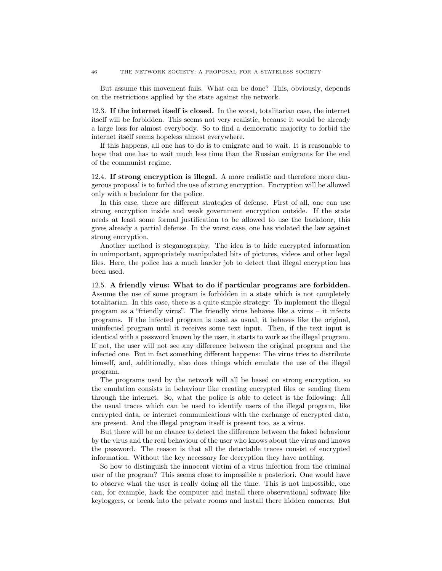But assume this movement fails. What can be done? This, obviously, depends on the restrictions applied by the state against the network.

<span id="page-45-0"></span>12.3. If the internet itself is closed. In the worst, totalitarian case, the internet itself will be forbidden. This seems not very realistic, because it would be already a large loss for almost everybody. So to find a democratic majority to forbid the internet itself seems hopeless almost everywhere.

If this happens, all one has to do is to emigrate and to wait. It is reasonable to hope that one has to wait much less time than the Russian emigrants for the end of the communist regime.

<span id="page-45-1"></span>12.4. If strong encryption is illegal. A more realistic and therefore more dangerous proposal is to forbid the use of strong encryption. Encryption will be allowed only with a backdoor for the police.

In this case, there are different strategies of defense. First of all, one can use strong encryption inside and weak government encryption outside. If the state needs at least some formal justification to be allowed to use the backdoor, this gives already a partial defense. In the worst case, one has violated the law against strong encryption.

Another method is steganography. The idea is to hide encrypted information in unimportant, appropriately manipulated bits of pictures, videos and other legal files. Here, the police has a much harder job to detect that illegal encryption has been used.

<span id="page-45-2"></span>12.5. A friendly virus: What to do if particular programs are forbidden. Assume the use of some program is forbidden in a state which is not completely totalitarian. In this case, there is a quite simple strategy: To implement the illegal program as a "friendly virus". The friendly virus behaves like a virus – it infects programs. If the infected program is used as usual, it behaves like the original, uninfected program until it receives some text input. Then, if the text input is identical with a password known by the user, it starts to work as the illegal program. If not, the user will not see any difference between the original program and the infected one. But in fact something different happens: The virus tries to distribute himself, and, additionally, also does things which emulate the use of the illegal program.

The programs used by the network will all be based on strong encryption, so the emulation consists in behaviour like creating encrypted files or sending them through the internet. So, what the police is able to detect is the following: All the usual traces which can be used to identify users of the illegal program, like encrypted data, or internet communications with the exchange of encrypted data, are present. And the illegal program itself is present too, as a virus.

But there will be no chance to detect the difference between the faked behaviour by the virus and the real behaviour of the user who knows about the virus and knows the password. The reason is that all the detectable traces consist of encrypted information. Without the key necessary for decryption they have nothing.

So how to distinguish the innocent victim of a virus infection from the criminal user of the program? This seems close to impossible a posteriori. One would have to observe what the user is really doing all the time. This is not impossible, one can, for example, hack the computer and install there observational software like keyloggers, or break into the private rooms and install there hidden cameras. But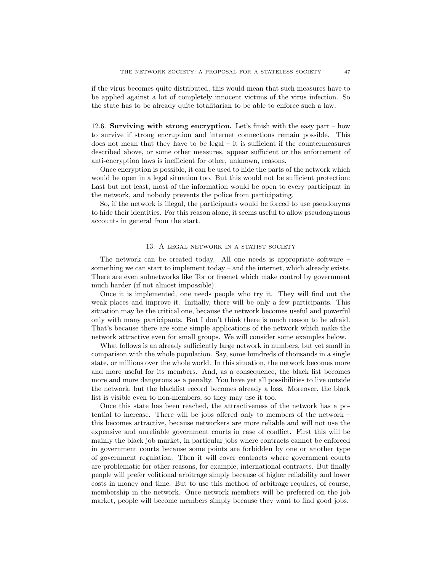if the virus becomes quite distributed, this would mean that such measures have to be applied against a lot of completely innocent victims of the virus infection. So the state has to be already quite totalitarian to be able to enforce such a law.

<span id="page-46-0"></span>12.6. Surviving with strong encryption. Let's finish with the easy part – how to survive if strong encruption and internet connections remain possible. This does not mean that they have to be legal  $-$  it is sufficient if the countermeasures described above, or some other measures, appear sufficient or the enforcement of anti-encryption laws is inefficient for other, unknown, reasons.

Once encryption is possible, it can be used to hide the parts of the network which would be open in a legal situation too. But this would not be sufficient protection: Last but not least, most of the information would be open to every participant in the network, and nobody prevents the police from participating.

So, if the network is illegal, the participants would be forced to use pseudonyms to hide their identities. For this reason alone, it seems useful to allow pseudonymous accounts in general from the start.

#### 13. A LEGAL NETWORK IN A STATIST SOCIETY

<span id="page-46-1"></span>The network can be created today. All one needs is appropriate software – something we can start to implement today – and the internet, which already exists. There are even subnetworks like Tor or freenet which make control by government much harder (if not almost impossible).

Once it is implemented, one needs people who try it. They will find out the weak places and improve it. Initially, there will be only a few participants. This situation may be the critical one, because the network becomes useful and powerful only with many participants. But I don't think there is much reason to be afraid. That's because there are some simple applications of the network which make the network attractive even for small groups. We will consider some examples below.

What follows is an already sufficiently large network in numbers, but yet small in comparison with the whole population. Say, some hundreds of thousands in a single state, or millions over the whole world. In this situation, the network becomes more and more useful for its members. And, as a consequence, the black list becomes more and more dangerous as a penalty. You have yet all possibilities to live outside the network, but the blacklist record becomes already a loss. Moreover, the black list is visible even to non-members, so they may use it too.

Once this state has been reached, the attractiveness of the network has a potential to increase. There will be jobs offered only to members of the network – this becomes attractive, because networkers are more reliable and will not use the expensive and unreliable government courts in case of conflict. First this will be mainly the black job market, in particular jobs where contracts cannot be enforced in government courts because some points are forbidden by one or another type of government regulation. Then it will cover contracts where government courts are problematic for other reasons, for example, international contracts. But finally people will prefer volitional arbitrage simply because of higher reliability and lower costs in money and time. But to use this method of arbitrage requires, of course, membership in the network. Once network members will be preferred on the job market, people will become members simply because they want to find good jobs.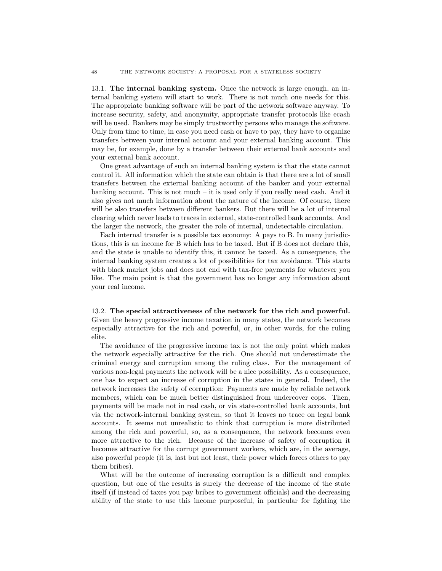<span id="page-47-0"></span>13.1. The internal banking system. Once the network is large enough, an internal banking system will start to work. There is not much one needs for this. The appropriate banking software will be part of the network software anyway. To increase security, safety, and anonymity, appropriate transfer protocols like ecash will be used. Bankers may be simply trustworthy persons who manage the software. Only from time to time, in case you need cash or have to pay, they have to organize transfers between your internal account and your external banking account. This may be, for example, done by a transfer between their external bank accounts and your external bank account.

One great advantage of such an internal banking system is that the state cannot control it. All information which the state can obtain is that there are a lot of small transfers between the external banking account of the banker and your external banking account. This is not much  $-$  it is used only if you really need cash. And it also gives not much information about the nature of the income. Of course, there will be also transfers between different bankers. But there will be a lot of internal clearing which never leads to traces in external, state-controlled bank accounts. And the larger the network, the greater the role of internal, undetectable circulation.

Each internal transfer is a possible tax economy: A pays to B. In many jurisdictions, this is an income for B which has to be taxed. But if B does not declare this, and the state is unable to identify this, it cannot be taxed. As a consequence, the internal banking system creates a lot of possibilities for tax avoidance. This starts with black market jobs and does not end with tax-free payments for whatever you like. The main point is that the government has no longer any information about your real income.

<span id="page-47-1"></span>13.2. The special attractiveness of the network for the rich and powerful. Given the heavy progressive income taxation in many states, the network becomes especially attractive for the rich and powerful, or, in other words, for the ruling elite.

The avoidance of the progressive income tax is not the only point which makes the network especially attractive for the rich. One should not underestimate the criminal energy and corruption among the ruling class. For the management of various non-legal payments the network will be a nice possibility. As a consequence, one has to expect an increase of corruption in the states in general. Indeed, the network increases the safety of corruption: Payments are made by reliable network members, which can be much better distinguished from undercover cops. Then, payments will be made not in real cash, or via state-controlled bank accounts, but via the network-internal banking system, so that it leaves no trace on legal bank accounts. It seems not unrealistic to think that corruption is more distributed among the rich and powerful, so, as a consequence, the network becomes even more attractive to the rich. Because of the increase of safety of corruption it becomes attractive for the corrupt government workers, which are, in the average, also powerful people (it is, last but not least, their power which forces others to pay them bribes).

What will be the outcome of increasing corruption is a difficult and complex question, but one of the results is surely the decrease of the income of the state itself (if instead of taxes you pay bribes to government officials) and the decreasing ability of the state to use this income purposeful, in particular for fighting the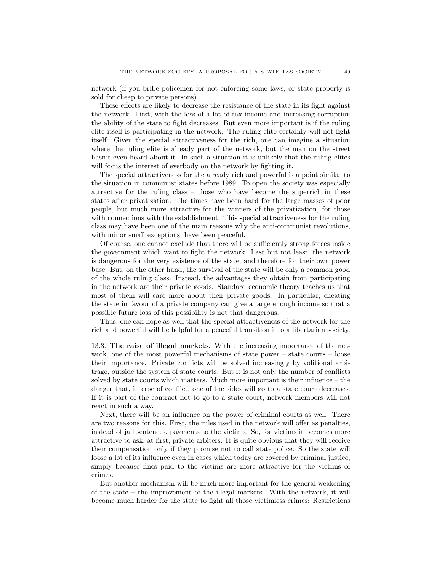network (if you bribe policemen for not enforcing some laws, or state property is sold for cheap to private persons).

These effects are likely to decrease the resistance of the state in its fight against the network. First, with the loss of a lot of tax income and increasing corruption the ability of the state to fight decreases. But even more important is if the ruling elite itself is participating in the network. The ruling elite certainly will not fight itself. Given the special attractiveness for the rich, one can imagine a situation where the ruling elite is already part of the network, but the man on the street hasn't even heard about it. In such a situation it is unlikely that the ruling elites will focus the interest of everbody on the network by fighting it.

The special attractiveness for the already rich and powerful is a point similar to the situation in communist states before 1989. To open the society was especially attractive for the ruling class – those who have become the superrich in these states after privatization. The times have been hard for the large masses of poor people, but much more attractive for the winners of the privatization, for those with connections with the establishment. This special attractiveness for the ruling class may have been one of the main reasons why the anti-communist revolutions, with minor small exceptions, have been peaceful.

Of course, one cannot exclude that there will be sufficiently strong forces inside the government which want to fight the network. Last but not least, the network is dangerous for the very existence of the state, and therefore for their own power base. But, on the other hand, the survival of the state will be only a common good of the whole ruling class. Instead, the advantages they obtain from participating in the network are their private goods. Standard economic theory teaches us that most of them will care more about their private goods. In particular, cheating the state in favour of a private company can give a large enough income so that a possible future loss of this possibility is not that dangerous.

Thus, one can hope as well that the special attractiveness of the network for the rich and powerful will be helpful for a peaceful transition into a libertarian society.

<span id="page-48-0"></span>13.3. The raise of illegal markets. With the increasing importance of the network, one of the most powerful mechanisms of state power – state courts – loose their importance. Private conflicts will be solved increasingly by volitional arbitrage, outside the system of state courts. But it is not only the number of conflicts solved by state courts which matters. Much more important is their influence – the danger that, in case of conflict, one of the sides will go to a state court decreases: If it is part of the contract not to go to a state court, network members will not react in such a way.

Next, there will be an influence on the power of criminal courts as well. There are two reasons for this. First, the rules used in the network will offer as penalties, instead of jail sentences, payments to the victims. So, for victims it becomes more attractive to ask, at first, private arbiters. It is quite obvious that they will receive their compensation only if they promise not to call state police. So the state will loose a lot of its influence even in cases which today are covered by criminal justice, simply because fines paid to the victims are more attractive for the victims of crimes.

But another mechanism will be much more important for the general weakening of the state – the improvement of the illegal markets. With the network, it will become much harder for the state to fight all those victimless crimes: Restrictions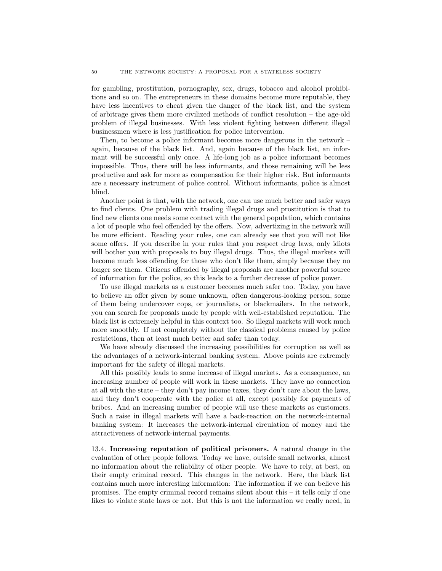for gambling, prostitution, pornography, sex, drugs, tobacco and alcohol prohibitions and so on. The entrepreneurs in these domains become more reputable, they have less incentives to cheat given the danger of the black list, and the system of arbitrage gives them more civilized methods of conflict resolution – the age-old problem of illegal businesses. With less violent fighting between different illegal businessmen where is less justification for police intervention.

Then, to become a police informant becomes more dangerous in the network – again, because of the black list. And, again because of the black list, an informant will be successful only once. A life-long job as a police informant becomes impossible. Thus, there will be less informants, and those remaining will be less productive and ask for more as compensation for their higher risk. But informants are a necessary instrument of police control. Without informants, police is almost blind.

Another point is that, with the network, one can use much better and safer ways to find clients. One problem with trading illegal drugs and prostitution is that to find new clients one needs some contact with the general population, which contains a lot of people who feel offended by the offers. Now, advertizing in the network will be more efficient. Reading your rules, one can already see that you will not like some offers. If you describe in your rules that you respect drug laws, only idiots will bother you with proposals to buy illegal drugs. Thus, the illegal markets will become much less offending for those who don't like them, simply because they no longer see them. Citizens offended by illegal proposals are another powerful source of information for the police, so this leads to a further decrease of police power.

To use illegal markets as a customer becomes much safer too. Today, you have to believe an offer given by some unknown, often dangerous-looking person, some of them being undercover cops, or journalists, or blackmailers. In the network, you can search for proposals made by people with well-established reputation. The black list is extremely helpful in this context too. So illegal markets will work much more smoothly. If not completely without the classical problems caused by police restrictions, then at least much better and safer than today.

We have already discussed the increasing possibilities for corruption as well as the advantages of a network-internal banking system. Above points are extremely important for the safety of illegal markets.

All this possibly leads to some increase of illegal markets. As a consequence, an increasing number of people will work in these markets. They have no connection at all with the state – they don't pay income taxes, they don't care about the laws, and they don't cooperate with the police at all, except possibly for payments of bribes. And an increasing number of people will use these markets as customers. Such a raise in illegal markets will have a back-reaction on the network-internal banking system: It increases the network-internal circulation of money and the attractiveness of network-internal payments.

<span id="page-49-0"></span>13.4. Increasing reputation of political prisoners. A natural change in the evaluation of other people follows. Today we have, outside small networks, almost no information about the reliability of other people. We have to rely, at best, on their empty criminal record. This changes in the network. Here, the black list contains much more interesting information: The information if we can believe his promises. The empty criminal record remains silent about this – it tells only if one likes to violate state laws or not. But this is not the information we really need, in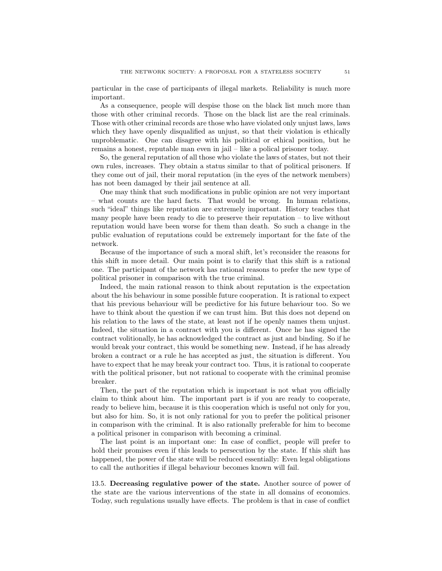particular in the case of participants of illegal markets. Reliability is much more important.

As a consequence, people will despise those on the black list much more than those with other criminal records. Those on the black list are the real criminals. Those with other criminal records are those who have violated only unjust laws, laws which they have openly disqualified as unjust, so that their violation is ethically unproblematic. One can disagree with his political or ethical position, but he remains a honest, reputable man even in jail – like a polical prisoner today.

So, the general reputation of all those who violate the laws of states, but not their own rules, increases. They obtain a status similar to that of political prisoners. If they come out of jail, their moral reputation (in the eyes of the network members) has not been damaged by their jail sentence at all.

One may think that such modifications in public opinion are not very important – what counts are the hard facts. That would be wrong. In human relations, such "ideal" things like reputation are extremely important. History teaches that many people have been ready to die to preserve their reputation – to live without reputation would have been worse for them than death. So such a change in the public evaluation of reputations could be extremely important for the fate of the network.

Because of the importance of such a moral shift, let's reconsider the reasons for this shift in more detail. Our main point is to clarify that this shift is a rational one. The participant of the network has rational reasons to prefer the new type of political prisoner in comparison with the true criminal.

Indeed, the main rational reason to think about reputation is the expectation about the his behaviour in some possible future cooperation. It is rational to expect that his previous behaviour will be predictive for his future behaviour too. So we have to think about the question if we can trust him. But this does not depend on his relation to the laws of the state, at least not if he openly names them unjust. Indeed, the situation in a contract with you is different. Once he has signed the contract volitionally, he has acknowledged the contract as just and binding. So if he would break your contract, this would be something new. Instead, if he has already broken a contract or a rule he has accepted as just, the situation is different. You have to expect that he may break your contract too. Thus, it is rational to cooperate with the political prisoner, but not rational to cooperate with the criminal promise breaker.

Then, the part of the reputation which is important is not what you officially claim to think about him. The important part is if you are ready to cooperate, ready to believe him, because it is this cooperation which is useful not only for you, but also for him. So, it is not only rational for you to prefer the political prisoner in comparison with the criminal. It is also rationally preferable for him to become a political prisoner in comparison with becoming a criminal.

The last point is an important one: In case of conflict, people will prefer to hold their promises even if this leads to persecution by the state. If this shift has happened, the power of the state will be reduced essentially: Even legal obligations to call the authorities if illegal behaviour becomes known will fail.

<span id="page-50-0"></span>13.5. Decreasing regulative power of the state. Another source of power of the state are the various interventions of the state in all domains of economics. Today, such regulations usually have effects. The problem is that in case of conflict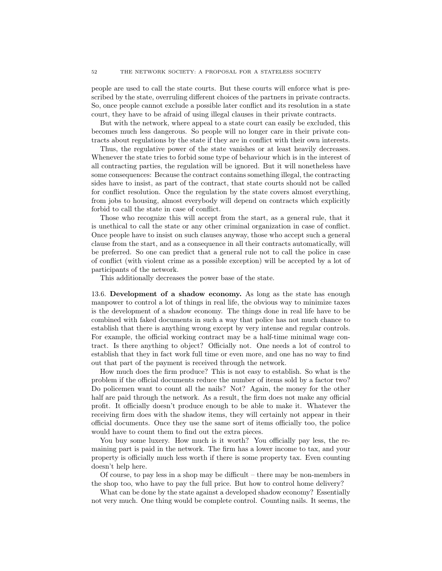people are used to call the state courts. But these courts will enforce what is prescribed by the state, overruling different choices of the partners in private contracts. So, once people cannot exclude a possible later conflict and its resolution in a state court, they have to be afraid of using illegal clauses in their private contracts.

But with the network, where appeal to a state court can easily be excluded, this becomes much less dangerous. So people will no longer care in their private contracts about regulations by the state if they are in conflict with their own interests.

Thus, the regulative power of the state vanishes or at least heavily decreases. Whenever the state tries to forbid some type of behaviour which is in the interest of all contracting parties, the regulation will be ignored. But it will nonetheless have some consequences: Because the contract contains something illegal, the contracting sides have to insist, as part of the contract, that state courts should not be called for conflict resolution. Once the regulation by the state covers almost everything, from jobs to housing, almost everybody will depend on contracts which explicitly forbid to call the state in case of conflict.

Those who recognize this will accept from the start, as a general rule, that it is unethical to call the state or any other criminal organization in case of conflict. Once people have to insist on such clauses anyway, those who accept such a general clause from the start, and as a consequence in all their contracts automatically, will be preferred. So one can predict that a general rule not to call the police in case of conflict (with violent crime as a possible exception) will be accepted by a lot of participants of the network.

This additionally decreases the power base of the state.

<span id="page-51-0"></span>13.6. Development of a shadow economy. As long as the state has enough manpower to control a lot of things in real life, the obvious way to minimize taxes is the development of a shadow economy. The things done in real life have to be combined with faked documents in such a way that police has not much chance to establish that there is anything wrong except by very intense and regular controls. For example, the official working contract may be a half-time minimal wage contract. Is there anything to object? Officially not. One needs a lot of control to establish that they in fact work full time or even more, and one has no way to find out that part of the payment is received through the network.

How much does the firm produce? This is not easy to establish. So what is the problem if the official documents reduce the number of items sold by a factor two? Do policemen want to count all the nails? Not? Again, the money for the other half are paid through the network. As a result, the firm does not make any official profit. It officially doesn't produce enough to be able to make it. Whatever the receiving firm does with the shadow items, they will certainly not appear in their official documents. Once they use the same sort of items officially too, the police would have to count them to find out the extra pieces.

You buy some luxery. How much is it worth? You officially pay less, the remaining part is paid in the network. The firm has a lower income to tax, and your property is officially much less worth if there is some property tax. Even counting doesn't help here.

Of course, to pay less in a shop may be difficult – there may be non-members in the shop too, who have to pay the full price. But how to control home delivery?

What can be done by the state against a developed shadow economy? Essentially not very much. One thing would be complete control. Counting nails. It seems, the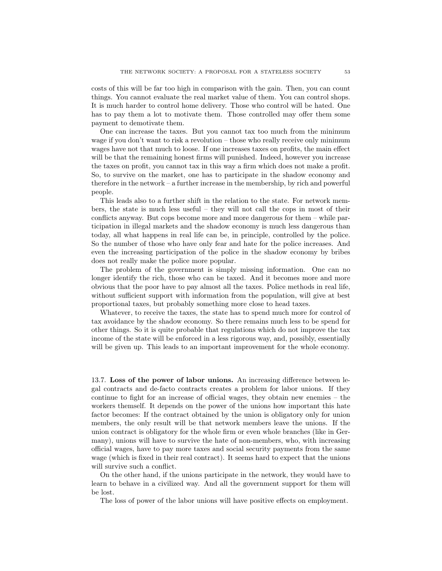costs of this will be far too high in comparison with the gain. Then, you can count things. You cannot evaluate the real market value of them. You can control shops. It is much harder to control home delivery. Those who control will be hated. One has to pay them a lot to motivate them. Those controlled may offer them some payment to demotivate them.

One can increase the taxes. But you cannot tax too much from the minimum wage if you don't want to risk a revolution – those who really receive only minimum wages have not that much to loose. If one increases taxes on profits, the main effect will be that the remaining honest firms will punished. Indeed, however you increase the taxes on profit, you cannot tax in this way a firm which does not make a profit. So, to survive on the market, one has to participate in the shadow economy and therefore in the network – a further increase in the membership, by rich and powerful people.

This leads also to a further shift in the relation to the state. For network members, the state is much less useful – they will not call the cops in most of their conflicts anyway. But cops become more and more dangerous for them – while participation in illegal markets and the shadow economy is much less dangerous than today, all what happens in real life can be, in principle, controlled by the police. So the number of those who have only fear and hate for the police increases. And even the increasing participation of the police in the shadow economy by bribes does not really make the police more popular.

The problem of the government is simply missing information. One can no longer identify the rich, those who can be taxed. And it becomes more and more obvious that the poor have to pay almost all the taxes. Police methods in real life, without sufficient support with information from the population, will give at best proportional taxes, but probably something more close to head taxes.

Whatever, to receive the taxes, the state has to spend much more for control of tax avoidance by the shadow economy. So there remains much less to be spend for other things. So it is quite probable that regulations which do not improve the tax income of the state will be enforced in a less rigorous way, and, possibly, essentially will be given up. This leads to an important improvement for the whole economy.

<span id="page-52-0"></span>13.7. Loss of the power of labor unions. An increasing difference between legal contracts and de-facto contracts creates a problem for labor unions. If they continue to fight for an increase of official wages, they obtain new enemies – the workers themself. It depends on the power of the unions how important this hate factor becomes: If the contract obtained by the union is obligatory only for union members, the only result will be that network members leave the unions. If the union contract is obligatory for the whole firm or even whole branches (like in Germany), unions will have to survive the hate of non-members, who, with increasing official wages, have to pay more taxes and social security payments from the same wage (which is fixed in their real contract). It seems hard to expect that the unions will survive such a conflict.

On the other hand, if the unions participate in the network, they would have to learn to behave in a civilized way. And all the government support for them will be lost.

The loss of power of the labor unions will have positive effects on employment.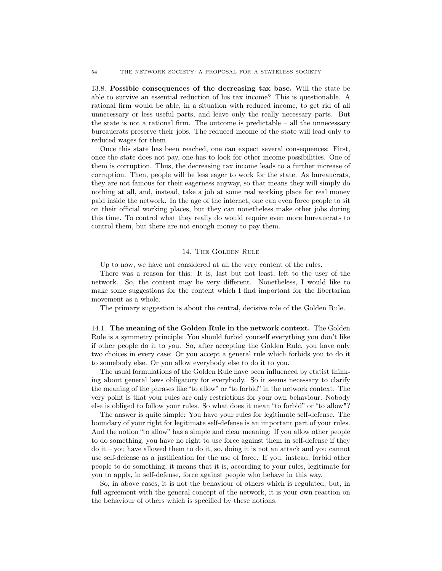<span id="page-53-0"></span>13.8. Possible consequences of the decreasing tax base. Will the state be able to survive an essential reduction of his tax income? This is questionable. A rational firm would be able, in a situation with reduced income, to get rid of all unnecessary or less useful parts, and leave only the really necessary parts. But the state is not a rational firm. The outcome is predictable – all the unnecessary bureaucrats preserve their jobs. The reduced income of the state will lead only to reduced wages for them.

Once this state has been reached, one can expect several consequences: First, once the state does not pay, one has to look for other income possibilities. One of them is corruption. Thus, the decreasing tax income leads to a further increase of corruption. Then, people will be less eager to work for the state. As bureaucrats, they are not famous for their eagerness anyway, so that means they will simply do nothing at all, and, instead, take a job at some real working place for real money paid inside the network. In the age of the internet, one can even force people to sit on their official working places, but they can nonetheless make other jobs during this time. To control what they really do would require even more bureaucrats to control them, but there are not enough money to pay them.

## 14. The Golden Rule

<span id="page-53-1"></span>Up to now, we have not considered at all the very content of the rules.

There was a reason for this: It is, last but not least, left to the user of the network. So, the content may be very different. Nonetheless, I would like to make some suggestions for the content which I find important for the libertarian movement as a whole.

The primary suggestion is about the central, decisive role of the Golden Rule.

<span id="page-53-2"></span>14.1. The meaning of the Golden Rule in the network context. The Golden Rule is a symmetry principle: You should forbid yourself everything you don't like if other people do it to you. So, after accepting the Golden Rule, you have only two choices in every case: Or you accept a general rule which forbids you to do it to somebody else. Or you allow everybody else to do it to you.

The usual formulations of the Golden Rule have been influenced by etatist thinking about general laws obligatory for everybody. So it seems necessary to clarify the meaning of the phrases like "to allow" or "to forbid" in the network context. The very point is that your rules are only restrictions for your own behaviour. Nobody else is obliged to follow your rules. So what does it mean "to forbid" or "to allow"?

The answer is quite simple: You have your rules for legitimate self-defense. The boundary of your right for legitimate self-defense is an important part of your rules. And the notion "to allow" has a simple and clear meaning: If you allow other people to do something, you have no right to use force against them in self-defense if they do it – you have allowed them to do it, so, doing it is not an attack and you cannot use self-defense as a justification for the use of force. If you, instead, forbid other people to do something, it means that it is, according to your rules, legitimate for you to apply, in self-defense, force against people who behave in this way.

So, in above cases, it is not the behaviour of others which is regulated, but, in full agreement with the general concept of the network, it is your own reaction on the behaviour of others which is specified by these notions.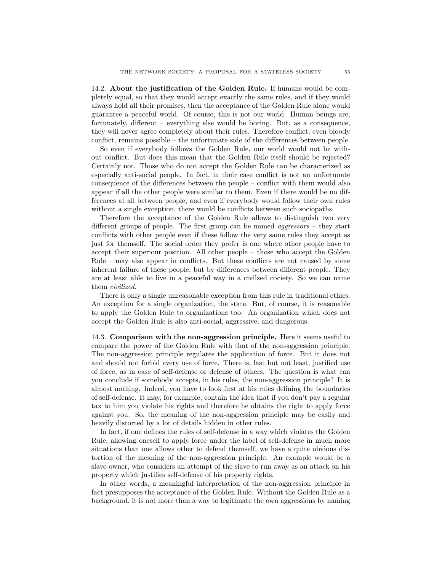<span id="page-54-0"></span>14.2. About the justification of the Golden Rule. If humans would be completely equal, so that they would accept exactly the same rules, and if they would always hold all their promises, then the acceptance of the Golden Rule alone would guarantee a peaceful world. Of course, this is not our world. Human beings are, fortunately, different – everything else would be boring. But, as a consequence, they will never agree completely about their rules. Therefore conflict, even bloody conflict, remains possible – the unfortunate side of the differences between people.

So even if everybody follows the Golden Rule, our world would not be without conflict. But does this mean that the Golden Rule itself should be rejected? Certainly not. Those who do not accept the Golden Rule can be characterized as especially anti-social people. In fact, in their case conflict is not an unfortunate consequence of the differences between the people – conflict with them would also appear if all the other people were similar to them. Even if there would be no differences at all between people, and even if everybody would follow their own rules without a single exception, there would be conflicts between such sociopaths.

Therefore the acceptance of the Golden Rule allows to distinguish two very different groups of people. The first group can be named aggressors – they start conflicts with other people even if these follow the very same rules they accept as just for themself. The social order they prefer is one where other people have to accept their superiour position. All other people – those who accept the Golden Rule – may also appear in conflicts. But these conflicts are not caused by some inherent failure of these people, but by differences between different people. They are at least able to live in a peaceful way in a civilzed cociety. So we can name them civilized.

There is only a single unreasonable exception from this rule in traditional ethics: An exception for a single organization, the state. But, of course, it is reasonable to apply the Golden Rule to organizations too. An organization which does not accept the Golden Rule is also anti-social, aggressive, and dangerous.

<span id="page-54-1"></span>14.3. Comparison with the non-aggression principle. Here it seems useful to compare the power of the Golden Rule with that of the non-aggression principle. The non-aggression principle regulates the application of force. But it does not and should not forbid every use of force. There is, last but not least, justified use of force, as in case of self-defense or defense of others. The question is what can you conclude if somebody accepts, in his rules, the non-aggression principle? It is almost nothing. Indeed, you have to look first at his rules defining the boundaries of self-defense. It may, for example, contain the idea that if you don't pay a regular tax to him you violate his rights and therefore he obtains the right to apply force against you. So, the meaning of the non-aggression principle may be easily and heavily distorted by a lot of details hidden in other rules.

In fact, if one defines the rules of self-defense in a way which violates the Golden Rule, allowing oneself to apply force under the label of self-defense in much more situations than one allows other to defend themself, we have a quite obvious distortion of the meaning of the non-aggression principle. An example would be a slave-owner, who considers an attempt of the slave to run away as an attack on his property which justifies self-defense of his property rights.

In other words, a meaningful interpretation of the non-aggression principle in fact presupposes the acceptance of the Golden Rule. Without the Golden Rule as a background, it is not more than a way to legitimate the own aggressions by naming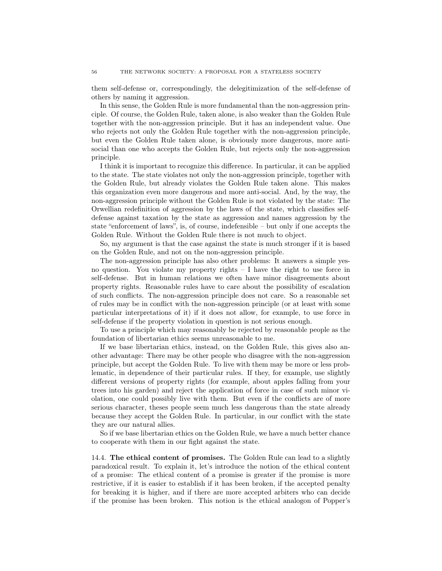them self-defense or, correspondingly, the delegitimization of the self-defense of others by naming it aggression.

In this sense, the Golden Rule is more fundamental than the non-aggression principle. Of course, the Golden Rule, taken alone, is also weaker than the Golden Rule together with the non-aggression principle. But it has an independent value. One who rejects not only the Golden Rule together with the non-aggression principle, but even the Golden Rule taken alone, is obviously more dangerous, more antisocial than one who accepts the Golden Rule, but rejects only the non-aggression principle.

I think it is important to recognize this difference. In particular, it can be applied to the state. The state violates not only the non-aggression principle, together with the Golden Rule, but already violates the Golden Rule taken alone. This makes this organization even more dangerous and more anti-social. And, by the way, the non-aggression principle without the Golden Rule is not violated by the state: The Orwellian redefinition of aggression by the laws of the state, which classifies selfdefense against taxation by the state as aggression and names aggression by the state "enforcement of laws", is, of course, indefensible – but only if one accepts the Golden Rule. Without the Golden Rule there is not much to object.

So, my argument is that the case against the state is much stronger if it is based on the Golden Rule, and not on the non-aggression principle.

The non-aggression principle has also other problems: It answers a simple yesno question. You violate my property rights – I have the right to use force in self-defense. But in human relations we often have minor disagreements about property rights. Reasonable rules have to care about the possibility of escalation of such conflicts. The non-aggression principle does not care. So a reasonable set of rules may be in conflict with the non-aggression principle (or at least with some particular interpretations of it) if it does not allow, for example, to use force in self-defense if the property violation in question is not serious enough.

To use a principle which may reasonably be rejected by reasonable people as the foundation of libertarian ethics seems unreasonable to me.

If we base libertarian ethics, instead, on the Golden Rule, this gives also another advantage: There may be other people who disagree with the non-aggression principle, but accept the Golden Rule. To live with them may be more or less problematic, in dependence of their particular rules. If they, for example, use slightly different versions of property rights (for example, about apples falling from your trees into his garden) and reject the application of force in case of such minor violation, one could possibly live with them. But even if the conflicts are of more serious character, theses people seem much less dangerous than the state already because they accept the Golden Rule. In particular, in our conflict with the state they are our natural allies.

So if we base libertarian ethics on the Golden Rule, we have a much better chance to cooperate with them in our fight against the state.

<span id="page-55-0"></span>14.4. The ethical content of promises. The Golden Rule can lead to a slightly paradoxical result. To explain it, let's introduce the notion of the ethical content of a promise: The ethical content of a promise is greater if the promise is more restrictive, if it is easier to establish if it has been broken, if the accepted penalty for breaking it is higher, and if there are more accepted arbiters who can decide if the promise has been broken. This notion is the ethical analogon of Popper's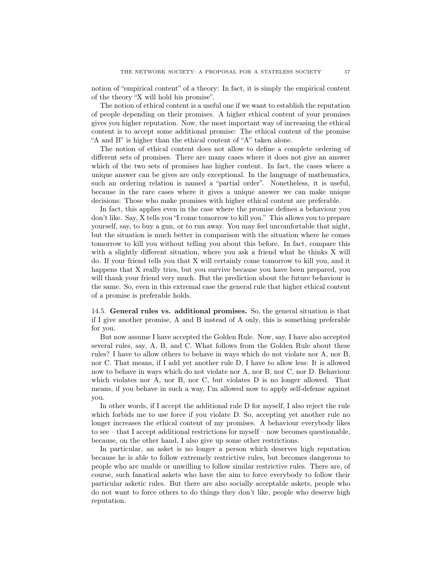notion of "empirical content" of a theory: In fact, it is simply the empirical content of the theory "X will hold his promise".

The notion of ethical content is a useful one if we want to establish the reputation of people depending on their promises. A higher ethical content of your promises gives you higher reputation. Now, the most important way of increasing the ethical content is to accept some additional promise: The ethical content of the promise "A and B" is higher than the ethical content of "A" taken alone.

The notion of ethical content does not allow to define a complete ordering of different sets of promises. There are many cases where it does not give an answer which of the two sets of promises has higher content. In fact, the cases where a unique answer can be gives are only exceptional. In the language of mathematics, such an ordering relation is named a "partial order". Nonetheless, it is useful, because in the rare cases where it gives a unique answer we can make unique decisions: Those who make promises with higher ethical content are preferable.

In fact, this applies even in the case where the promise defines a behaviour you don't like. Say, X tells you "I come tomorrow to kill you." This allows you to prepare yourself, say, to buy a gun, or to run away. You may feel uncomfortable that night, but the situation is much better in comparison with the situation where he comes tomorrow to kill you without telling you about this before. In fact, compare this with a slightly different situation, where you ask a friend what he thinks X will do. If your friend tells you that X will certainly come tomorrow to kill you, and it happens that X really tries, but you survive because you have been prepared, you will thank your friend very much. But the prediction about the future behaviour is the same. So, even in this extremal case the general rule that higher ethical content of a promise is preferable holds.

<span id="page-56-0"></span>14.5. General rules vs. additional promises. So, the general situation is that if I give another promise, A and B instead of A only, this is something preferable for you.

But now assume I have accepted the Golden Rule. Now, say, I have also accepted several rules, say, A, B, and C. What follows from the Golden Rule about these rules? I have to allow others to behave in ways which do not violate nor A, nor B, nor C. That means, if I add yet another rule D, I have to allow less: It is allowed now to behave in ways which do not violate nor A, nor B, nor C, nor D. Behaviour which violates nor A, nor B, nor C, but violates D is no longer allowed. That means, if you behave in such a way, I'm allowed now to apply self-defense against you.

In other words, if I accept the additional rule D for myself, I also reject the rule which forbids me to use force if you violate D. So, accepting yet another rule no longer increases the ethical content of my promises. A behaviour everybody likes to see – that I accept additional restrictions for myself – now becomes questionable, because, on the other hand, I also give up some other restrictions.

In particular, an asket is no longer a person which deserves high reputation because he is able to follow extremely restrictive rules, but becomes dangerous to people who are unable or unwilling to follow similar restrictive rules. There are, of course, such fanatical askets who have the aim to force everybody to follow their particular asketic rules. But there are also socially acceptable askets, people who do not want to force others to do things they don't like, people who deserve high reputation.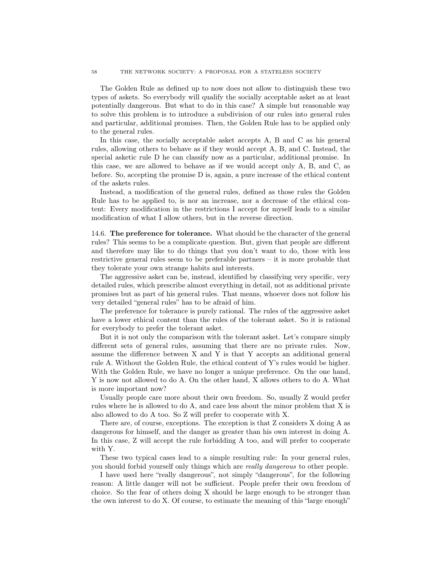The Golden Rule as defined up to now does not allow to distinguish these two types of askets. So everybody will qualify the socially acceptable asket as at least potentially dangerous. But what to do in this case? A simple but reasonable way to solve this problem is to introduce a subdivision of our rules into general rules and particular, additional promises. Then, the Golden Rule has to be applied only to the general rules.

In this case, the socially acceptable asket accepts A, B and C as his general rules, allowing others to behave as if they would accept A, B, and C. Instead, the special asketic rule D he can classify now as a particular, additional promise. In this case, we are allowed to behave as if we would accept only A, B, and C, as before. So, accepting the promise D is, again, a pure increase of the ethical content of the askets rules.

Instead, a modification of the general rules, defined as those rules the Golden Rule has to be applied to, is nor an increase, nor a decrease of the ethical content: Every modification in the restrictions I accept for myself leads to a similar modification of what I allow others, but in the reverse direction.

<span id="page-57-0"></span>14.6. The preference for tolerance. What should be the character of the general rules? This seems to be a complicate question. But, given that people are different and therefore may like to do things that you don't want to do, those with less restrictive general rules seem to be preferable partners – it is more probable that they tolerate your own strange habits and interests.

The aggressive asket can be, instead, identified by classifying very specific, very detailed rules, which prescribe almost everything in detail, not as additional private promises but as part of his general rules. That means, whoever does not follow his very detailed "general rules" has to be afraid of him.

The preference for tolerance is purely rational. The rules of the aggressive asket have a lower ethical content than the rules of the tolerant asket. So it is rational for everybody to prefer the tolerant asket.

But it is not only the comparison with the tolerant asket. Let's compare simply different sets of general rules, assuming that there are no private rules. Now, assume the difference between X and Y is that Y accepts an additional general rule A. Without the Golden Rule, the ethical content of Y's rules would be higher. With the Golden Rule, we have no longer a unique preference. On the one hand, Y is now not allowed to do A. On the other hand, X allows others to do A. What is more important now?

Usually people care more about their own freedom. So, usually Z would prefer rules where he is allowed to do A, and care less about the minor problem that X is also allowed to do A too. So Z will prefer to cooperate with X.

There are, of course, exceptions. The exception is that Z considers X doing A as dangerous for himself, and the danger as greater than his own interest in doing A. In this case, Z will accept the rule forbidding A too, and will prefer to cooperate with Y.

These two typical cases lead to a simple resulting rule: In your general rules, you should forbid yourself only things which are *really dangerous* to other people.

I have used here "really dangerous", not simply "dangerous", for the following reason: A little danger will not be sufficient. People prefer their own freedom of choice. So the fear of others doing X should be large enough to be stronger than the own interest to do X. Of course, to estimate the meaning of this "large enough"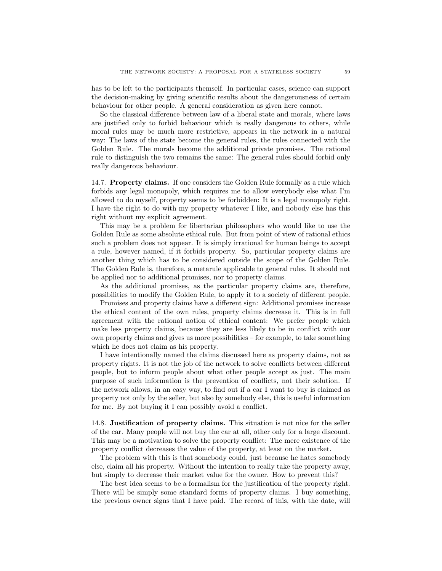has to be left to the participants themself. In particular cases, science can support the decision-making by giving scientific results about the dangerousness of certain behaviour for other people. A general consideration as given here cannot.

So the classical difference between law of a liberal state and morals, where laws are justified only to forbid behaviour which is really dangerous to others, while moral rules may be much more restrictive, appears in the network in a natural way: The laws of the state become the general rules, the rules connected with the Golden Rule. The morals become the additional private promises. The rational rule to distinguish the two remains the same: The general rules should forbid only really dangerous behaviour.

<span id="page-58-0"></span>14.7. Property claims. If one considers the Golden Rule formally as a rule which forbids any legal monopoly, which requires me to allow everybody else what I'm allowed to do myself, property seems to be forbidden: It is a legal monopoly right. I have the right to do with my property whatever I like, and nobody else has this right without my explicit agreement.

This may be a problem for libertarian philosophers who would like to use the Golden Rule as some absolute ethical rule. But from point of view of rational ethics such a problem does not appear. It is simply irrational for human beings to accept a rule, however named, if it forbids property. So, particular property claims are another thing which has to be considered outside the scope of the Golden Rule. The Golden Rule is, therefore, a metarule applicable to general rules. It should not be applied nor to additional promises, nor to property claims.

As the additional promises, as the particular property claims are, therefore, possibilities to modify the Golden Rule, to apply it to a society of different people.

Promises and property claims have a different sign: Additional promises increase the ethical content of the own rules, property claims decrease it. This is in full agreement with the rational notion of ethical content: We prefer people which make less property claims, because they are less likely to be in conflict with our own property claims and gives us more possibilities – for example, to take something which he does not claim as his property.

I have intentionally named the claims discussed here as property claims, not as property rights. It is not the job of the network to solve conflicts between different people, but to inform people about what other people accept as just. The main purpose of such information is the prevention of conflicts, not their solution. If the network allows, in an easy way, to find out if a car I want to buy is claimed as property not only by the seller, but also by somebody else, this is useful information for me. By not buying it I can possibly avoid a conflict.

<span id="page-58-1"></span>14.8. Justification of property claims. This situation is not nice for the seller of the car. Many people will not buy the car at all, other only for a large discount. This may be a motivation to solve the property conflict: The mere existence of the property conflict decreases the value of the property, at least on the market.

The problem with this is that somebody could, just because he hates somebody else, claim all his property. Without the intention to really take the property away, but simply to decrease their market value for the owner. How to prevent this?

The best idea seems to be a formalism for the justification of the property right. There will be simply some standard forms of property claims. I buy something, the previous owner signs that I have paid. The record of this, with the date, will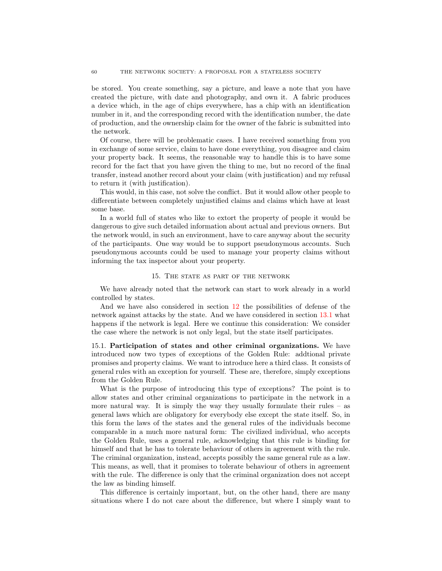be stored. You create something, say a picture, and leave a note that you have created the picture, with date and photography, and own it. A fabric produces a device which, in the age of chips everywhere, has a chip with an identification number in it, and the corresponding record with the identification number, the date of production, and the ownership claim for the owner of the fabric is submitted into the network.

Of course, there will be problematic cases. I have received something from you in exchange of some service, claim to have done everything, you disagree and claim your property back. It seems, the reasonable way to handle this is to have some record for the fact that you have given the thing to me, but no record of the final transfer, instead another record about your claim (with justification) and my refusal to return it (with justification).

This would, in this case, not solve the conflict. But it would allow other people to differentiate between completely unjustified claims and claims which have at least some base.

In a world full of states who like to extort the property of people it would be dangerous to give such detailed information about actual and previous owners. But the network would, in such an environment, have to care anyway about the security of the participants. One way would be to support pseudonymous accounts. Such pseudonymous accounts could be used to manage your property claims without informing the tax inspector about your property.

#### 15. THE STATE AS PART OF THE NETWORK

<span id="page-59-0"></span>We have already noted that the network can start to work already in a world controlled by states.

And we have also considered in section [12](#page-42-1) the possibilities of defense of the network against attacks by the state. And we have considered in section [13.1](#page-47-0) what happens if the network is legal. Here we continue this consideration: We consider the case where the network is not only legal, but the state itself participates.

<span id="page-59-1"></span>15.1. Participation of states and other criminal organizations. We have introduced now two types of exceptions of the Golden Rule: addtional private promises and property claims. We want to introduce here a third class. It consists of general rules with an exception for yourself. These are, therefore, simply exceptions from the Golden Rule.

What is the purpose of introducing this type of exceptions? The point is to allow states and other criminal organizations to participate in the network in a more natural way. It is simply the way they usually formulate their rules  $-$  as general laws which are obligatory for everybody else except the state itself. So, in this form the laws of the states and the general rules of the individuals become comparable in a much more natural form: The civilized individual, who accepts the Golden Rule, uses a general rule, acknowledging that this rule is binding for himself and that he has to tolerate behaviour of others in agreement with the rule. The criminal organization, instead, accepts possibly the same general rule as a law. This means, as well, that it promises to tolerate behaviour of others in agreement with the rule. The difference is only that the criminal organization does not accept the law as binding himself.

This difference is certainly important, but, on the other hand, there are many situations where I do not care about the difference, but where I simply want to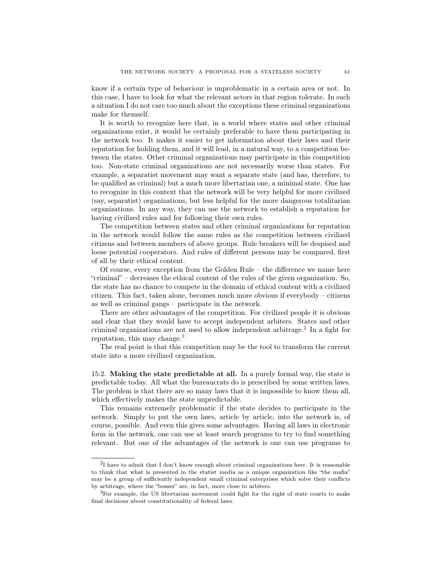know if a certain type of behaviour is unproblematic in a certain area or not. In this case, I have to look for what the relevant actors in that region tolerate. In such a situation I do not care too much about the exceptions these criminal organizations make for themself.

It is worth to recognize here that, in a world where states and other criminal organizations exist, it would be certainly preferable to have them participating in the network too. It makes it easier to get information about their laws and their reputation for holding them, and it will lead, in a natural way, to a competition between the states. Other criminal organizations may participate in this competition too. Non-state criminal organizations are not necessarily worse than states. For example, a separatist movement may want a separate state (and has, therefore, to be qualified as criminal) but a much more libertarian one, a minimal state. One has to recognize in this context that the network will be very helpful for more civilized (say, separatist) organizations, but less helpful for the more dangerous totalitarian organizations. In any way, they can use the network to establish a reputation for having civilized rules and for following their own rules.

The competition between states and other criminal organizations for reputation in the network would follow the same rules as the competition between civilized citizens and between members of above groups. Rule breakers will be despised and loose potential cooperators. And rules of different persons may be compared, first of all by their ethical content.

Of course, every exception from the Golden Rule – the difference we name here "criminal" – decreases the ethical content of the rules of the given organization. So, the state has no chance to compete in the domain of ethical content with a civilized citizen. This fact, taken alone, becomes much more obvious if everybody – citizens as well as criminal gangs – participate in the network.

There are other advantages of the competition. For civilized people it is obvious and clear that they would have to accept independent arbiters. States and other criminal organizations are not used to allow independent arbitrage.<sup>[2](#page-60-1)</sup> In a fight for reputation, this may change.<sup>[3](#page-60-2)</sup>

The real point is that this competition may be the tool to transform the current state into a more civilized organization.

<span id="page-60-0"></span>15.2. Making the state predictable at all. In a purely formal way, the state is predictable today. All what the bureaucrats do is prescribed by some written laws. The problem is that there are so many laws that it is impossible to know them all, which effectively makes the state unpredictable.

This remains extremely problematic if the state decides to participate in the network. Simply to put the own laws, article by article, into the network is, of course, possible. And even this gives some advantages. Having all laws in electronic form in the network, one can use at least search programs to try to find something relevant. But one of the advantages of the network is one can use programs to

<span id="page-60-1"></span> $2I$  have to admit that I don't know enough about criminal organizations here. It is reasonable to think that what is presented in the etatist media as a unique organization like "the mafia" may be a group of sufficiently independent small criminal enterprises which solve their conflicts by arbitrage, where the "bosses" are, in fact, more close to arbiters.

<span id="page-60-2"></span><sup>3</sup>For example, the US libertarian movement could fight for the right of state courts to make final decisions about constitutionality of federal laws.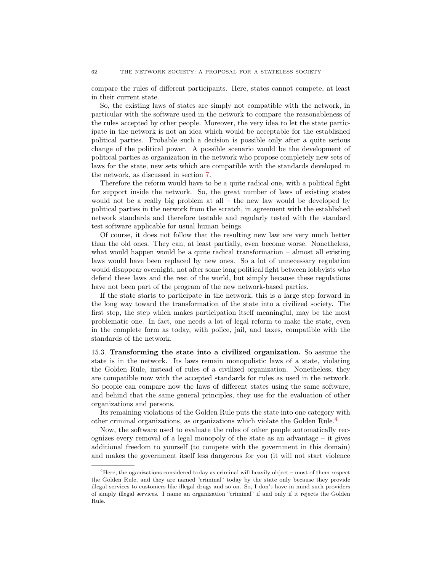compare the rules of different participants. Here, states cannot compete, at least in their current state.

So, the existing laws of states are simply not compatible with the network, in particular with the software used in the network to compare the reasonableness of the rules accepted by other people. Moreover, the very idea to let the state participate in the network is not an idea which would be acceptable for the established political parties. Probable such a decision is possible only after a quite serious change of the political power. A possible scenario would be the development of political parties as organization in the network who propose completely new sets of laws for the state, new sets which are compatible with the standards developed in the network, as discussed in section [7.](#page-22-1)

Therefore the reform would have to be a quite radical one, with a political fight for support inside the network. So, the great number of laws of existing states would not be a really big problem at all – the new law would be developed by political parties in the network from the scratch, in agreement with the established network standards and therefore testable and regularly tested with the standard test software applicable for usual human beings.

Of course, it does not follow that the resulting new law are very much better than the old ones. They can, at least partially, even become worse. Nonetheless, what would happen would be a quite radical transformation – almost all existing laws would have been replaced by new ones. So a lot of unnecessary regulation would disappear overnight, not after some long political fight between lobbyists who defend these laws and the rest of the world, but simply because these regulations have not been part of the program of the new network-based parties.

If the state starts to participate in the network, this is a large step forward in the long way toward the transformation of the state into a civilized society. The first step, the step which makes participation itself meaningful, may be the most problematic one. In fact, one needs a lot of legal reform to make the state, even in the complete form as today, with police, jail, and taxes, compatible with the standards of the network.

<span id="page-61-0"></span>15.3. Transforming the state into a civilized organization. So assume the state is in the network. Its laws remain monopolistic laws of a state, violating the Golden Rule, instead of rules of a civilized organization. Nonetheless, they are compatible now with the accepted standards for rules as used in the network. So people can compare now the laws of different states using the same software, and behind that the same general principles, they use for the evaluation of other organizations and persons.

Its remaining violations of the Golden Rule puts the state into one category with other criminal organizations, as organizations which violate the Golden Rule.[4](#page-61-1)

Now, the software used to evaluate the rules of other people automatically recognizes every removal of a legal monopoly of the state as an advantage – it gives additional freedom to yourself (to compete with the government in this domain) and makes the government itself less dangerous for you (it will not start violence

<span id="page-61-1"></span> $4$ Here, the oganizations considered today as criminal will heavily object – most of them respect the Golden Rule, and they are named "criminal" today by the state only because they provide illegal services to customers like illegal drugs and so on. So, I don't have in mind such providers of simply illegal services. I name an organization "criminal" if and only if it rejects the Golden Rule.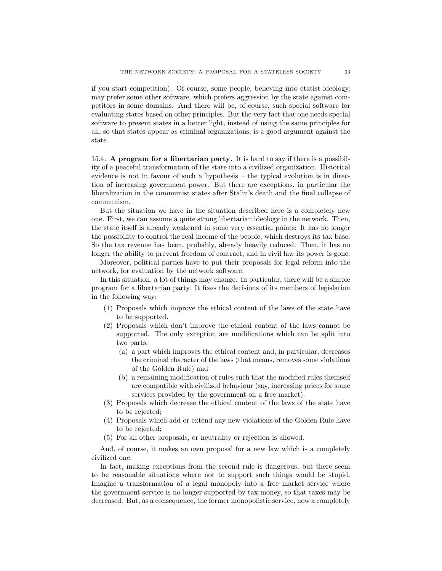if you start competition). Of course, some people, believing into etatist ideology, may prefer some other software, which prefers aggression by the state against competitors in some domains. And there will be, of course, such special software for evaluating states based on other principles. But the very fact that one needs special software to present states in a better light, instead of using the same principles for all, so that states appear as criminal organizations, is a good argument against the state.

<span id="page-62-0"></span>15.4. A program for a libertarian party. It is hard to say if there is a possibility of a peaceful transformation of the state into a civilized organization. Historical evidence is not in favour of such a hypothesis – the typical evolution is in direction of increasing government power. But there are exceptions, in particular the liberalization in the communist states after Stalin's death and the final collapse of communism.

But the situation we have in the situation described here is a completely new one. First, we can assume a quite strong libertarian ideology in the network. Then, the state itself is already weakened in some very essential points: It has no longer the possibility to control the real income of the people, which destroys its tax base. So the tax revenue has been, probably, already heavily reduced. Then, it has no longer the ability to prevent freedom of contract, and in civil law its power is gone.

Moreover, political parties have to put their proposals for legal reform into the network, for evaluation by the network software.

In this situation, a lot of things may change. In particular, there will be a simple program for a libertarian party. It fixes the decisions of its members of legislation in the following way:

- (1) Proposals which improve the ethical content of the laws of the state have to be supported.
- (2) Proposals which don't improve the ethical content of the laws cannot be supported. The only exception are modifications which can be split into two parts:
	- (a) a part which improves the ethical content and, in particular, decreases the criminal character of the laws (that means, removes some violations of the Golden Rule) and
	- (b) a remaining modification of rules such that the modified rules themself are compatible with civilized behaviour (say, increasing prices for some services provided by the government on a free market).
- (3) Proposals which decrease the ethical content of the laws of the state have to be rejected;
- (4) Proposals which add or extend any new violations of the Golden Rule have to be rejected;
- (5) For all other proposals, or neutrality or rejection is allowed.

And, of course, it makes an own proposal for a new law which is a completely civilized one.

In fact, making exceptions from the second rule is dangerous, but there seem to be reasonable situations where not to support such things would be stupid. Imagine a transformation of a legal monopoly into a free market service where the government service is no longer supported by tax money, so that taxes may be decreased. But, as a consequence, the former monopolistic service, now a completely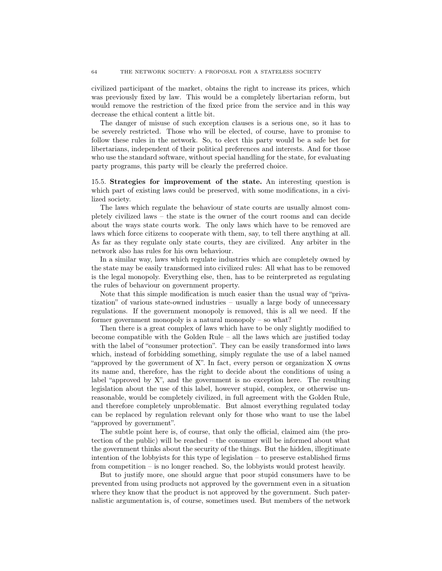civilized participant of the market, obtains the right to increase its prices, which was previously fixed by law. This would be a completely libertarian reform, but would remove the restriction of the fixed price from the service and in this way decrease the ethical content a little bit.

The danger of misuse of such exception clauses is a serious one, so it has to be severely restricted. Those who will be elected, of course, have to promise to follow these rules in the network. So, to elect this party would be a safe bet for libertarians, independent of their political preferences and interests. And for those who use the standard software, without special handling for the state, for evaluating party programs, this party will be clearly the preferred choice.

<span id="page-63-0"></span>15.5. Strategies for improvement of the state. An interesting question is which part of existing laws could be preserved, with some modifications, in a civilized society.

The laws which regulate the behaviour of state courts are usually almost completely civilized laws – the state is the owner of the court rooms and can decide about the ways state courts work. The only laws which have to be removed are laws which force citizens to cooperate with them, say, to tell there anything at all. As far as they regulate only state courts, they are civilized. Any arbiter in the network also has rules for his own behaviour.

In a similar way, laws which regulate industries which are completely owned by the state may be easily transformed into civilized rules: All what has to be removed is the legal monopoly. Everything else, then, has to be reinterpreted as regulating the rules of behaviour on government property.

Note that this simple modification is much easier than the usual way of "privatization" of various state-owned industries – usually a large body of unnecessary regulations. If the government monopoly is removed, this is all we need. If the former government monopoly is a natural monopoly – so what?

Then there is a great complex of laws which have to be only slightly modified to become compatible with the Golden Rule – all the laws which are justified today with the label of "consumer protection". They can be easily transformed into laws which, instead of forbidding something, simply regulate the use of a label named "approved by the government of X". In fact, every person or organization X owns its name and, therefore, has the right to decide about the conditions of using a label "approved by X", and the government is no exception here. The resulting legislation about the use of this label, however stupid, complex, or otherwise unreasonable, would be completely civilized, in full agreement with the Golden Rule, and therefore completely unproblematic. But almost everything regulated today can be replaced by regulation relevant only for those who want to use the label "approved by government".

The subtle point here is, of course, that only the official, claimed aim (the protection of the public) will be reached – the consumer will be informed about what the government thinks about the security of the things. But the hidden, illegitimate intention of the lobbyists for this type of legislation  $-$  to preserve established firms from competition – is no longer reached. So, the lobbyists would protest heavily.

But to justify more, one should argue that poor stupid consumers have to be prevented from using products not approved by the government even in a situation where they know that the product is not approved by the government. Such paternalistic argumentation is, of course, sometimes used. But members of the network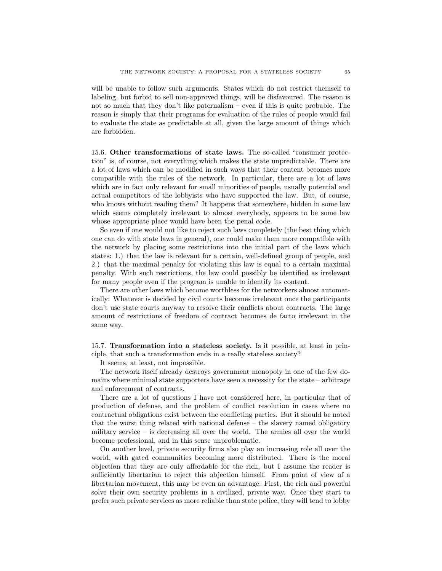will be unable to follow such arguments. States which do not restrict themself to labeling, but forbid to sell non-approved things, will be disfavoured. The reason is not so much that they don't like paternalism – even if this is quite probable. The reason is simply that their programs for evaluation of the rules of people would fail to evaluate the state as predictable at all, given the large amount of things which are forbidden.

<span id="page-64-0"></span>15.6. Other transformations of state laws. The so-called "consumer protection" is, of course, not everything which makes the state unpredictable. There are a lot of laws which can be modified in such ways that their content becomes more compatible with the rules of the network. In particular, there are a lot of laws which are in fact only relevant for small minorities of people, usually potential and actual competitors of the lobbyists who have supported the law. But, of course, who knows without reading them? It happens that somewhere, hidden in some law which seems completely irrelevant to almost everybody, appears to be some law whose appropriate place would have been the penal code.

So even if one would not like to reject such laws completely (the best thing which one can do with state laws in general), one could make them more compatible with the network by placing some restrictions into the initial part of the laws which states: 1.) that the law is relevant for a certain, well-defined group of people, and 2.) that the maximal penalty for violating this law is equal to a certain maximal penalty. With such restrictions, the law could possibly be identified as irrelevant for many people even if the program is unable to identify its content.

There are other laws which become worthless for the networkers almost automatically: Whatever is decided by civil courts becomes irrelevant once the participants don't use state courts anyway to resolve their conflicts about contracts. The large amount of restrictions of freedom of contract becomes de facto irrelevant in the same way.

<span id="page-64-1"></span>15.7. Transformation into a stateless society. Is it possible, at least in principle, that such a transformation ends in a really stateless society?

It seems, at least, not impossible.

The network itself already destroys government monopoly in one of the few domains where minimal state supporters have seen a necessity for the state – arbitrage and enforcement of contracts.

There are a lot of questions I have not considered here, in particular that of production of defense, and the problem of conflict resolution in cases where no contractual obligations exist between the conflicting parties. But it should be noted that the worst thing related with national defense – the slavery named obligatory military service – is decreasing all over the world. The armies all over the world become professional, and in this sense unproblematic.

On another level, private security firms also play an increasing role all over the world, with gated communities becoming more distributed. There is the moral objection that they are only affordable for the rich, but I assume the reader is sufficiently libertarian to reject this objection himself. From point of view of a libertarian movement, this may be even an advantage: First, the rich and powerful solve their own security problems in a civilized, private way. Once they start to prefer such private services as more reliable than state police, they will tend to lobby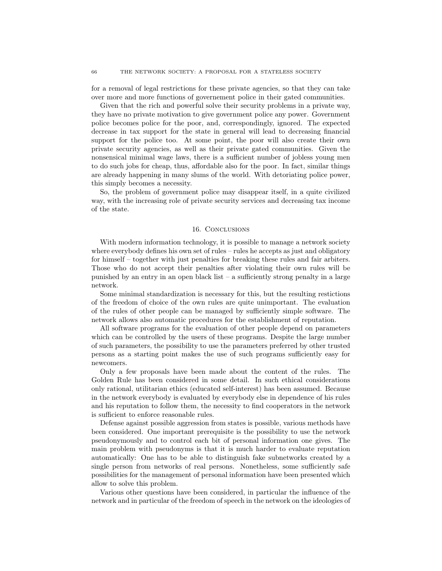for a removal of legal restrictions for these private agencies, so that they can take over more and more functions of governement police in their gated communities.

Given that the rich and powerful solve their security problems in a private way, they have no private motivation to give government police any power. Government police becomes police for the poor, and, correspondingly, ignored. The expected decrease in tax support for the state in general will lead to decreasing financial support for the police too. At some point, the poor will also create their own private security agencies, as well as their private gated communities. Given the nonsensical minimal wage laws, there is a sufficient number of jobless young men to do such jobs for cheap, thus, affordable also for the poor. In fact, similar things are already happening in many slums of the world. With detoriating police power, this simply becomes a necessity.

So, the problem of government police may disappear itself, in a quite civilized way, with the increasing role of private security services and decreasing tax income of the state.

#### 16. Conclusions

<span id="page-65-0"></span>With modern information technology, it is possible to manage a network society where everybody defines his own set of rules – rules he accepts as just and obligatory for himself – together with just penalties for breaking these rules and fair arbiters. Those who do not accept their penalties after violating their own rules will be punished by an entry in an open black list – a sufficiently strong penalty in a large network.

Some minimal standardization is necessary for this, but the resulting restictions of the freedom of choice of the own rules are quite unimportant. The evaluation of the rules of other people can be managed by sufficiently simple software. The network allows also automatic procedures for the establishment of reputation.

All software programs for the evaluation of other people depend on parameters which can be controlled by the users of these programs. Despite the large number of such parameters, the possibility to use the parameters preferred by other trusted persons as a starting point makes the use of such programs sufficiently easy for newcomers.

Only a few proposals have been made about the content of the rules. The Golden Rule has been considered in some detail. In such ethical considerations only rational, utilitarian ethics (educated self-interest) has been assumed. Because in the network everybody is evaluated by everybody else in dependence of his rules and his reputation to follow them, the necessity to find cooperators in the network is sufficient to enforce reasonable rules.

Defense against possible aggression from states is possible, various methods have been considered. One important prerequisite is the possibility to use the network pseudonymously and to control each bit of personal information one gives. The main problem with pseudonyms is that it is much harder to evaluate reputation automatically: One has to be able to distinguish fake subnetworks created by a single person from networks of real persons. Nonetheless, some sufficiently safe possibilities for the management of personal information have been presented which allow to solve this problem.

Various other questions have been considered, in particular the influence of the network and in particular of the freedom of speech in the network on the ideologies of